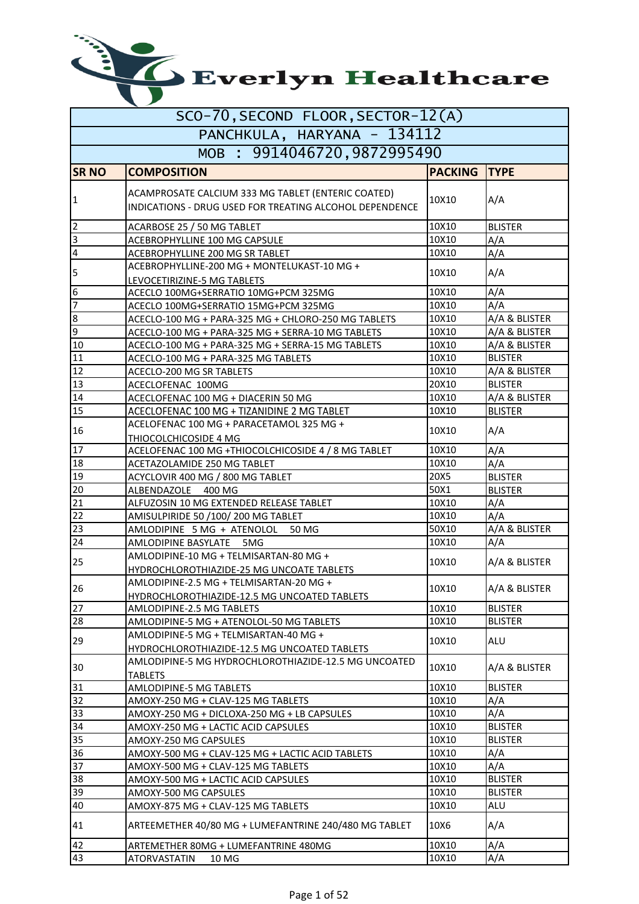| SCO-70, SECOND FLOOR, SECTOR-12(A) |                                                                                                               |                |                |  |  |
|------------------------------------|---------------------------------------------------------------------------------------------------------------|----------------|----------------|--|--|
| PANCHKULA, HARYANA - 134112        |                                                                                                               |                |                |  |  |
|                                    | MOB : 9914046720,9872995490                                                                                   |                |                |  |  |
| <b>SR NO</b>                       | <b>COMPOSITION</b>                                                                                            | <b>PACKING</b> | <b>TYPE</b>    |  |  |
| $\mathbf{1}$                       | ACAMPROSATE CALCIUM 333 MG TABLET (ENTERIC COATED)<br>INDICATIONS - DRUG USED FOR TREATING ALCOHOL DEPENDENCE | 10X10          | A/A            |  |  |
| $\overline{2}$                     | ACARBOSE 25 / 50 MG TABLET                                                                                    | 10X10          | <b>BLISTER</b> |  |  |
| m                                  | ACEBROPHYLLINE 100 MG CAPSULE                                                                                 | 10X10          | A/A            |  |  |
| $\overline{4}$                     | ACEBROPHYLLINE 200 MG SR TABLET                                                                               | 10X10          | A/A            |  |  |
| 5                                  | ACEBROPHYLLINE-200 MG + MONTELUKAST-10 MG +<br>LEVOCETIRIZINE-5 MG TABLETS                                    | 10X10          | A/A            |  |  |
| $\boldsymbol{6}$                   | ACECLO 100MG+SERRATIO 10MG+PCM 325MG                                                                          | 10X10          | A/A            |  |  |
| $\overline{7}$                     | ACECLO 100MG+SERRATIO 15MG+PCM 325MG                                                                          | 10X10          | A/A            |  |  |
| 8                                  | ACECLO-100 MG + PARA-325 MG + CHLORO-250 MG TABLETS                                                           | 10X10          | A/A & BLISTER  |  |  |
| 9                                  | ACECLO-100 MG + PARA-325 MG + SERRA-10 MG TABLETS                                                             | 10X10          | A/A & BLISTER  |  |  |
| 10                                 | ACECLO-100 MG + PARA-325 MG + SERRA-15 MG TABLETS                                                             | 10X10          | A/A & BLISTER  |  |  |
| 11                                 | ACECLO-100 MG + PARA-325 MG TABLETS                                                                           | 10X10          | <b>BLISTER</b> |  |  |
| 12                                 | ACECLO-200 MG SR TABLETS                                                                                      | 10X10          | A/A & BLISTER  |  |  |
| 13                                 | ACECLOFENAC 100MG                                                                                             | 20X10          | <b>BLISTER</b> |  |  |
| 14                                 | ACECLOFENAC 100 MG + DIACERIN 50 MG                                                                           | 10X10          | A/A & BLISTER  |  |  |
| 15                                 | ACECLOFENAC 100 MG + TIZANIDINE 2 MG TABLET                                                                   | 10X10          | <b>BLISTER</b> |  |  |
| 16                                 | ACELOFENAC 100 MG + PARACETAMOL 325 MG +<br>THIOCOLCHICOSIDE 4 MG                                             | 10X10          | A/A            |  |  |
| 17                                 | ACELOFENAC 100 MG +THIOCOLCHICOSIDE 4 / 8 MG TABLET                                                           | 10X10          | A/A            |  |  |
| 18                                 | ACETAZOLAMIDE 250 MG TABLET                                                                                   | 10X10          | A/A            |  |  |
| 19                                 | ACYCLOVIR 400 MG / 800 MG TABLET                                                                              | 20X5           | <b>BLISTER</b> |  |  |
| 20                                 | ALBENDAZOLE 400 MG                                                                                            | 50X1           | <b>BLISTER</b> |  |  |
| 21                                 | ALFUZOSIN 10 MG EXTENDED RELEASE TABLET                                                                       | 10X10          | A/A            |  |  |
| 22                                 | AMISULPIRIDE 50 /100/ 200 MG TABLET                                                                           | 10X10          | A/A            |  |  |
| 23                                 | AMLODIPINE 5 MG + ATENOLOL<br>50 MG                                                                           | 50X10          | A/A & BLISTER  |  |  |
| 24                                 | AMLODIPINE BASYLATE 5MG                                                                                       | 10X10          | A/A            |  |  |
| 25                                 | AMLODIPINE-10 MG + TELMISARTAN-80 MG +<br>HYDROCHLOROTHIAZIDE-25 MG UNCOATE TABLETS                           | 10X10          | A/A & BLISTER  |  |  |
| 26                                 | AMLODIPINE-2.5 MG + TELMISARTAN-20 MG +<br>HYDROCHLOROTHIAZIDE-12.5 MG UNCOATED TABLETS                       | 10X10          | A/A & BLISTER  |  |  |
| 27                                 | AMLODIPINE-2.5 MG TABLETS                                                                                     | 10X10          | <b>BLISTER</b> |  |  |
| 28                                 | AMLODIPINE-5 MG + ATENOLOL-50 MG TABLETS                                                                      | 10X10          | <b>BLISTER</b> |  |  |
| 29                                 | AMLODIPINE-5 MG + TELMISARTAN-40 MG +                                                                         | 10X10          | ALU            |  |  |
| 30                                 | HYDROCHLOROTHIAZIDE-12.5 MG UNCOATED TABLETS<br>AMLODIPINE-5 MG HYDROCHLOROTHIAZIDE-12.5 MG UNCOATED          | 10X10          | A/A & BLISTER  |  |  |
| 31                                 | <b>TABLETS</b>                                                                                                | 10X10          | <b>BLISTER</b> |  |  |
| 32                                 | AMLODIPINE-5 MG TABLETS<br>AMOXY-250 MG + CLAV-125 MG TABLETS                                                 | 10X10          | A/A            |  |  |
| 33                                 | AMOXY-250 MG + DICLOXA-250 MG + LB CAPSULES                                                                   | 10X10          | A/A            |  |  |
| 34                                 | AMOXY-250 MG + LACTIC ACID CAPSULES                                                                           | 10X10          | <b>BLISTER</b> |  |  |
| 35                                 | AMOXY-250 MG CAPSULES                                                                                         | 10X10          | <b>BLISTER</b> |  |  |
| 36                                 |                                                                                                               | 10X10          | A/A            |  |  |
| 37                                 | AMOXY-500 MG + CLAV-125 MG + LACTIC ACID TABLETS<br>AMOXY-500 MG + CLAV-125 MG TABLETS                        | 10X10          | A/A            |  |  |
| 38                                 | AMOXY-500 MG + LACTIC ACID CAPSULES                                                                           | 10X10          | <b>BLISTER</b> |  |  |
| 39                                 | AMOXY-500 MG CAPSULES                                                                                         | 10X10          | <b>BLISTER</b> |  |  |
| 40                                 | AMOXY-875 MG + CLAV-125 MG TABLETS                                                                            | 10X10          | ALU            |  |  |
| 41                                 | ARTEEMETHER 40/80 MG + LUMEFANTRINE 240/480 MG TABLET                                                         | 10X6           | A/A            |  |  |
| 42                                 | ARTEMETHER 80MG + LUMEFANTRINE 480MG                                                                          | 10X10          | A/A            |  |  |
| 43                                 | ATORVASTATIN<br>10 MG                                                                                         | 10X10          | A/A            |  |  |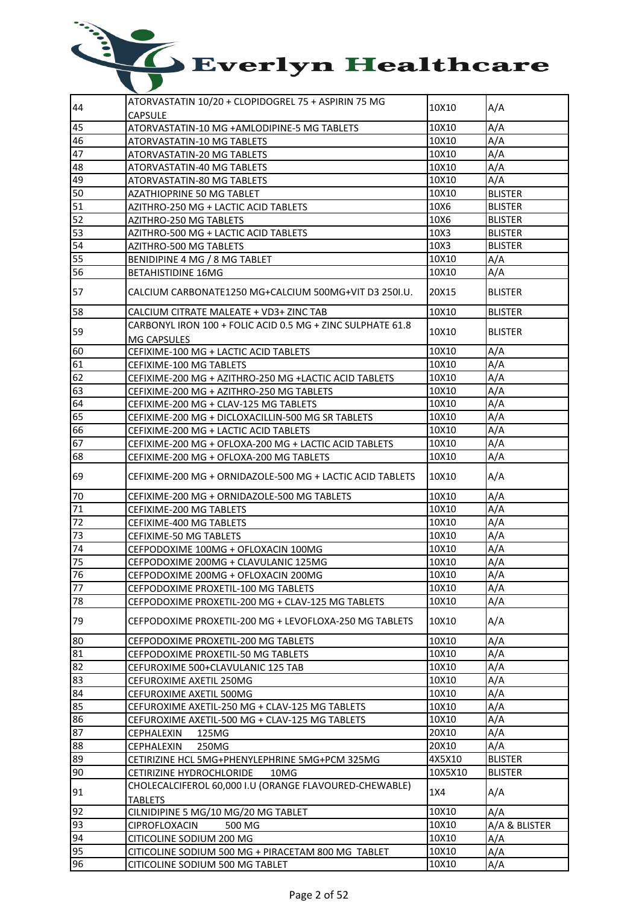| 44 | ATORVASTATIN 10/20 + CLOPIDOGREL 75 + ASPIRIN 75 MG        | 10X10   | A/A            |
|----|------------------------------------------------------------|---------|----------------|
|    | <b>CAPSULE</b>                                             |         |                |
| 45 | ATORVASTATIN-10 MG +AMLODIPINE-5 MG TABLETS                | 10X10   | A/A            |
| 46 | ATORVASTATIN-10 MG TABLETS                                 | 10X10   | A/A            |
| 47 | ATORVASTATIN-20 MG TABLETS                                 | 10X10   | A/A            |
| 48 | ATORVASTATIN-40 MG TABLETS                                 | 10X10   | A/A            |
| 49 | ATORVASTATIN-80 MG TABLETS                                 | 10X10   | A/A            |
| 50 | AZATHIOPRINE 50 MG TABLET                                  | 10X10   | <b>BLISTER</b> |
| 51 | AZITHRO-250 MG + LACTIC ACID TABLETS                       | 10X6    | <b>BLISTER</b> |
| 52 | AZITHRO-250 MG TABLETS                                     | 10X6    | <b>BLISTER</b> |
| 53 | AZITHRO-500 MG + LACTIC ACID TABLETS                       | 10X3    | <b>BLISTER</b> |
| 54 | AZITHRO-500 MG TABLETS                                     | 10X3    | <b>BLISTER</b> |
| 55 |                                                            | 10X10   |                |
| 56 | BENIDIPINE 4 MG / 8 MG TABLET                              | 10X10   | A/A<br>A/A     |
|    | <b>BETAHISTIDINE 16MG</b>                                  |         |                |
| 57 | CALCIUM CARBONATE1250 MG+CALCIUM 500MG+VIT D3 250I.U.      | 20X15   | <b>BLISTER</b> |
| 58 | CALCIUM CITRATE MALEATE + VD3+ ZINC TAB                    | 10X10   | <b>BLISTER</b> |
|    | CARBONYL IRON 100 + FOLIC ACID 0.5 MG + ZINC SULPHATE 61.8 |         |                |
| 59 | MG CAPSULES                                                | 10X10   | <b>BLISTER</b> |
| 60 | CEFIXIME-100 MG + LACTIC ACID TABLETS                      | 10X10   | A/A            |
| 61 | CEFIXIME-100 MG TABLETS                                    | 10X10   | A/A            |
| 62 | CEFIXIME-200 MG + AZITHRO-250 MG +LACTIC ACID TABLETS      | 10X10   | A/A            |
| 63 | CEFIXIME-200 MG + AZITHRO-250 MG TABLETS                   | 10X10   | A/A            |
| 64 | CEFIXIME-200 MG + CLAV-125 MG TABLETS                      | 10X10   | A/A            |
| 65 | CEFIXIME-200 MG + DICLOXACILLIN-500 MG SR TABLETS          | 10X10   | A/A            |
| 66 | CEFIXIME-200 MG + LACTIC ACID TABLETS                      | 10X10   | A/A            |
| 67 | CEFIXIME-200 MG + OFLOXA-200 MG + LACTIC ACID TABLETS      | 10X10   | A/A            |
| 68 |                                                            | 10X10   | A/A            |
|    | CEFIXIME-200 MG + OFLOXA-200 MG TABLETS                    |         |                |
| 69 | CEFIXIME-200 MG + ORNIDAZOLE-500 MG + LACTIC ACID TABLETS  | 10X10   | A/A            |
| 70 | CEFIXIME-200 MG + ORNIDAZOLE-500 MG TABLETS                | 10X10   | A/A            |
| 71 | CEFIXIME-200 MG TABLETS                                    | 10X10   | A/A            |
| 72 | CEFIXIME-400 MG TABLETS                                    | 10X10   | A/A            |
| 73 | CEFIXIME-50 MG TABLETS                                     | 10X10   | A/A            |
| 74 | CEFPODOXIME 100MG + OFLOXACIN 100MG                        | 10X10   | A/A            |
| 75 | CEFPODOXIME 200MG + CLAVULANIC 125MG                       | 10X10   | A/A            |
| 76 | CEFPODOXIME 200MG + OFLOXACIN 200MG                        | 10X10   | A/A            |
| 77 | CEFPODOXIME PROXETIL-100 MG TABLETS                        | 10X10   | A/A            |
| 78 | CEFPODOXIME PROXETIL-200 MG + CLAV-125 MG TABLETS          | 10X10   | A/A            |
|    |                                                            |         |                |
| 79 | CEFPODOXIME PROXETIL-200 MG + LEVOFLOXA-250 MG TABLETS     | 10X10   | A/A            |
| 80 | CEFPODOXIME PROXETIL-200 MG TABLETS                        | 10X10   | A/A            |
| 81 | CEFPODOXIME PROXETIL-50 MG TABLETS                         | 10X10   | A/A            |
| 82 | CEFUROXIME 500+CLAVULANIC 125 TAB                          | 10X10   | A/A            |
| 83 | CEFUROXIME AXETIL 250MG                                    | 10X10   | A/A            |
| 84 | CEFUROXIME AXETIL 500MG                                    | 10X10   | A/A            |
| 85 | CEFUROXIME AXETIL-250 MG + CLAV-125 MG TABLETS             | 10X10   | A/A            |
| 86 | CEFUROXIME AXETIL-500 MG + CLAV-125 MG TABLETS             | 10X10   | A/A            |
| 87 | CEPHALEXIN<br>125MG                                        | 20X10   | A/A            |
| 88 | 250MG<br>CEPHALEXIN                                        | 20X10   | A/A            |
| 89 | CETIRIZINE HCL 5MG+PHENYLEPHRINE 5MG+PCM 325MG             | 4X5X10  | <b>BLISTER</b> |
| 90 | CETIRIZINE HYDROCHLORIDE<br>10MG                           | 10X5X10 | <b>BLISTER</b> |
|    | CHOLECALCIFEROL 60,000 I.U (ORANGE FLAVOURED-CHEWABLE)     |         |                |
| 91 | <b>TABLETS</b>                                             | 1X4     | A/A            |
| 92 | CILNIDIPINE 5 MG/10 MG/20 MG TABLET                        | 10X10   | A/A            |
| 93 | CIPROFLOXACIN<br>500 MG                                    | 10X10   | A/A & BLISTER  |
| 94 | CITICOLINE SODIUM 200 MG                                   | 10X10   | A/A            |
| 95 |                                                            | 10X10   |                |
| 96 | CITICOLINE SODIUM 500 MG + PIRACETAM 800 MG TABLET         |         | A/A            |
|    | CITICOLINE SODIUM 500 MG TABLET                            | 10X10   | A/A            |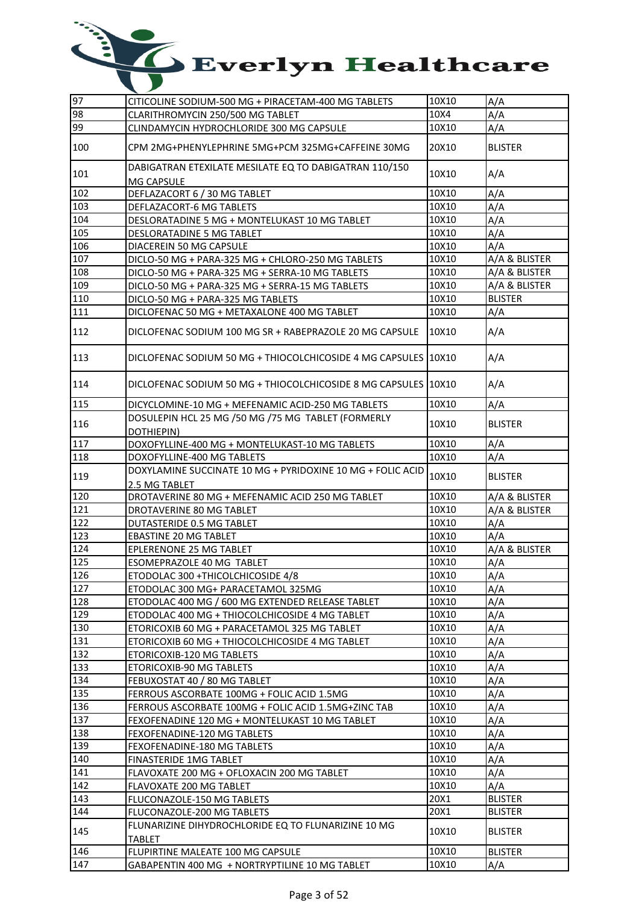| 97  | CITICOLINE SODIUM-500 MG + PIRACETAM-400 MG TABLETS                  | 10X10 | A/A            |
|-----|----------------------------------------------------------------------|-------|----------------|
| 98  | CLARITHROMYCIN 250/500 MG TABLET                                     | 10X4  | A/A            |
| 99  | CLINDAMYCIN HYDROCHLORIDE 300 MG CAPSULE                             | 10X10 | A/A            |
| 100 | CPM 2MG+PHENYLEPHRINE 5MG+PCM 325MG+CAFFEINE 30MG                    | 20X10 | <b>BLISTER</b> |
| 101 | DABIGATRAN ETEXILATE MESILATE EQ TO DABIGATRAN 110/150<br>MG CAPSULE | 10X10 | A/A            |
| 102 | DEFLAZACORT 6 / 30 MG TABLET                                         | 10X10 | A/A            |
| 103 | DEFLAZACORT-6 MG TABLETS                                             | 10X10 | A/A            |
| 104 | DESLORATADINE 5 MG + MONTELUKAST 10 MG TABLET                        | 10X10 | A/A            |
| 105 | <b>DESLORATADINE 5 MG TABLET</b>                                     | 10X10 | A/A            |
| 106 | DIACEREIN 50 MG CAPSULE                                              | 10X10 | A/A            |
| 107 | DICLO-50 MG + PARA-325 MG + CHLORO-250 MG TABLETS                    | 10X10 | A/A & BLISTER  |
| 108 | DICLO-50 MG + PARA-325 MG + SERRA-10 MG TABLETS                      | 10X10 | A/A & BLISTER  |
| 109 | DICLO-50 MG + PARA-325 MG + SERRA-15 MG TABLETS                      | 10X10 | A/A & BLISTER  |
| 110 |                                                                      | 10X10 | <b>BLISTER</b> |
| 111 | DICLO-50 MG + PARA-325 MG TABLETS                                    | 10X10 | A/A            |
|     | DICLOFENAC 50 MG + METAXALONE 400 MG TABLET                          |       |                |
| 112 | DICLOFENAC SODIUM 100 MG SR + RABEPRAZOLE 20 MG CAPSULE              | 10X10 | A/A            |
| 113 | DICLOFENAC SODIUM 50 MG + THIOCOLCHICOSIDE 4 MG CAPSULES 10X10       |       | A/A            |
| 114 | DICLOFENAC SODIUM 50 MG + THIOCOLCHICOSIDE 8 MG CAPSULES 10X10       |       | A/A            |
| 115 | DICYCLOMINE-10 MG + MEFENAMIC ACID-250 MG TABLETS                    | 10X10 | A/A            |
| 116 | DOSULEPIN HCL 25 MG /50 MG /75 MG TABLET (FORMERLY<br>DOTHIEPIN)     | 10X10 | <b>BLISTER</b> |
| 117 | DOXOFYLLINE-400 MG + MONTELUKAST-10 MG TABLETS                       | 10X10 | A/A            |
| 118 | DOXOFYLLINE-400 MG TABLETS                                           | 10X10 | A/A            |
|     | DOXYLAMINE SUCCINATE 10 MG + PYRIDOXINE 10 MG + FOLIC ACID           |       |                |
| 119 | 2.5 MG TABLET                                                        | 10X10 | <b>BLISTER</b> |
| 120 | DROTAVERINE 80 MG + MEFENAMIC ACID 250 MG TABLET                     | 10X10 | A/A & BLISTER  |
| 121 | DROTAVERINE 80 MG TABLET                                             | 10X10 | A/A & BLISTER  |
| 122 | DUTASTERIDE 0.5 MG TABLET                                            | 10X10 | A/A            |
| 123 | <b>EBASTINE 20 MG TABLET</b>                                         | 10X10 | A/A            |
| 124 | EPLERENONE 25 MG TABLET                                              | 10X10 | A/A & BLISTER  |
| 125 | ESOMEPRAZOLE 40 MG TABLET                                            | 10X10 | A/A            |
| 126 | ETODOLAC 300 + THICOLCHICOSIDE 4/8                                   | 10X10 | A/A            |
| 127 | ETODOLAC 300 MG+ PARACETAMOL 325MG                                   | 10X10 | A/A            |
| 128 | ETODOLAC 400 MG / 600 MG EXTENDED RELEASE TABLET                     | 10X10 | A/A            |
| 129 | ETODOLAC 400 MG + THIOCOLCHICOSIDE 4 MG TABLET                       | 10X10 | A/A            |
| 130 | ETORICOXIB 60 MG + PARACETAMOL 325 MG TABLET                         | 10X10 | A/A            |
| 131 | ETORICOXIB 60 MG + THIOCOLCHICOSIDE 4 MG TABLET                      | 10X10 | A/A            |
| 132 | ETORICOXIB-120 MG TABLETS                                            | 10X10 | A/A            |
| 133 | ETORICOXIB-90 MG TABLETS                                             | 10X10 | A/A            |
| 134 | FEBUXOSTAT 40 / 80 MG TABLET                                         | 10X10 | A/A            |
| 135 | FERROUS ASCORBATE 100MG + FOLIC ACID 1.5MG                           | 10X10 | A/A            |
| 136 | FERROUS ASCORBATE 100MG + FOLIC ACID 1.5MG+ZINC TAB                  | 10X10 | A/A            |
| 137 | FEXOFENADINE 120 MG + MONTELUKAST 10 MG TABLET                       | 10X10 | A/A            |
| 138 | FEXOFENADINE-120 MG TABLETS                                          | 10X10 | A/A            |
| 139 | FEXOFENADINE-180 MG TABLETS                                          | 10X10 | A/A            |
| 140 | <b>FINASTERIDE 1MG TABLET</b>                                        | 10X10 | A/A            |
| 141 | FLAVOXATE 200 MG + OFLOXACIN 200 MG TABLET                           | 10X10 | A/A            |
| 142 | <b>FLAVOXATE 200 MG TABLET</b>                                       | 10X10 | A/A            |
| 143 | FLUCONAZOLE-150 MG TABLETS                                           | 20X1  | <b>BLISTER</b> |
| 144 | FLUCONAZOLE-200 MG TABLETS                                           | 20X1  | <b>BLISTER</b> |
| 145 | FLUNARIZINE DIHYDROCHLORIDE EQ TO FLUNARIZINE 10 MG                  | 10X10 | <b>BLISTER</b> |
|     | <b>TABLET</b>                                                        |       |                |
| 146 | FLUPIRTINE MALEATE 100 MG CAPSULE                                    | 10X10 | <b>BLISTER</b> |
| 147 | GABAPENTIN 400 MG + NORTRYPTILINE 10 MG TABLET                       | 10X10 | A/A            |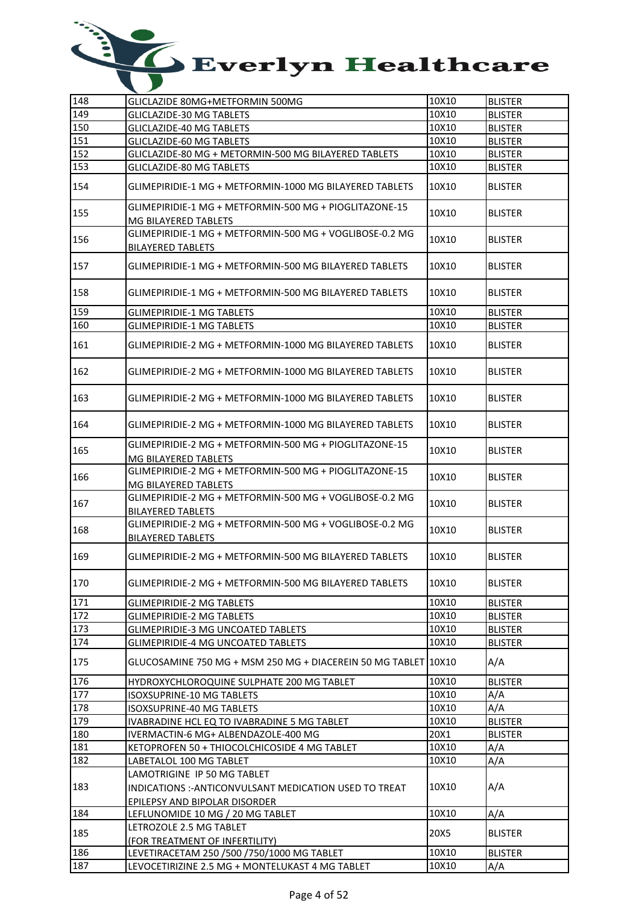| 148 | GLICLAZIDE 80MG+METFORMIN 500MG                                                                                               | 10X10 | <b>BLISTER</b> |
|-----|-------------------------------------------------------------------------------------------------------------------------------|-------|----------------|
| 149 | <b>GLICLAZIDE-30 MG TABLETS</b>                                                                                               | 10X10 | <b>BLISTER</b> |
| 150 | <b>GLICLAZIDE-40 MG TABLETS</b>                                                                                               | 10X10 | <b>BLISTER</b> |
| 151 | <b>GLICLAZIDE-60 MG TABLETS</b>                                                                                               | 10X10 | <b>BLISTER</b> |
| 152 | GLICLAZIDE-80 MG + METORMIN-500 MG BILAYERED TABLETS                                                                          | 10X10 | <b>BLISTER</b> |
| 153 | <b>GLICLAZIDE-80 MG TABLETS</b>                                                                                               | 10X10 | <b>BLISTER</b> |
| 154 | GLIMEPIRIDIE-1 MG + METFORMIN-1000 MG BILAYERED TABLETS                                                                       | 10X10 | <b>BLISTER</b> |
| 155 | GLIMEPIRIDIE-1 MG + METFORMIN-500 MG + PIOGLITAZONE-15<br>MG BILAYERED TABLETS                                                | 10X10 | <b>BLISTER</b> |
| 156 | GLIMEPIRIDIE-1 MG + METFORMIN-500 MG + VOGLIBOSE-0.2 MG<br>BILAYERED TABLETS                                                  | 10X10 | <b>BLISTER</b> |
| 157 | GLIMEPIRIDIE-1 MG + METFORMIN-500 MG BILAYERED TABLETS                                                                        | 10X10 | <b>BLISTER</b> |
| 158 | GLIMEPIRIDIE-1 MG + METFORMIN-500 MG BILAYERED TABLETS                                                                        | 10X10 | <b>BLISTER</b> |
| 159 | <b>GLIMEPIRIDIE-1 MG TABLETS</b>                                                                                              | 10X10 | <b>BLISTER</b> |
| 160 | <b>GLIMEPIRIDIE-1 MG TABLETS</b>                                                                                              | 10X10 | <b>BLISTER</b> |
| 161 | GLIMEPIRIDIE-2 MG + METFORMIN-1000 MG BILAYERED TABLETS                                                                       | 10X10 | <b>BLISTER</b> |
| 162 | GLIMEPIRIDIE-2 MG + METFORMIN-1000 MG BILAYERED TABLETS                                                                       | 10X10 | <b>BLISTER</b> |
| 163 | GLIMEPIRIDIE-2 MG + METFORMIN-1000 MG BILAYERED TABLETS                                                                       | 10X10 | <b>BLISTER</b> |
| 164 | GLIMEPIRIDIE-2 MG + METFORMIN-1000 MG BILAYERED TABLETS                                                                       | 10X10 | <b>BLISTER</b> |
| 165 | GLIMEPIRIDIE-2 MG + METFORMIN-500 MG + PIOGLITAZONE-15<br>MG BILAYERED TABLETS                                                | 10X10 | BLISTER        |
| 166 | GLIMEPIRIDIE-2 MG + METFORMIN-500 MG + PIOGLITAZONE-15<br>MG BILAYERED TABLETS                                                | 10X10 | <b>BLISTER</b> |
| 167 | GLIMEPIRIDIE-2 MG + METFORMIN-500 MG + VOGLIBOSE-0.2 MG<br><b>BILAYERED TABLETS</b>                                           | 10X10 | <b>BLISTER</b> |
| 168 | GLIMEPIRIDIE-2 MG + METFORMIN-500 MG + VOGLIBOSE-0.2 MG<br><b>BILAYERED TABLETS</b>                                           | 10X10 | <b>BLISTER</b> |
| 169 | GLIMEPIRIDIE-2 MG + METFORMIN-500 MG BILAYERED TABLETS                                                                        | 10X10 | <b>BLISTER</b> |
| 170 | GLIMEPIRIDIE-2 MG + METFORMIN-500 MG BILAYERED TABLETS                                                                        | 10X10 | <b>BLISTER</b> |
| 171 | <b>GLIMEPIRIDIE-2 MG TABLETS</b>                                                                                              | 10X10 | <b>BLISTER</b> |
| 172 | <b>GLIMEPIRIDIE-2 MG TABLETS</b>                                                                                              | 10X10 | <b>BLISTER</b> |
| 173 | <b>GLIMEPIRIDIE-3 MG UNCOATED TABLETS</b>                                                                                     | 10X10 | <b>BLISTER</b> |
| 174 | <b>GLIMEPIRIDIE-4 MG UNCOATED TABLETS</b>                                                                                     | 10X10 | <b>BLISTER</b> |
| 175 |                                                                                                                               |       | A/A            |
| 176 | HYDROXYCHLOROQUINE SULPHATE 200 MG TABLET                                                                                     | 10X10 | <b>BLISTER</b> |
| 177 | <b>ISOXSUPRINE-10 MG TABLETS</b>                                                                                              | 10X10 | A/A            |
| 178 | ISOXSUPRINE-40 MG TABLETS                                                                                                     | 10X10 | A/A            |
| 179 | IVABRADINE HCL EQ TO IVABRADINE 5 MG TABLET                                                                                   | 10X10 | <b>BLISTER</b> |
| 180 | IVERMACTIN-6 MG+ ALBENDAZOLE-400 MG                                                                                           | 20X1  | <b>BLISTER</b> |
| 181 | KETOPROFEN 50 + THIOCOLCHICOSIDE 4 MG TABLET                                                                                  | 10X10 | A/A            |
| 182 | LABETALOL 100 MG TABLET                                                                                                       | 10X10 | A/A            |
| 183 | LAMOTRIGINE IP 50 MG TABLET<br>INDICATIONS :- ANTICONVULSANT MEDICATION USED TO TREAT<br><b>EPILEPSY AND BIPOLAR DISORDER</b> | 10X10 | A/A            |
| 184 | LEFLUNOMIDE 10 MG / 20 MG TABLET                                                                                              | 10X10 | A/A            |
| 185 | LETROZOLE 2.5 MG TABLET<br>(FOR TREATMENT OF INFERTILITY)                                                                     | 20X5  | <b>BLISTER</b> |
| 186 | LEVETIRACETAM 250 /500 /750/1000 MG TABLET                                                                                    | 10X10 | <b>BLISTER</b> |
| 187 | LEVOCETIRIZINE 2.5 MG + MONTELUKAST 4 MG TABLET                                                                               | 10X10 | A/A            |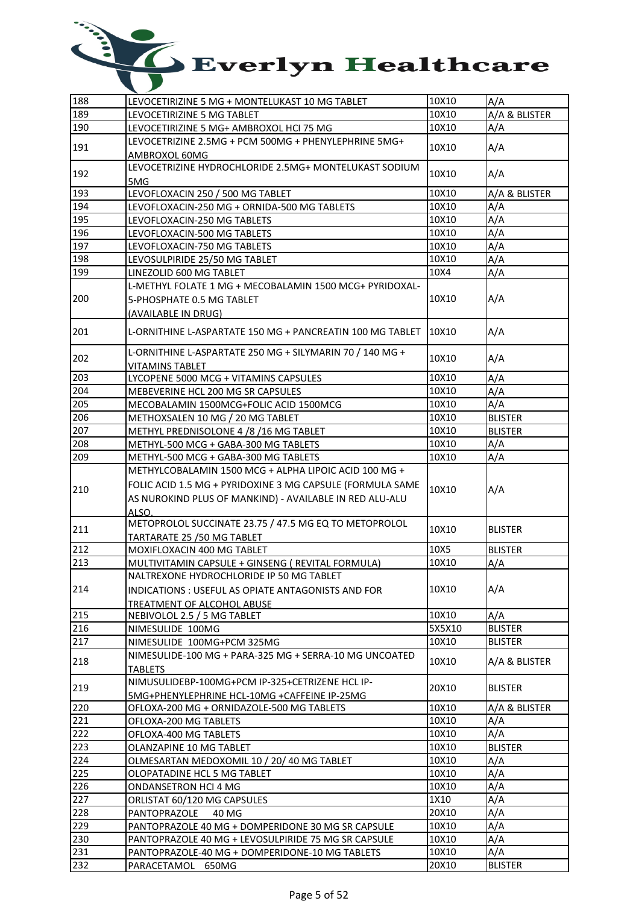| 188 | LEVOCETIRIZINE 5 MG + MONTELUKAST 10 MG TABLET                                                                       | 10X10  | A/A            |
|-----|----------------------------------------------------------------------------------------------------------------------|--------|----------------|
| 189 | LEVOCETIRIZINE 5 MG TABLET                                                                                           | 10X10  | A/A & BLISTER  |
| 190 | LEVOCETIRIZINE 5 MG+ AMBROXOL HCI 75 MG                                                                              | 10X10  | A/A            |
| 191 | LEVOCETRIZINE 2.5MG + PCM 500MG + PHENYLEPHRINE 5MG+<br>AMBROXOL 60MG                                                | 10X10  | A/A            |
| 192 | LEVOCETRIZINE HYDROCHLORIDE 2.5MG+ MONTELUKAST SODIUM<br>5MG                                                         | 10X10  | A/A            |
| 193 | LEVOFLOXACIN 250 / 500 MG TABLET                                                                                     | 10X10  | A/A & BLISTER  |
| 194 | LEVOFLOXACIN-250 MG + ORNIDA-500 MG TABLETS                                                                          | 10X10  | A/A            |
| 195 | LEVOFLOXACIN-250 MG TABLETS                                                                                          | 10X10  | A/A            |
| 196 | LEVOFLOXACIN-500 MG TABLETS                                                                                          | 10X10  | A/A            |
| 197 | LEVOFLOXACIN-750 MG TABLETS                                                                                          | 10X10  | A/A            |
| 198 |                                                                                                                      | 10X10  | A/A            |
| 199 | LEVOSULPIRIDE 25/50 MG TABLET                                                                                        | 10X4   | A/A            |
|     | LINEZOLID 600 MG TABLET<br>L-METHYL FOLATE 1 MG + MECOBALAMIN 1500 MCG+ PYRIDOXAL-                                   |        |                |
|     |                                                                                                                      |        |                |
| 200 | 5-PHOSPHATE 0.5 MG TABLET                                                                                            | 10X10  | A/A            |
|     | (AVAILABLE IN DRUG)                                                                                                  |        |                |
| 201 | L-ORNITHINE L-ASPARTATE 150 MG + PANCREATIN 100 MG TABLET                                                            | 10X10  | A/A            |
| 202 | L-ORNITHINE L-ASPARTATE 250 MG + SILYMARIN 70 / 140 MG +<br>VITAMINS TABLET                                          | 10X10  | A/A            |
| 203 | LYCOPENE 5000 MCG + VITAMINS CAPSULES                                                                                | 10X10  | A/A            |
| 204 | MEBEVERINE HCL 200 MG SR CAPSULES                                                                                    | 10X10  | A/A            |
| 205 | MECOBALAMIN 1500MCG+FOLIC ACID 1500MCG                                                                               | 10X10  | A/A            |
| 206 | METHOXSALEN 10 MG / 20 MG TABLET                                                                                     | 10X10  | <b>BLISTER</b> |
| 207 | METHYL PREDNISOLONE 4 /8 /16 MG TABLET                                                                               | 10X10  | <b>BLISTER</b> |
| 208 | METHYL-500 MCG + GABA-300 MG TABLETS                                                                                 | 10X10  | A/A            |
| 209 | METHYL-500 MCG + GABA-300 MG TABLETS                                                                                 | 10X10  | A/A            |
|     | METHYLCOBALAMIN 1500 MCG + ALPHA LIPOIC ACID 100 MG +                                                                |        |                |
| 210 | FOLIC ACID 1.5 MG + PYRIDOXINE 3 MG CAPSULE (FORMULA SAME<br>AS NUROKIND PLUS OF MANKIND) - AVAILABLE IN RED ALU-ALU | 10X10  | A/A            |
|     | <b>AI SO</b>                                                                                                         |        |                |
| 211 | METOPROLOL SUCCINATE 23.75 / 47.5 MG EQ TO METOPROLOL                                                                | 10X10  | <b>BLISTER</b> |
|     | TARTARATE 25 / 50 MG TABLET                                                                                          |        |                |
| 212 | MOXIFLOXACIN 400 MG TABLET                                                                                           | 10X5   | <b>BLISTER</b> |
| 213 | MULTIVITAMIN CAPSULE + GINSENG ( REVITAL FORMULA)                                                                    | 10X10  | A/A            |
|     | NALTREXONE HYDROCHLORIDE IP 50 MG TABLET                                                                             |        |                |
| 214 | INDICATIONS: USEFUL AS OPIATE ANTAGONISTS AND FOR                                                                    | 10X10  | A/A            |
|     | TREATMENT OF ALCOHOL ABUSE                                                                                           |        |                |
| 215 | NEBIVOLOL 2.5 / 5 MG TABLET                                                                                          | 10X10  | A/A            |
| 216 | NIMESULIDE 100MG                                                                                                     | 5X5X10 | <b>BLISTER</b> |
| 217 | NIMESULIDE 100MG+PCM 325MG                                                                                           | 10X10  | <b>BLISTER</b> |
| 218 | NIMESULIDE-100 MG + PARA-325 MG + SERRA-10 MG UNCOATED<br>TABLETS                                                    | 10X10  | A/A & BLISTER  |
| 219 | NIMUSULIDEBP-100MG+PCM IP-325+CETRIZENE HCL IP-<br>5MG+PHENYLEPHRINE HCL-10MG +CAFFEINE IP-25MG                      | 20X10  | <b>BLISTER</b> |
| 220 | OFLOXA-200 MG + ORNIDAZOLE-500 MG TABLETS                                                                            | 10X10  | A/A & BLISTER  |
| 221 | OFLOXA-200 MG TABLETS                                                                                                | 10X10  | A/A            |
| 222 | OFLOXA-400 MG TABLETS                                                                                                | 10X10  | A/A            |
| 223 | OLANZAPINE 10 MG TABLET                                                                                              | 10X10  | <b>BLISTER</b> |
| 224 | OLMESARTAN MEDOXOMIL 10 / 20/ 40 MG TABLET                                                                           | 10X10  | A/A            |
| 225 | OLOPATADINE HCL 5 MG TABLET                                                                                          | 10X10  | A/A            |
| 226 | ONDANSETRON HCI 4 MG                                                                                                 | 10X10  | A/A            |
| 227 | ORLISTAT 60/120 MG CAPSULES                                                                                          | 1X10   | A/A            |
| 228 | PANTOPRAZOLE<br>40 MG                                                                                                | 20X10  | A/A            |
|     |                                                                                                                      |        |                |
| 229 | PANTOPRAZOLE 40 MG + DOMPERIDONE 30 MG SR CAPSULE                                                                    | 10X10  | A/A            |
| 230 | PANTOPRAZOLE 40 MG + LEVOSULPIRIDE 75 MG SR CAPSULE                                                                  | 10X10  | A/A            |
| 231 | PANTOPRAZOLE-40 MG + DOMPERIDONE-10 MG TABLETS                                                                       | 10X10  | A/A            |
| 232 | PARACETAMOL 650MG                                                                                                    | 20X10  | <b>BLISTER</b> |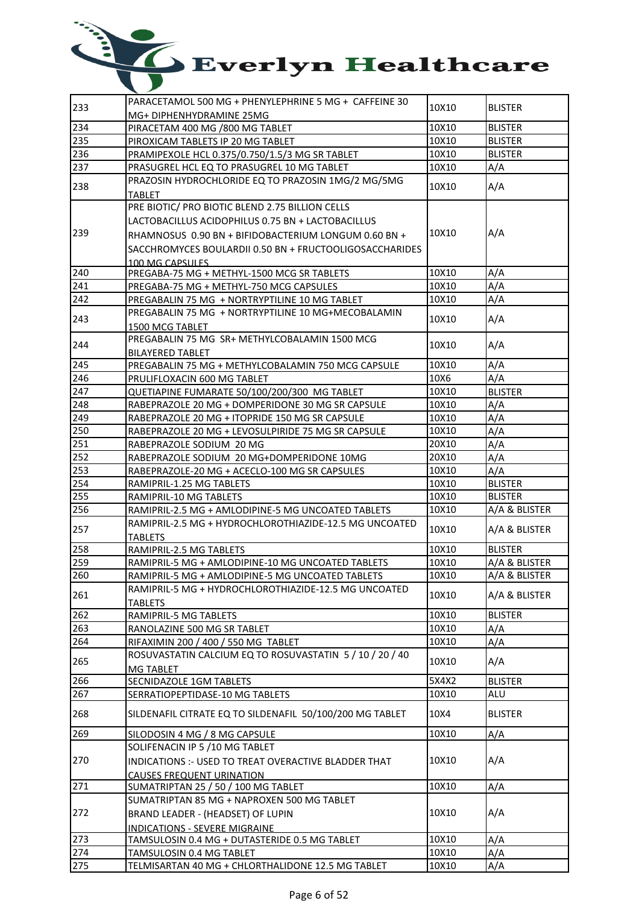| 233 | PARACETAMOL 500 MG + PHENYLEPHRINE 5 MG + CAFFEINE 30                     | 10X10 | <b>BLISTER</b> |
|-----|---------------------------------------------------------------------------|-------|----------------|
|     | MG+ DIPHENHYDRAMINE 25MG                                                  |       |                |
| 234 | PIRACETAM 400 MG /800 MG TABLET                                           | 10X10 | <b>BLISTER</b> |
| 235 | PIROXICAM TABLETS IP 20 MG TABLET                                         | 10X10 | <b>BLISTER</b> |
| 236 | PRAMIPEXOLE HCL 0.375/0.750/1.5/3 MG SR TABLET                            | 10X10 | <b>BLISTER</b> |
| 237 | PRASUGREL HCL EQ TO PRASUGREL 10 MG TABLET                                | 10X10 | A/A            |
|     | PRAZOSIN HYDROCHLORIDE EQ TO PRAZOSIN 1MG/2 MG/5MG                        |       |                |
| 238 | <b>TABLET</b>                                                             | 10X10 | A/A            |
|     | PRE BIOTIC/ PRO BIOTIC BLEND 2.75 BILLION CELLS                           |       |                |
|     | LACTOBACILLUS ACIDOPHILUS 0.75 BN + LACTOBACILLUS                         |       |                |
| 239 | RHAMNOSUS 0.90 BN + BIFIDOBACTERIUM LONGUM 0.60 BN +                      | 10X10 | A/A            |
|     | SACCHROMYCES BOULARDII 0.50 BN + FRUCTOOLIGOSACCHARIDES                   |       |                |
|     | 100 MG CAPSULES                                                           |       |                |
| 240 | PREGABA-75 MG + METHYL-1500 MCG SR TABLETS                                | 10X10 | A/A            |
| 241 | PREGABA-75 MG + METHYL-750 MCG CAPSULES                                   | 10X10 | A/A            |
| 242 | PREGABALIN 75 MG + NORTRYPTILINE 10 MG TABLET                             | 10X10 | A/A            |
|     | PREGABALIN 75 MG + NORTRYPTILINE 10 MG+MECOBALAMIN                        |       |                |
| 243 | 1500 MCG TABLET                                                           | 10X10 | A/A            |
|     | PREGABALIN 75 MG SR+ METHYLCOBALAMIN 1500 MCG                             |       |                |
| 244 | <b>BILAYERED TABLET</b>                                                   | 10X10 | A/A            |
| 245 | PREGABALIN 75 MG + METHYLCOBALAMIN 750 MCG CAPSULE                        | 10X10 | A/A            |
| 246 | PRULIFLOXACIN 600 MG TABLET                                               | 10X6  | A/A            |
| 247 | QUETIAPINE FUMARATE 50/100/200/300 MG TABLET                              | 10X10 | <b>BLISTER</b> |
| 248 | RABEPRAZOLE 20 MG + DOMPERIDONE 30 MG SR CAPSULE                          | 10X10 | A/A            |
| 249 | RABEPRAZOLE 20 MG + ITOPRIDE 150 MG SR CAPSULE                            | 10X10 | A/A            |
| 250 | RABEPRAZOLE 20 MG + LEVOSULPIRIDE 75 MG SR CAPSULE                        | 10X10 | A/A            |
| 251 | RABEPRAZOLE SODIUM 20 MG                                                  | 20X10 | A/A            |
| 252 | RABEPRAZOLE SODIUM 20 MG+DOMPERIDONE 10MG                                 | 20X10 | A/A            |
| 253 |                                                                           | 10X10 | A/A            |
| 254 | RABEPRAZOLE-20 MG + ACECLO-100 MG SR CAPSULES<br>RAMIPRIL-1.25 MG TABLETS | 10X10 | <b>BLISTER</b> |
| 255 |                                                                           | 10X10 | <b>BLISTER</b> |
|     | RAMIPRIL-10 MG TABLETS                                                    | 10X10 |                |
| 256 | RAMIPRIL-2.5 MG + AMLODIPINE-5 MG UNCOATED TABLETS                        |       | A/A & BLISTER  |
| 257 | RAMIPRIL-2.5 MG + HYDROCHLOROTHIAZIDE-12.5 MG UNCOATED                    | 10X10 | A/A & BLISTER  |
| 258 | <b>TABLETS</b>                                                            |       |                |
|     | RAMIPRIL-2.5 MG TABLETS                                                   | 10X10 | <b>BLISTER</b> |
| 259 | RAMIPRIL-5 MG + AMLODIPINE-10 MG UNCOATED TABLETS                         | 10X10 | A/A & BLISTER  |
| 260 | RAMIPRIL-5 MG + AMLODIPINE-5 MG UNCOATED TABLETS                          | 10X10 | A/A & BLISTER  |
| 261 | RAMIPRIL-5 MG + HYDROCHLOROTHIAZIDE-12.5 MG UNCOATED                      | 10X10 | A/A & BLISTER  |
|     | TABLETS                                                                   |       |                |
| 262 | RAMIPRIL-5 MG TABLETS                                                     | 10X10 | <b>BLISTER</b> |
| 263 | RANOLAZINE 500 MG SR TABLET                                               | 10X10 | A/A            |
| 264 | RIFAXIMIN 200 / 400 / 550 MG TABLET                                       | 10X10 | A/A            |
| 265 | ROSUVASTATIN CALCIUM EQ TO ROSUVASTATIN 5 / 10 / 20 / 40                  | 10X10 | A/A            |
|     | <b>MG TABLET</b>                                                          |       |                |
| 266 | SECNIDAZOLE 1GM TABLETS                                                   | 5X4X2 | <b>BLISTER</b> |
| 267 | SERRATIOPEPTIDASE-10 MG TABLETS                                           | 10X10 | ALU            |
| 268 | SILDENAFIL CITRATE EQ TO SILDENAFIL 50/100/200 MG TABLET                  | 10X4  | <b>BLISTER</b> |
| 269 | SILODOSIN 4 MG / 8 MG CAPSULE                                             | 10X10 | A/A            |
|     | SOLIFENACIN IP 5 /10 MG TABLET                                            |       |                |
| 270 | INDICATIONS :- USED TO TREAT OVERACTIVE BLADDER THAT                      | 10X10 | A/A            |
|     | <b>CAUSES FREQUENT URINATION</b>                                          |       |                |
| 271 | SUMATRIPTAN 25 / 50 / 100 MG TABLET                                       | 10X10 | A/A            |
|     | SUMATRIPTAN 85 MG + NAPROXEN 500 MG TABLET                                |       |                |
| 272 |                                                                           | 10X10 | A/A            |
|     | BRAND LEADER - (HEADSET) OF LUPIN                                         |       |                |
| 273 | <b>INDICATIONS - SEVERE MIGRAINE</b>                                      | 10X10 |                |
|     | TAMSULOSIN 0.4 MG + DUTASTERIDE 0.5 MG TABLET                             |       | A/A            |
| 274 | TAMSULOSIN 0.4 MG TABLET                                                  | 10X10 | A/A            |
| 275 | TELMISARTAN 40 MG + CHLORTHALIDONE 12.5 MG TABLET                         | 10X10 | A/A            |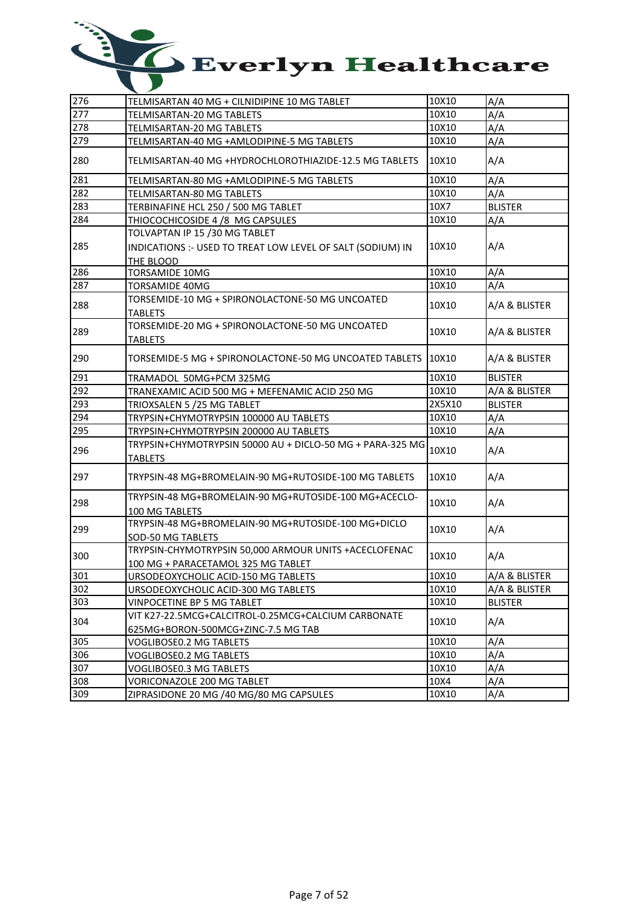| 276 | TELMISARTAN 40 MG + CILNIDIPINE 10 MG TABLET                                                | 10X10  | A/A            |
|-----|---------------------------------------------------------------------------------------------|--------|----------------|
| 277 | TELMISARTAN-20 MG TABLETS                                                                   | 10X10  | A/A            |
| 278 | TELMISARTAN-20 MG TABLETS                                                                   | 10X10  | A/A            |
| 279 | TELMISARTAN-40 MG +AMLODIPINE-5 MG TABLETS                                                  | 10X10  | A/A            |
| 280 | TELMISARTAN-40 MG +HYDROCHLOROTHIAZIDE-12.5 MG TABLETS                                      | 10X10  | A/A            |
| 281 | TELMISARTAN-80 MG +AMLODIPINE-5 MG TABLETS                                                  | 10X10  | A/A            |
| 282 | TELMISARTAN-80 MG TABLETS                                                                   | 10X10  | A/A            |
| 283 | TERBINAFINE HCL 250 / 500 MG TABLET                                                         | 10X7   | <b>BLISTER</b> |
| 284 | THIOCOCHICOSIDE 4 /8 MG CAPSULES                                                            | 10X10  | A/A            |
|     | TOLVAPTAN IP 15 /30 MG TABLET                                                               |        |                |
| 285 | INDICATIONS :- USED TO TREAT LOW LEVEL OF SALT (SODIUM) IN                                  | 10X10  | A/A            |
|     | THE BLOOD                                                                                   |        |                |
| 286 | <b>TORSAMIDE 10MG</b>                                                                       | 10X10  | A/A            |
| 287 | <b>TORSAMIDE 40MG</b>                                                                       | 10X10  | A/A            |
| 288 | TORSEMIDE-10 MG + SPIRONOLACTONE-50 MG UNCOATED                                             | 10X10  | A/A & BLISTER  |
|     | <b>TABLETS</b>                                                                              |        |                |
| 289 | TORSEMIDE-20 MG + SPIRONOLACTONE-50 MG UNCOATED                                             | 10X10  | A/A & BLISTER  |
|     | <b>TABLETS</b>                                                                              |        |                |
| 290 | TORSEMIDE-5 MG + SPIRONOLACTONE-50 MG UNCOATED TABLETS                                      | 10X10  | A/A & BLISTER  |
| 291 | TRAMADOL 50MG+PCM 325MG                                                                     | 10X10  | <b>BLISTER</b> |
| 292 | TRANEXAMIC ACID 500 MG + MEFENAMIC ACID 250 MG                                              | 10X10  | A/A & BLISTER  |
| 293 | TRIOXSALEN 5 /25 MG TABLET                                                                  | 2X5X10 | <b>BLISTER</b> |
| 294 | TRYPSIN+CHYMOTRYPSIN 100000 AU TABLETS                                                      | 10X10  | A/A            |
| 295 | TRYPSIN+CHYMOTRYPSIN 200000 AU TABLETS                                                      | 10X10  | A/A            |
| 296 | TRYPSIN+CHYMOTRYPSIN 50000 AU + DICLO-50 MG + PARA-325 MG<br><b>TABLETS</b>                 | 10X10  | A/A            |
| 297 | TRYPSIN-48 MG+BROMELAIN-90 MG+RUTOSIDE-100 MG TABLETS                                       | 10X10  | A/A            |
| 298 | TRYPSIN-48 MG+BROMELAIN-90 MG+RUTOSIDE-100 MG+ACECLO-<br>100 MG TABLETS                     | 10X10  | A/A            |
| 299 | TRYPSIN-48 MG+BROMELAIN-90 MG+RUTOSIDE-100 MG+DICLO<br>SOD-50 MG TABLETS                    | 10X10  | A/A            |
| 300 | TRYPSIN-CHYMOTRYPSIN 50,000 ARMOUR UNITS +ACECLOFENAC<br>100 MG + PARACETAMOL 325 MG TABLET | 10X10  | A/A            |
| 301 | URSODEOXYCHOLIC ACID-150 MG TABLETS                                                         | 10X10  | A/A & BLISTER  |
| 302 | URSODEOXYCHOLIC ACID-300 MG TABLETS                                                         | 10X10  | A/A & BLISTER  |
| 303 | VINPOCETINE BP 5 MG TABLET                                                                  | 10X10  | <b>BLISTER</b> |
|     | VIT K27-22.5MCG+CALCITROL-0.25MCG+CALCIUM CARBONATE                                         |        |                |
| 304 | 625MG+BORON-500MCG+ZINC-7.5 MG TAB                                                          | 10X10  | A/A            |
| 305 | VOGLIBOSE0.2 MG TABLETS                                                                     | 10X10  | A/A            |
| 306 | VOGLIBOSE0.2 MG TABLETS                                                                     | 10X10  | A/A            |
| 307 | VOGLIBOSE0.3 MG TABLETS                                                                     | 10X10  | A/A            |
| 308 | VORICONAZOLE 200 MG TABLET                                                                  | 10X4   | A/A            |
|     |                                                                                             |        |                |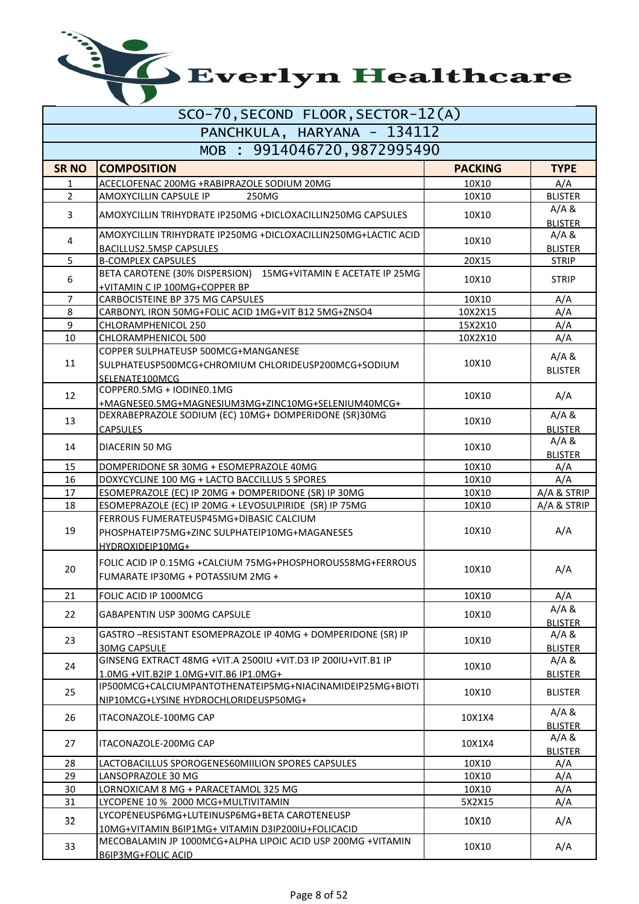| SCO-70, SECOND FLOOR, SECTOR-12(A) |                                                                                                   |                |                         |
|------------------------------------|---------------------------------------------------------------------------------------------------|----------------|-------------------------|
|                                    | PANCHKULA, HARYANA - 134112                                                                       |                |                         |
|                                    | MOB : 9914046720,9872995490                                                                       |                |                         |
| <b>SR NO</b>                       | <b>COMPOSITION</b>                                                                                | <b>PACKING</b> | <b>TYPE</b>             |
| $\mathbf{1}$                       | ACECLOFENAC 200MG +RABIPRAZOLE SODIUM 20MG                                                        | 10X10          | A/A                     |
| $\overline{2}$                     | AMOXYCILLIN CAPSULE IP<br>250MG                                                                   | 10X10          | <b>BLISTER</b>          |
| 3                                  | AMOXYCILLIN TRIHYDRATE IP250MG +DICLOXACILLIN250MG CAPSULES                                       | 10X10          | A/A &<br><b>BLISTER</b> |
| 4                                  | AMOXYCILLIN TRIHYDRATE IP250MG +DICLOXACILLIN250MG+LACTIC ACID<br><b>BACILLUS2.5MSP CAPSULES</b>  | 10X10          | A/A &<br><b>BLISTER</b> |
| 5                                  | <b>B-COMPLEX CAPSULES</b>                                                                         | 20X15          | <b>STRIP</b>            |
|                                    | BETA CAROTENE (30% DISPERSION) 15MG+VITAMIN E ACETATE IP 25MG                                     |                |                         |
| 6                                  | +VITAMIN C IP 100MG+COPPER BP                                                                     | 10X10          | <b>STRIP</b>            |
| 7                                  | CARBOCISTEINE BP 375 MG CAPSULES                                                                  | 10X10          | A/A                     |
| 8                                  | CARBONYL IRON 50MG+FOLIC ACID 1MG+VIT B12 5MG+ZNSO4                                               | 10X2X15        | A/A                     |
| 9                                  | CHLORAMPHENICOL 250                                                                               | 15X2X10        | A/A                     |
| 10                                 | CHLORAMPHENICOL 500                                                                               | 10X2X10        | A/A                     |
|                                    | COPPER SULPHATEUSP 500MCG+MANGANESE                                                               |                | A/A &                   |
| 11                                 | SULPHATEUSP500MCG+CHROMIUM CHLORIDEUSP200MCG+SODIUM                                               | 10X10          | <b>BLISTER</b>          |
|                                    | SELENATE100MCG                                                                                    |                |                         |
| 12                                 | COPPER0.5MG + IODINE0.1MG                                                                         | 10X10          | A/A                     |
|                                    | +MAGNESE0.5MG+MAGNESIUM3MG+ZINC10MG+SELENIUM40MCG+                                                |                |                         |
| 13                                 | DEXRABEPRAZOLE SODIUM (EC) 10MG+ DOMPERIDONE (SR)30MG                                             | 10X10          | A/A &                   |
|                                    | <b>CAPSULES</b>                                                                                   |                | <b>BLISTER</b>          |
| 14                                 | DIACERIN 50 MG                                                                                    | 10X10          | A/A &                   |
| 15                                 |                                                                                                   | 10X10          | <b>BLISTER</b>          |
| 16                                 | DOMPERIDONE SR 30MG + ESOMEPRAZOLE 40MG<br>DOXYCYCLINE 100 MG + LACTO BACCILLUS 5 SPORES          | 10X10          | A/A<br>A/A              |
| 17                                 | ESOMEPRAZOLE (EC) IP 20MG + DOMPERIDONE (SR) IP 30MG                                              | 10X10          | A/A & STRIP             |
| 18                                 | ESOMEPRAZOLE (EC) IP 20MG + LEVOSULPIRIDE (SR) IP 75MG                                            | 10X10          | A/A & STRIP             |
| 19                                 | FERROUS FUMERATEUSP45MG+DIBASIC CALCIUM<br>PHOSPHATEIP75MG+ZINC SULPHATEIP10MG+MAGANESES          | 10X10          | A/A                     |
|                                    | HYDROXIDEIP10MG+                                                                                  |                |                         |
|                                    |                                                                                                   |                |                         |
| 20                                 | FOLIC ACID IP 0.15MG +CALCIUM 75MG+PHOSPHOROUS58MG+FERROUS<br>FUMARATE IP30MG + POTASSIUM 2MG +   | 10X10          | A/A                     |
| 21                                 | FOLIC ACID IP 1000MCG                                                                             | 10X10          | A/A                     |
| 22                                 |                                                                                                   | 10X10          | A/A &                   |
|                                    | GABAPENTIN USP 300MG CAPSULE                                                                      |                | <b>BLISTER</b>          |
| 23                                 | GASTRO -RESISTANT ESOMEPRAZOLE IP 40MG + DOMPERIDONE (SR) IP                                      | 10X10          | A/A &                   |
|                                    | <b>30MG CAPSULE</b>                                                                               |                | <b>BLISTER</b>          |
| 24                                 | GINSENG EXTRACT 48MG + VIT.A 2500IU + VIT.D3 IP 200IU + VIT.B1 IP                                 | 10X10          | A/A &                   |
|                                    | 1.0MG + VIT.B2IP 1.0MG + VIT.B6 IP1.0MG +                                                         |                | <b>BLISTER</b>          |
| 25                                 | IP500MCG+CALCIUMPANTOTHENATEIP5MG+NIACINAMIDEIP25MG+BIOTI                                         | 10X10          | <b>BLISTER</b>          |
|                                    | NIP10MCG+LYSINE HYDROCHLORIDEUSP50MG+                                                             |                |                         |
| 26                                 | ITACONAZOLE-100MG CAP                                                                             | 10X1X4         | A/A &<br><b>BLISTER</b> |
| 27                                 | ITACONAZOLE-200MG CAP                                                                             | 10X1X4         | A/A &<br><b>BLISTER</b> |
| 28                                 | LACTOBACILLUS SPOROGENES60MIILION SPORES CAPSULES                                                 | 10X10          | A/A                     |
| 29                                 | LANSOPRAZOLE 30 MG                                                                                | 10X10          | A/A                     |
| 30                                 | LORNOXICAM 8 MG + PARACETAMOL 325 MG                                                              | 10X10          | A/A                     |
| 31                                 | LYCOPENE 10 % 2000 MCG+MULTIVITAMIN                                                               | 5X2X15         | A/A                     |
| 32                                 | LYCOPENEUSP6MG+LUTEINUSP6MG+BETA CAROTENEUSP<br>10MG+VITAMIN B6IP1MG+ VITAMIN D3IP200IU+FOLICACID | 10X10          | A/A                     |
| 33                                 | MECOBALAMIN JP 1000MCG+ALPHA LIPOIC ACID USP 200MG +VITAMIN<br>B6IP3MG+FOLIC ACID                 | 10X10          | A/A                     |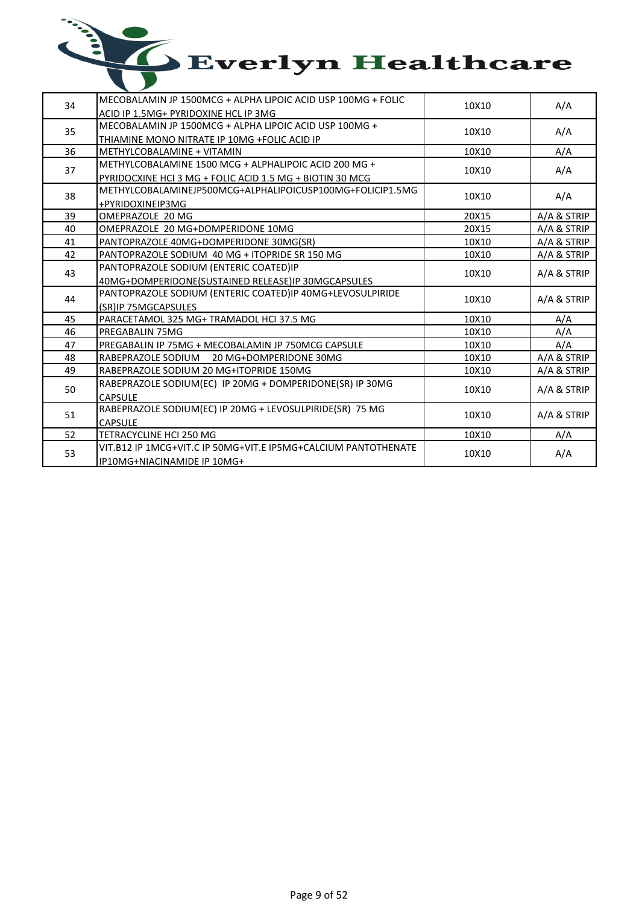| 34 | MECOBALAMIN JP 1500MCG + ALPHA LIPOIC ACID USP 100MG + FOLIC<br>ACID IP 1.5MG+ PYRIDOXINE HCL IP 3MG                                   | 10X10 | A/A         |
|----|----------------------------------------------------------------------------------------------------------------------------------------|-------|-------------|
| 35 | MECOBALAMIN JP 1500MCG + ALPHA LIPOIC ACID USP 100MG +<br>THIAMINE MONO NITRATE IP 10MG +FOLIC ACID IP                                 | 10X10 | A/A         |
| 36 | METHYLCOBALAMINE + VITAMIN                                                                                                             | 10X10 | A/A         |
| 37 | METHYLCOBALAMINE 1500 MCG + ALPHALIPOIC ACID 200 MG +<br>PYRIDOCXINE HCI 3 MG + FOLIC ACID 1.5 MG + BIOTIN 30 MCG                      | 10X10 | A/A         |
| 38 | METHYLCOBALAMINEJP500MCG+ALPHALIPOICUSP100MG+FOLICIP1.5MG<br>+PYRIDOXINEIP3MG                                                          | 10X10 | A/A         |
| 39 | OMEPRAZOLE 20 MG                                                                                                                       | 20X15 | A/A & STRIP |
| 40 | OMEPRAZOLE 20 MG+DOMPERIDONE 10MG                                                                                                      | 20X15 | A/A & STRIP |
| 41 | PANTOPRAZOLE 40MG+DOMPERIDONE 30MG(SR)                                                                                                 | 10X10 | A/A & STRIP |
| 42 | PANTOPRAZOLE SODIUM 40 MG + ITOPRIDE SR 150 MG                                                                                         | 10X10 | A/A & STRIP |
| 43 | PANTOPRAZOLE SODIUM (ENTERIC COATED)IP                                                                                                 | 10X10 | A/A & STRIP |
| 44 | 40MG+DOMPERIDONE(SUSTAINED RELEASE)IP 30MGCAPSULES<br>PANTOPRAZOLE SODIUM (ENTERIC COATED)IP 40MG+LEVOSULPIRIDE<br>(SR)IP 75MGCAPSULES | 10X10 | A/A & STRIP |
| 45 | PARACETAMOL 325 MG+ TRAMADOL HCI 37.5 MG                                                                                               | 10X10 | A/A         |
| 46 | <b>PREGABALIN 75MG</b>                                                                                                                 | 10X10 | A/A         |
| 47 | PREGABALIN IP 75MG + MECOBALAMIN JP 750MCG CAPSULE                                                                                     | 10X10 | A/A         |
| 48 | RABEPRAZOLE SODIUM 20 MG+DOMPERIDONE 30MG                                                                                              | 10X10 | A/A & STRIP |
| 49 | RABEPRAZOLE SODIUM 20 MG+ITOPRIDE 150MG                                                                                                | 10X10 | A/A & STRIP |
| 50 | RABEPRAZOLE SODIUM(EC) IP 20MG + DOMPERIDONE(SR) IP 30MG<br><b>CAPSULE</b>                                                             | 10X10 | A/A & STRIP |
| 51 | RABEPRAZOLE SODIUM(EC) IP 20MG + LEVOSULPIRIDE(SR) 75 MG<br><b>CAPSULE</b>                                                             | 10X10 | A/A & STRIP |
| 52 | TETRACYCLINE HCI 250 MG                                                                                                                | 10X10 | A/A         |
| 53 | VIT.B12 IP 1MCG+VIT.C IP 50MG+VIT.E IP5MG+CALCIUM PANTOTHENATE<br>IP10MG+NIACINAMIDE IP 10MG+                                          | 10X10 | A/A         |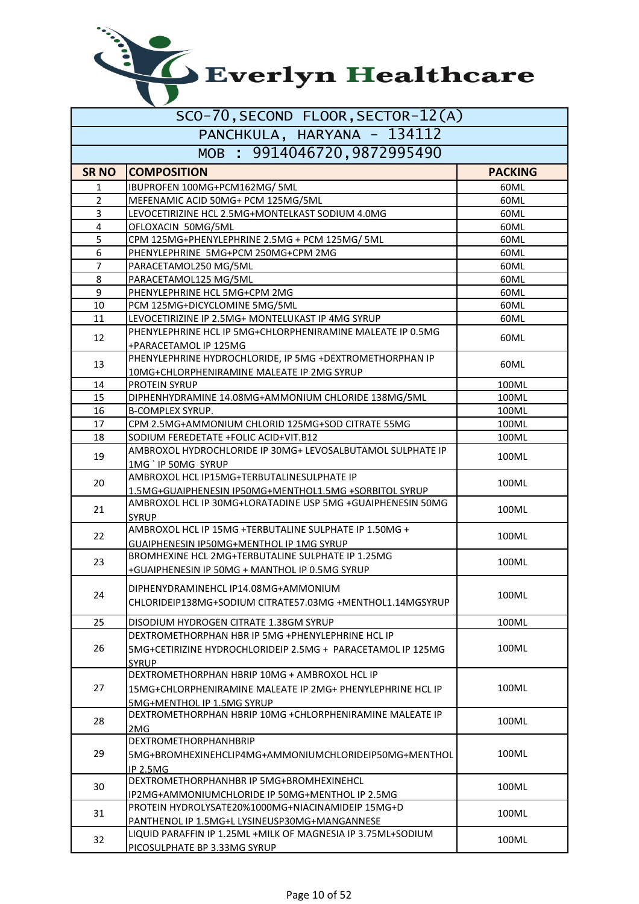| SCO-70, SECOND FLOOR, SECTOR-12(A) |                                                                                     |                |  |
|------------------------------------|-------------------------------------------------------------------------------------|----------------|--|
| PANCHKULA, HARYANA - 134112        |                                                                                     |                |  |
|                                    | MOB : 9914046720,9872995490                                                         |                |  |
| <b>SR NO</b>                       | <b>COMPOSITION</b>                                                                  | <b>PACKING</b> |  |
| 1                                  | IBUPROFEN 100MG+PCM162MG/ 5ML                                                       | 60ML           |  |
| $\overline{2}$                     | MEFENAMIC ACID 50MG+ PCM 125MG/5ML                                                  | 60ML           |  |
| 3                                  | LEVOCETIRIZINE HCL 2.5MG+MONTELKAST SODIUM 4.0MG                                    | 60ML           |  |
| 4                                  | OFLOXACIN 50MG/5ML                                                                  | 60ML           |  |
| 5                                  | CPM 125MG+PHENYLEPHRINE 2.5MG + PCM 125MG/ 5ML                                      | 60ML           |  |
| 6                                  | PHENYLEPHRINE 5MG+PCM 250MG+CPM 2MG                                                 | 60ML           |  |
| 7                                  | PARACETAMOL250 MG/5ML                                                               | 60ML           |  |
| 8                                  | PARACETAMOL125 MG/5ML                                                               | 60ML           |  |
| 9                                  | PHENYLEPHRINE HCL 5MG+CPM 2MG                                                       | 60ML           |  |
| 10                                 | PCM 125MG+DICYCLOMINE 5MG/5ML                                                       | 60ML           |  |
| 11                                 | LEVOCETIRIZINE IP 2.5MG+ MONTELUKAST IP 4MG SYRUP                                   | 60ML           |  |
| 12                                 | PHENYLEPHRINE HCL IP 5MG+CHLORPHENIRAMINE MALEATE IP 0.5MG<br>+PARACETAMOL IP 125MG | 60ML           |  |
|                                    | PHENYLEPHRINE HYDROCHLORIDE, IP 5MG +DEXTROMETHORPHAN IP                            |                |  |
| 13                                 | 10MG+CHLORPHENIRAMINE MALEATE IP 2MG SYRUP                                          | 60ML           |  |
| 14                                 | <b>PROTEIN SYRUP</b>                                                                | 100ML          |  |
| 15                                 | DIPHENHYDRAMINE 14.08MG+AMMONIUM CHLORIDE 138MG/5ML                                 | 100ML          |  |
| 16                                 | <b>B-COMPLEX SYRUP.</b>                                                             | 100ML          |  |
| 17                                 | CPM 2.5MG+AMMONIUM CHLORID 125MG+SOD CITRATE 55MG                                   | 100ML          |  |
| 18                                 | SODIUM FEREDETATE +FOLIC ACID+VIT.B12                                               | 100ML          |  |
|                                    | AMBROXOL HYDROCHLORIDE IP 30MG+ LEVOSALBUTAMOL SULPHATE IP                          |                |  |
| 19                                 | 1MG ` IP 50MG SYRUP                                                                 | 100ML          |  |
|                                    | AMBROXOL HCL IP15MG+TERBUTALINESULPHATE IP                                          |                |  |
| 20                                 | 1.5MG+GUAIPHENESIN IP50MG+MENTHOL1.5MG +SORBITOL SYRUP                              | 100ML          |  |
|                                    | AMBROXOL HCL IP 30MG+LORATADINE USP 5MG +GUAIPHENESIN 50MG                          |                |  |
| 21                                 | <b>SYRUP</b>                                                                        | 100ML          |  |
| 22                                 | AMBROXOL HCL IP 15MG +TERBUTALINE SULPHATE IP 1.50MG +                              | 100ML          |  |
|                                    | GUAIPHENESIN IP50MG+MENTHOL IP 1MG SYRUP                                            |                |  |
| 23                                 | BROMHEXINE HCL 2MG+TERBUTALINE SULPHATE IP 1.25MG                                   | 100ML          |  |
|                                    | +GUAIPHENESIN IP 50MG + MANTHOL IP 0.5MG SYRUP                                      |                |  |
|                                    | DIPHENYDRAMINEHCL IP14.08MG+AMMONIUM                                                |                |  |
| 24                                 | CHLORIDEIP138MG+SODIUM CITRATE57.03MG +MENTHOL1.14MGSYRUP                           | 100ML          |  |
|                                    |                                                                                     |                |  |
| 25                                 | DISODIUM HYDROGEN CITRATE 1.38GM SYRUP                                              | 100ML          |  |
|                                    | DEXTROMETHORPHAN HBR IP 5MG +PHENYLEPHRINE HCL IP                                   |                |  |
| 26                                 | 5MG+CETIRIZINE HYDROCHLORIDEIP 2.5MG + PARACETAMOL IP 125MG                         | 100ML          |  |
|                                    | <b>SYRUP</b>                                                                        |                |  |
|                                    | DEXTROMETHORPHAN HBRIP 10MG + AMBROXOL HCL IP                                       |                |  |
| 27                                 | 15MG+CHLORPHENIRAMINE MALEATE IP 2MG+ PHENYLEPHRINE HCL IP                          | 100ML          |  |
|                                    | 5MG+MENTHOL IP 1.5MG SYRUP                                                          |                |  |
| 28                                 | DEXTROMETHORPHAN HBRIP 10MG +CHLORPHENIRAMINE MALEATE IP                            | 100ML          |  |
|                                    | 2MG                                                                                 |                |  |
| 29                                 | <b>DEXTROMETHORPHANHBRIP</b>                                                        |                |  |
|                                    | 5MG+BROMHEXINEHCLIP4MG+AMMONIUMCHLORIDEIP50MG+MENTHOL                               | 100ML          |  |
|                                    | IP 2.5MG                                                                            |                |  |
| 30                                 | DEXTROMETHORPHANHBR IP 5MG+BROMHEXINEHCL                                            | 100ML          |  |
|                                    | IP2MG+AMMONIUMCHLORIDE IP 50MG+MENTHOL IP 2.5MG                                     |                |  |
| 31                                 | PROTEIN HYDROLYSATE20%1000MG+NIACINAMIDEIP 15MG+D                                   | 100ML          |  |
|                                    | PANTHENOL IP 1.5MG+L LYSINEUSP30MG+MANGANNESE                                       |                |  |
| 32                                 | LIQUID PARAFFIN IP 1.25ML +MILK OF MAGNESIA IP 3.75ML+SODIUM                        | 100ML          |  |
|                                    | PICOSULPHATE BP 3.33MG SYRUP                                                        |                |  |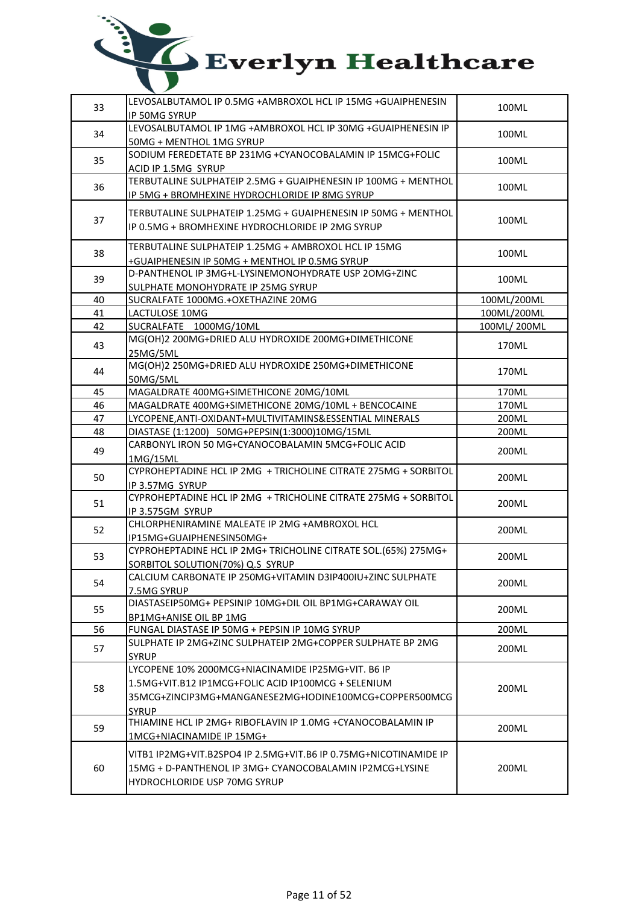| 33 | LEVOSALBUTAMOL IP 0.5MG +AMBROXOL HCL IP 15MG +GUAIPHENESIN<br><b>IP 50MG SYRUP</b>                                | 100ML       |
|----|--------------------------------------------------------------------------------------------------------------------|-------------|
| 34 | LEVOSALBUTAMOL IP 1MG +AMBROXOL HCL IP 30MG +GUAIPHENESIN IP<br>50MG + MENTHOL 1MG SYRUP                           | 100ML       |
| 35 | SODIUM FEREDETATE BP 231MG +CYANOCOBALAMIN IP 15MCG+FOLIC<br>ACID IP 1.5MG SYRUP                                   | 100ML       |
| 36 | TERBUTALINE SULPHATEIP 2.5MG + GUAIPHENESIN IP 100MG + MENTHOL<br>IP 5MG + BROMHEXINE HYDROCHLORIDE IP 8MG SYRUP   | 100ML       |
| 37 | TERBUTALINE SULPHATEIP 1.25MG + GUAIPHENESIN IP 50MG + MENTHOL<br>IP 0.5MG + BROMHEXINE HYDROCHLORIDE IP 2MG SYRUP | 100ML       |
| 38 | TERBUTALINE SULPHATEIP 1.25MG + AMBROXOL HCL IP 15MG<br>+GUAIPHENESIN IP 50MG + MENTHOL IP 0.5MG SYRUP             | 100ML       |
| 39 | D-PANTHENOL IP 3MG+L-LYSINEMONOHYDRATE USP 2OMG+ZINC<br>SULPHATE MONOHYDRATE IP 25MG SYRUP                         | 100ML       |
| 40 | SUCRALFATE 1000MG.+OXETHAZINE 20MG                                                                                 | 100ML/200ML |
| 41 | LACTULOSE 10MG                                                                                                     | 100ML/200ML |
| 42 | SUCRALFATE 1000MG/10ML                                                                                             | 100ML/200ML |
| 43 | MG(OH)2 200MG+DRIED ALU HYDROXIDE 200MG+DIMETHICONE<br>25MG/5ML                                                    | 170ML       |
| 44 | MG(OH)2 250MG+DRIED ALU HYDROXIDE 250MG+DIMETHICONE<br>50MG/5ML                                                    | 170ML       |
| 45 | MAGALDRATE 400MG+SIMETHICONE 20MG/10ML                                                                             | 170ML       |
| 46 | MAGALDRATE 400MG+SIMETHICONE 20MG/10ML + BENCOCAINE                                                                | 170ML       |
| 47 | LYCOPENE, ANTI-OXIDANT+MULTIVITAMINS& ESSENTIAL MINERALS                                                           | 200ML       |
| 48 | DIASTASE (1:1200) 50MG+PEPSIN(1:3000)10MG/15ML                                                                     | 200ML       |
| 49 | CARBONYL IRON 50 MG+CYANOCOBALAMIN 5MCG+FOLIC ACID<br>1MG/15ML                                                     | 200ML       |
| 50 | CYPROHEPTADINE HCL IP 2MG + TRICHOLINE CITRATE 275MG + SORBITOL<br>IP 3.57MG SYRUP                                 | 200ML       |
| 51 | CYPROHEPTADINE HCL IP 2MG + TRICHOLINE CITRATE 275MG + SORBITOL<br>IP 3.575GM SYRUP                                | 200ML       |
| 52 | CHLORPHENIRAMINE MALEATE IP 2MG +AMBROXOL HCL<br>IP15MG+GUAIPHENESIN50MG+                                          | 200ML       |
| 53 | CYPROHEPTADINE HCL IP 2MG+ TRICHOLINE CITRATE SOL.(65%) 275MG+<br>SORBITOL SOLUTION(70%) Q.S SYRUP                 | 200ML       |
| 54 | CALCIUM CARBONATE IP 250MG+VITAMIN D3IP400IU+ZINC SULPHATE<br>7.5MG SYRUP                                          | 200ML       |
| 55 | DIASTASEIP50MG+ PEPSINIP 10MG+DIL OIL BP1MG+CARAWAY OIL<br>BP1MG+ANISE OIL BP 1MG                                  | 200ML       |
| 56 | FUNGAL DIASTASE IP 50MG + PEPSIN IP 10MG SYRUP                                                                     | 200ML       |
| 57 | SULPHATE IP 2MG+ZINC SULPHATEIP 2MG+COPPER SULPHATE BP 2MG                                                         | 200ML       |
|    | <b>SYRUP</b>                                                                                                       |             |
| 58 | LYCOPENE 10% 2000MCG+NIACINAMIDE IP25MG+VIT. B6 IP                                                                 |             |
|    | 1.5MG+VIT.B12 IP1MCG+FOLIC ACID IP100MCG + SELENIUM<br>35MCG+ZINCIP3MG+MANGANESE2MG+IODINE100MCG+COPPER500MCG      | 200ML       |
|    | <b>SYRUP</b>                                                                                                       |             |
|    | THIAMINE HCL IP 2MG+ RIBOFLAVIN IP 1.0MG +CYANOCOBALAMIN IP                                                        |             |
| 59 | 1MCG+NIACINAMIDE IP 15MG+                                                                                          | 200ML       |
| 60 | 15MG + D-PANTHENOL IP 3MG+ CYANOCOBALAMIN IP2MCG+LYSINE<br>HYDROCHLORIDE USP 70MG SYRUP                            | 200ML       |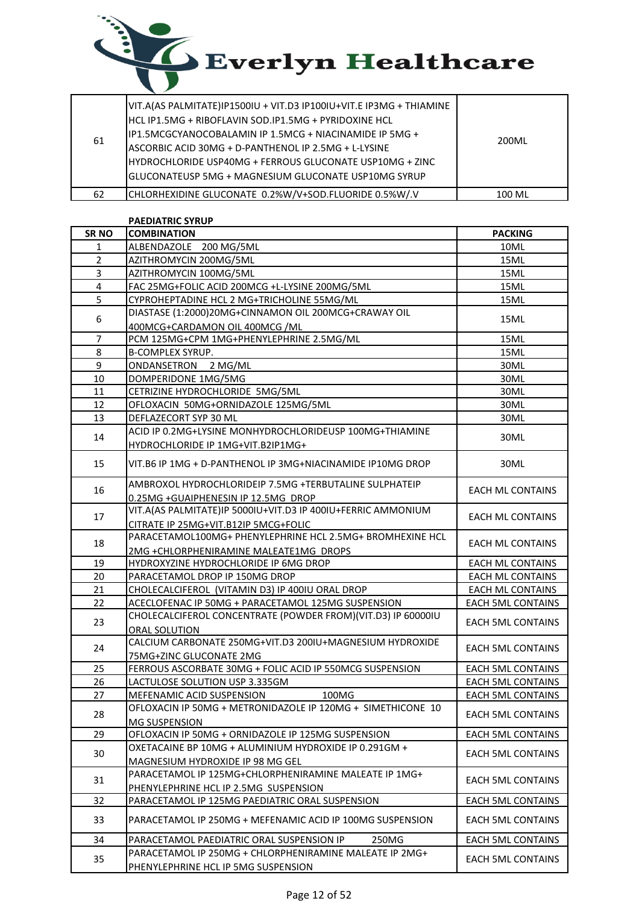

| 61 | VIT.A(AS PALMITATE)IP1500IU + VIT.D3 IP100IU+VIT.E IP3MG + THIAMINE<br>IHCL IP1.5MG + RIBOFLAVIN SOD.IP1.5MG + PYRIDOXINE HCL<br>IP1.5MCGCYANOCOBALAMIN IP 1.5MCG + NIACINAMIDE IP 5MG +<br>IASCORBIC ACID 30MG + D-PANTHENOL IP 2.5MG + L-LYSINE<br>HYDROCHLORIDE USP40MG + FERROUS GLUCONATE USP10MG + ZINC<br>IGLUCONATEUSP 5MG + MAGNESIUM GLUCONATE USP10MG SYRUP | 200ML  |
|----|------------------------------------------------------------------------------------------------------------------------------------------------------------------------------------------------------------------------------------------------------------------------------------------------------------------------------------------------------------------------|--------|
| 62 | CHLORHEXIDINE GLUCONATE 0.2%W/V+SOD.FLUORIDE 0.5%W/.V                                                                                                                                                                                                                                                                                                                  | 100 MI |

### PAEDIATRIC SYRUP

| <b>SRNO</b>    | <b>COMBINATION</b>                                                                                | <b>PACKING</b>           |
|----------------|---------------------------------------------------------------------------------------------------|--------------------------|
| 1              | ALBENDAZOLE 200 MG/5ML                                                                            | 10ML                     |
| $\overline{2}$ | AZITHROMYCIN 200MG/5ML                                                                            | 15ML                     |
| 3              | AZITHROMYCIN 100MG/5ML                                                                            | 15ML                     |
| 4              | FAC 25MG+FOLIC ACID 200MCG +L-LYSINE 200MG/5ML                                                    | 15ML                     |
| 5              | CYPROHEPTADINE HCL 2 MG+TRICHOLINE 55MG/ML                                                        | 15ML                     |
| 6              | DIASTASE (1:2000)20MG+CINNAMON OIL 200MCG+CRAWAY OIL                                              | 15ML                     |
| $\overline{7}$ | 400MCG+CARDAMON OIL 400MCG /ML<br>PCM 125MG+CPM 1MG+PHENYLEPHRINE 2.5MG/ML                        | 15ML                     |
| 8              |                                                                                                   | 15ML                     |
|                | <b>B-COMPLEX SYRUP.</b>                                                                           |                          |
| 9              | ONDANSETRON 2 MG/ML                                                                               | 30ML                     |
| 10             | DOMPERIDONE 1MG/5MG                                                                               | 30ML                     |
| 11             | CETRIZINE HYDROCHLORIDE 5MG/5ML                                                                   | 30ML                     |
| 12             | OFLOXACIN 50MG+ORNIDAZOLE 125MG/5ML                                                               | 30ML                     |
| 13             | DEFLAZECORT SYP 30 ML                                                                             | 30ML                     |
| 14             | ACID IP 0.2MG+LYSINE MONHYDROCHLORIDEUSP 100MG+THIAMINE<br>HYDROCHLORIDE IP 1MG+VIT.B2IP1MG+      | 30ML                     |
| 15             | VIT.B6 IP 1MG + D-PANTHENOL IP 3MG+NIACINAMIDE IP10MG DROP                                        | 30ML                     |
| 16             | AMBROXOL HYDROCHLORIDEIP 7.5MG +TERBUTALINE SULPHATEIP<br>0.25MG +GUAIPHENESIN IP 12.5MG DROP     | <b>EACH ML CONTAINS</b>  |
| 17             | VIT.A(AS PALMITATE)IP 5000IU+VIT.D3 IP 400IU+FERRIC AMMONIUM                                      | <b>EACH ML CONTAINS</b>  |
| 18             | CITRATE IP 25MG+VIT.B12IP 5MCG+FOLIC<br>PARACETAMOL100MG+ PHENYLEPHRINE HCL 2.5MG+ BROMHEXINE HCL | <b>EACH ML CONTAINS</b>  |
|                | 2MG +CHLORPHENIRAMINE MALEATE1MG DROPS                                                            |                          |
| 19             | HYDROXYZINE HYDROCHLORIDE IP 6MG DROP                                                             | <b>EACH ML CONTAINS</b>  |
| 20             | PARACETAMOL DROP IP 150MG DROP                                                                    | <b>EACH ML CONTAINS</b>  |
| 21             | CHOLECALCIFEROL (VITAMIN D3) IP 400IU ORAL DROP                                                   | <b>EACH ML CONTAINS</b>  |
| 22             | ACECLOFENAC IP 50MG + PARACETAMOL 125MG SUSPENSION                                                | <b>EACH 5ML CONTAINS</b> |
| 23             | CHOLECALCIFEROL CONCENTRATE (POWDER FROM)(VIT.D3) IP 60000IU<br>ORAL SOLUTION                     | <b>EACH 5ML CONTAINS</b> |
| 24             | CALCIUM CARBONATE 250MG+VIT.D3 200IU+MAGNESIUM HYDROXIDE                                          | <b>EACH 5ML CONTAINS</b> |
|                | 75MG+ZINC GLUCONATE 2MG                                                                           |                          |
| 25             | FERROUS ASCORBATE 30MG + FOLIC ACID IP 550MCG SUSPENSION                                          | <b>EACH 5ML CONTAINS</b> |
| 26             | LACTULOSE SOLUTION USP 3.335GM                                                                    | <b>EACH 5ML CONTAINS</b> |
| 27             | MEFENAMIC ACID SUSPENSION<br>100MG                                                                | <b>EACH 5ML CONTAINS</b> |
| 28             | OFLOXACIN IP 50MG + METRONIDAZOLE IP 120MG + SIMETHICONE 10<br><b>MG SUSPENSION</b>               | <b>EACH 5ML CONTAINS</b> |
| 29             | OFLOXACIN IP 50MG + ORNIDAZOLE IP 125MG SUSPENSION                                                | <b>EACH 5ML CONTAINS</b> |
| 30             | OXETACAINE BP 10MG + ALUMINIUM HYDROXIDE IP 0.291GM +                                             | <b>EACH 5ML CONTAINS</b> |
|                | MAGNESIUM HYDROXIDE IP 98 MG GEL                                                                  |                          |
| 31             | PARACETAMOL IP 125MG+CHLORPHENIRAMINE MALEATE IP 1MG+<br>PHENYLEPHRINE HCL IP 2.5MG SUSPENSION    | <b>EACH 5ML CONTAINS</b> |
| 32             | PARACETAMOL IP 125MG PAEDIATRIC ORAL SUSPENSION                                                   | <b>EACH 5ML CONTAINS</b> |
| 33             | PARACETAMOL IP 250MG + MEFENAMIC ACID IP 100MG SUSPENSION                                         | <b>EACH 5ML CONTAINS</b> |
| 34             | PARACETAMOL PAEDIATRIC ORAL SUSPENSION IP<br>250MG                                                | <b>EACH 5ML CONTAINS</b> |
|                |                                                                                                   |                          |
| 35             | PARACETAMOL IP 250MG + CHLORPHENIRAMINE MALEATE IP 2MG+<br>PHENYLEPHRINE HCL IP 5MG SUSPENSION    | <b>EACH 5ML CONTAINS</b> |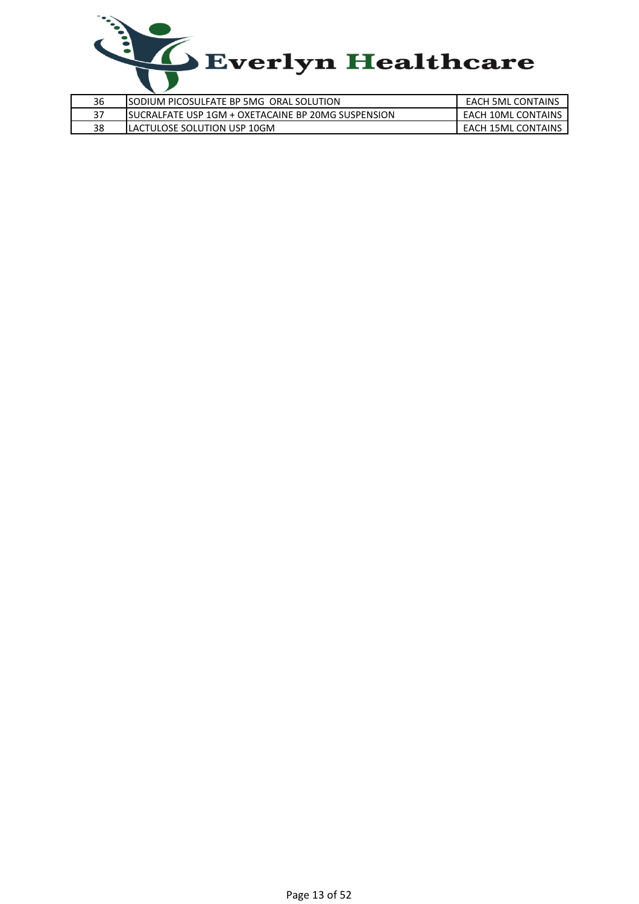

| 36 | ISODIUM PICOSULFATE BP 5MG ORAL SOLUTION            | <b>EACH 5ML CONTAINS</b>  |
|----|-----------------------------------------------------|---------------------------|
| 37 | ISUCRALFATE USP 1GM + OXETACAINE BP 20MG SUSPENSION | <b>EACH 10ML CONTAINS</b> |
| 38 | ILACTULOSE SOLUTION USP 10GM                        | <b>EACH 15ML CONTAINS</b> |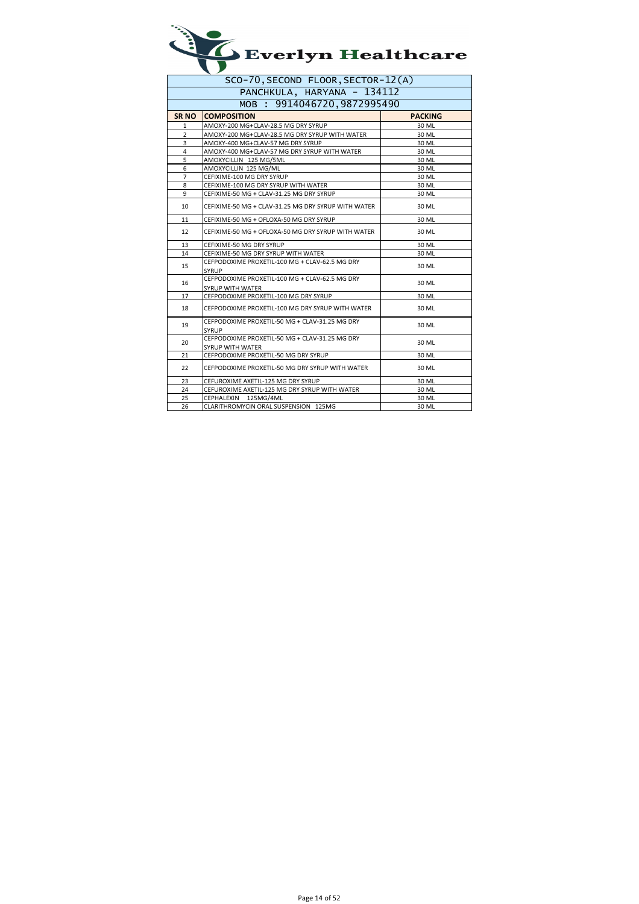| $\blacktriangle$ Everlyn Healthcare |
|-------------------------------------|
|                                     |

| SCO-70, SECOND FLOOR, SECTOR-12(A) |                                                                    |                |
|------------------------------------|--------------------------------------------------------------------|----------------|
| PANCHKULA, HARYANA - 134112        |                                                                    |                |
| MOB : 9914046720,9872995490        |                                                                    |                |
| SR <sub>NO</sub>                   | <b>COMPOSITION</b>                                                 | <b>PACKING</b> |
| 1                                  | AMOXY-200 MG+CLAV-28.5 MG DRY SYRUP                                | 30 ML          |
| 2                                  | AMOXY-200 MG+CLAV-28.5 MG DRY SYRUP WITH WATER                     | 30 ML          |
| 3                                  | AMOXY-400 MG+CLAV-57 MG DRY SYRUP                                  | 30 ML          |
| 4                                  | AMOXY-400 MG+CLAV-57 MG DRY SYRUP WITH WATER                       | 30 ML          |
| 5                                  | AMOXYCILLIN 125 MG/5ML                                             | 30 ML          |
| 6                                  | AMOXYCILLIN 125 MG/ML                                              | 30 ML          |
| $\overline{7}$                     | CEFIXIME-100 MG DRY SYRUP                                          | 30 ML          |
| 8                                  | CEFIXIME-100 MG DRY SYRUP WITH WATER                               | 30 ML          |
| 9                                  | CEFIXIME-50 MG + CLAV-31.25 MG DRY SYRUP                           | 30 ML          |
| 10                                 | CEFIXIME-50 MG + CLAV-31.25 MG DRY SYRUP WITH WATER                | 30 ML          |
| 11                                 | CEFIXIME-50 MG + OFLOXA-50 MG DRY SYRUP                            | 30 ML          |
| 12                                 | CEFIXIME-50 MG + OFLOXA-50 MG DRY SYRUP WITH WATER                 | 30 ML          |
| 13                                 | CEFIXIME-50 MG DRY SYRUP                                           | 30 ML          |
| 14                                 | CEFIXIME-50 MG DRY SYRUP WITH WATER                                | 30 ML          |
| 15                                 | CEFPODOXIME PROXETIL-100 MG + CLAV-62.5 MG DRY<br>SYRUP            | 30 ML          |
| 16                                 | CEFPODOXIME PROXETIL-100 MG + CLAV-62.5 MG DRY<br>SYRUP WITH WATER | 30 ML          |
| 17                                 | CEFPODOXIME PROXETIL-100 MG DRY SYRUP                              | 30 ML          |
| 18                                 | CEFPODOXIME PROXETIL-100 MG DRY SYRUP WITH WATER                   | 30 ML          |
| 19                                 | CEFPODOXIME PROXETIL-50 MG + CLAV-31.25 MG DRY<br><b>SYRUP</b>     | 30 ML          |
| 20                                 | CEFPODOXIME PROXETIL-50 MG + CLAV-31.25 MG DRY<br>SYRUP WITH WATER | 30 ML          |
| 21                                 | CEFPODOXIME PROXETIL-50 MG DRY SYRUP                               | 30 ML          |
| 22                                 | CEFPODOXIME PROXETIL-50 MG DRY SYRUP WITH WATER                    | 30 ML          |
| 23                                 | CEFUROXIME AXETIL-125 MG DRY SYRUP                                 | 30 ML          |
| 24                                 | CEFUROXIME AXETIL-125 MG DRY SYRUP WITH WATER                      | 30 ML          |
| 25                                 | CEPHALEXIN 125MG/4ML                                               | 30 ML          |
| 26                                 | CLARITHROMYCIN ORAL SUSPENSION 125MG                               | 30 ML          |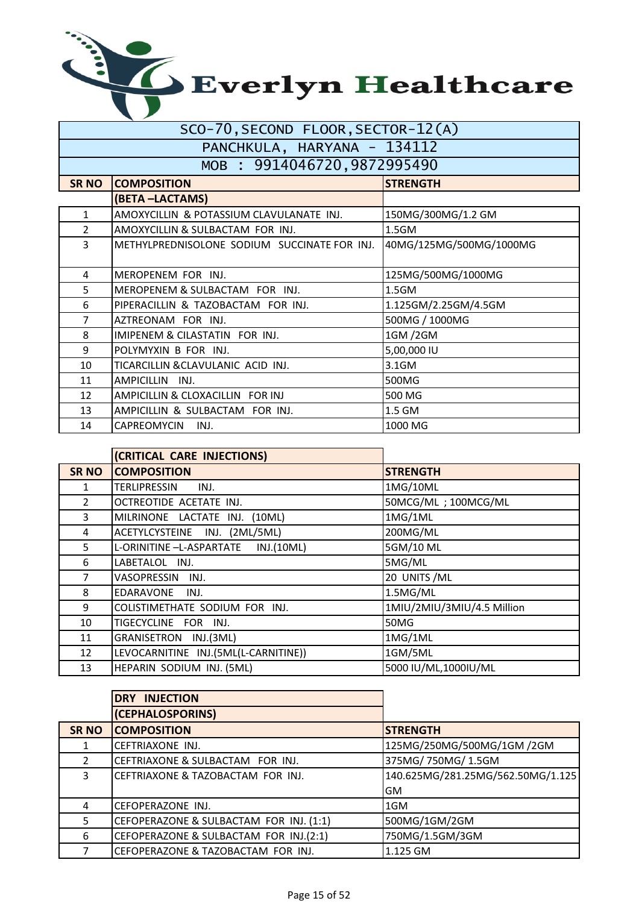| SCO-70,SECOND FLOOR,SECTOR-IZ(A) |                                              |                         |
|----------------------------------|----------------------------------------------|-------------------------|
| PANCHKULA, HARYANA - 134112      |                                              |                         |
| MOB : 9914046720,9872995490      |                                              |                         |
| <b>SR NO</b>                     | <b>COMPOSITION</b>                           | <b>STRENGTH</b>         |
|                                  | (BETA-LACTAMS)                               |                         |
| 1                                | AMOXYCILLIN & POTASSIUM CLAVULANATE INJ.     | 150MG/300MG/1.2 GM      |
| $\mathcal{P}$                    | AMOXYCILLIN & SULBACTAM FOR INJ.             | 1.5GM                   |
| 3                                | METHYLPREDNISOLONE SODIUM SUCCINATE FOR INJ. | 40MG/125MG/500MG/1000MG |
| 4                                | MEROPENEM FOR INJ.                           | 125MG/500MG/1000MG      |
| 5                                | MEROPENEM & SULBACTAM FOR INJ.               | 1.5GM                   |
| 6                                | PIPERACILLIN & TAZOBACTAM FOR INJ.           | 1.125GM/2.25GM/4.5GM    |
| 7                                | AZTREONAM FOR INJ.                           | 500MG / 1000MG          |
| 8                                | IMIPENEM & CILASTATIN FOR INJ.               | 1GM /2GM                |
| 9                                | POLYMYXIN B FOR INJ.                         | 5,00,000 IU             |
| 10                               | TICARCILLIN &CLAVULANIC ACID INJ.            | 3.1GM                   |
| 11                               | AMPICILLIN INJ.                              | 500MG                   |
| 12                               | AMPICILLIN & CLOXACILLIN FOR INJ             | 500 MG                  |
| 13                               | AMPICILLIN & SULBACTAM FOR INJ.              | 1.5 GM                  |
| 14                               | CAPREOMYCIN<br>INJ.                          | 1000 MG                 |

|                | (CRITICAL CARE INJECTIONS)           |                            |
|----------------|--------------------------------------|----------------------------|
| <b>SR NO</b>   | <b>COMPOSITION</b>                   | <b>STRENGTH</b>            |
| 1.             | TERLIPRESSIN<br>INJ.                 | 1MG/10ML                   |
| $\overline{2}$ | OCTREOTIDE ACETATE INJ.              | 50MCG/ML; 100MCG/ML        |
| 3              | MILRINONE LACTATE INJ. (10ML)        | 1MG/1ML                    |
| 4              | ACETYLCYSTEINE INJ. (2ML/5ML)        | 200MG/ML                   |
| 5              | L-ORINITINE -L-ASPARTATE INJ.(10ML)  | 5GM/10 ML                  |
| 6              | LABETALOL INJ.                       | 5MG/ML                     |
| 7              | VASOPRESSIN INJ.                     | 20 UNITS / ML              |
| 8              | EDARAVONE INJ.                       | 1.5MG/ML                   |
| 9              | COLISTIMETHATE SODIUM FOR INJ.       | 1MIU/2MIU/3MIU/4.5 Million |
| 10             | TIGECYCLINE FOR INJ.                 | 50MG                       |
| 11             | GRANISETRON INJ.(3ML)                | 1MG/1ML                    |
| 12             | LEVOCARNITINE INJ.(5ML(L-CARNITINE)) | 1GM/5ML                    |
| 13             | HEPARIN SODIUM INJ. (5ML)            | 5000 IU/ML,1000IU/ML       |

|               | <b>DRY INJECTION</b>                    |                                   |
|---------------|-----------------------------------------|-----------------------------------|
|               | (CEPHALOSPORINS)                        |                                   |
| <b>SR NO</b>  | <b>COMPOSITION</b>                      | <b>STRENGTH</b>                   |
|               | CEFTRIAXONE INJ.                        | 125MG/250MG/500MG/1GM /2GM        |
| $\mathcal{P}$ | CEFTRIAXONE & SULBACTAM FOR INJ.        | 375MG/750MG/1.5GM                 |
| 3             | CEFTRIAXONE & TAZOBACTAM FOR INJ.       | 140.625MG/281.25MG/562.50MG/1.125 |
|               |                                         | <b>GM</b>                         |
| 4             | CEFOPERAZONE INJ.                       | 1GM                               |
| 5             | CEFOPERAZONE & SULBACTAM FOR INJ. (1:1) | 500MG/1GM/2GM                     |
| 6             | CEFOPERAZONE & SULBACTAM FOR INJ.(2:1)  | 750MG/1.5GM/3GM                   |
|               | CEFOPERAZONE & TAZOBACTAM FOR INJ.      | 1.125 GM                          |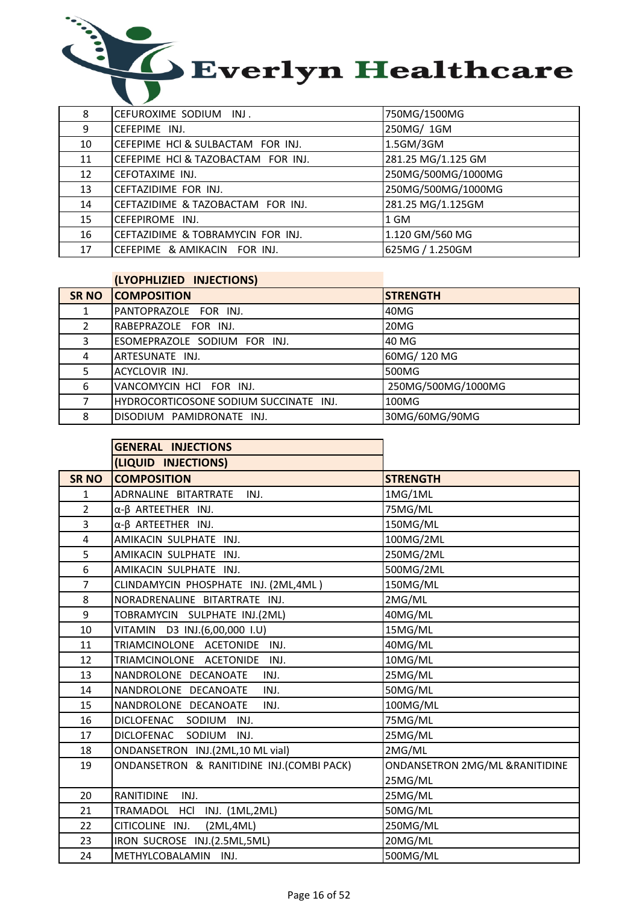

| 8  | CEFUROXIME SODIUM INJ.             | 750MG/1500MG       |
|----|------------------------------------|--------------------|
| 9  | CEFEPIME INJ.                      | 250MG/ 1GM         |
| 10 | CEFEPIME HCI & SULBACTAM FOR INJ.  | 1.5GM/3GM          |
| 11 | CEFEPIME HCI & TAZOBACTAM FOR INJ. | 281.25 MG/1.125 GM |
| 12 | <b>CEFOTAXIME INJ.</b>             | 250MG/500MG/1000MG |
| 13 | CEFTAZIDIME FOR INJ.               | 250MG/500MG/1000MG |
| 14 | CEFTAZIDIME & TAZOBACTAM FOR INJ.  | 281.25 MG/1.125GM  |
| 15 | CEFEPIROME INJ.                    | 1 GM               |
| 16 | CEFTAZIDIME & TOBRAMYCIN FOR INJ.  | 1.120 GM/560 MG    |
| 17 | CEFEPIME & AMIKACIN FOR INJ.       | 625MG / 1.250GM    |

### (LYOPHLIZIED INJECTIONS)

| SR NO | <b>COMPOSITION</b>                     | <b>ISTRENGTH</b>   |
|-------|----------------------------------------|--------------------|
|       | PANTOPRAZOLE FOR INJ.                  | 40MG               |
| 2     | RABEPRAZOLE FOR INJ.                   | 20MG               |
| 3     | ESOMEPRAZOLE SODIUM FOR INJ.           | 40 MG              |
| 4     | ARTESUNATE INJ.                        | 60MG/120MG         |
| 5.    | ACYCLOVIR INJ.                         | 500MG              |
| 6     | VANCOMYCIN HCI FOR INJ.                | 250MG/500MG/1000MG |
|       | HYDROCORTICOSONE SODIUM SUCCINATE INJ. | 100MG              |
| 8     | DISODIUM PAMIDRONATE INJ.              | 30MG/60MG/90MG     |

|                | <b>GENERAL INJECTIONS</b>                 |                                |
|----------------|-------------------------------------------|--------------------------------|
|                | (LIQUID INJECTIONS)                       |                                |
| <b>SR NO</b>   | <b>COMPOSITION</b>                        | <b>STRENGTH</b>                |
| 1              | ADRNALINE BITARTRATE<br>INJ.              | 1MG/1ML                        |
| $\overline{2}$ | $\alpha$ - $\beta$ ARTEETHER INJ.         | 75MG/ML                        |
| 3              | $\alpha$ - $\beta$ ARTEETHER INJ.         | 150MG/ML                       |
| $\overline{4}$ | AMIKACIN SULPHATE INJ.                    | 100MG/2ML                      |
| 5              | AMIKACIN SULPHATE INJ.                    | 250MG/2ML                      |
| 6              | AMIKACIN SULPHATE INJ.                    | 500MG/2ML                      |
| $\overline{7}$ | CLINDAMYCIN PHOSPHATE INJ. (2ML,4ML)      | 150MG/ML                       |
| 8              | NORADRENALINE BITARTRATE INJ.             | 2MG/ML                         |
| 9              | TOBRAMYCIN SULPHATE INJ.(2ML)             | 40MG/ML                        |
| 10             | VITAMIN D3 INJ.(6,00,000 I.U)             | 15MG/ML                        |
| 11             | TRIAMCINOLONE ACETONIDE<br>INJ.           | 40MG/ML                        |
| 12             | TRIAMCINOLONE ACETONIDE<br>INJ.           | 10MG/ML                        |
| 13             | NANDROLONE DECANOATE<br>INJ.              | 25MG/ML                        |
| 14             | NANDROLONE DECANOATE<br>INJ.              | 50MG/ML                        |
| 15             | NANDROLONE DECANOATE<br>INJ.              | 100MG/ML                       |
| 16             | DICLOFENAC SODIUM<br>INJ.                 | 75MG/ML                        |
| 17             | DICLOFENAC SODIUM<br>INJ.                 | 25MG/ML                        |
| 18             | ONDANSETRON INJ.(2ML,10 ML vial)          | 2MG/ML                         |
| 19             | ONDANSETRON & RANITIDINE INJ.(COMBI PACK) | ONDANSETRON 2MG/ML &RANITIDINE |
|                |                                           | 25MG/ML                        |
| 20             | RANITIDINE<br>INJ.                        | 25MG/ML                        |
| 21             | TRAMADOL HCl INJ. (1ML,2ML)               | 50MG/ML                        |
| 22             | (2ML,4ML)<br>CITICOLINE INJ.              | 250MG/ML                       |
| 23             | IRON SUCROSE INJ.(2.5ML,5ML)              | 20MG/ML                        |
| 24             | METHYLCOBALAMIN INJ.                      | 500MG/ML                       |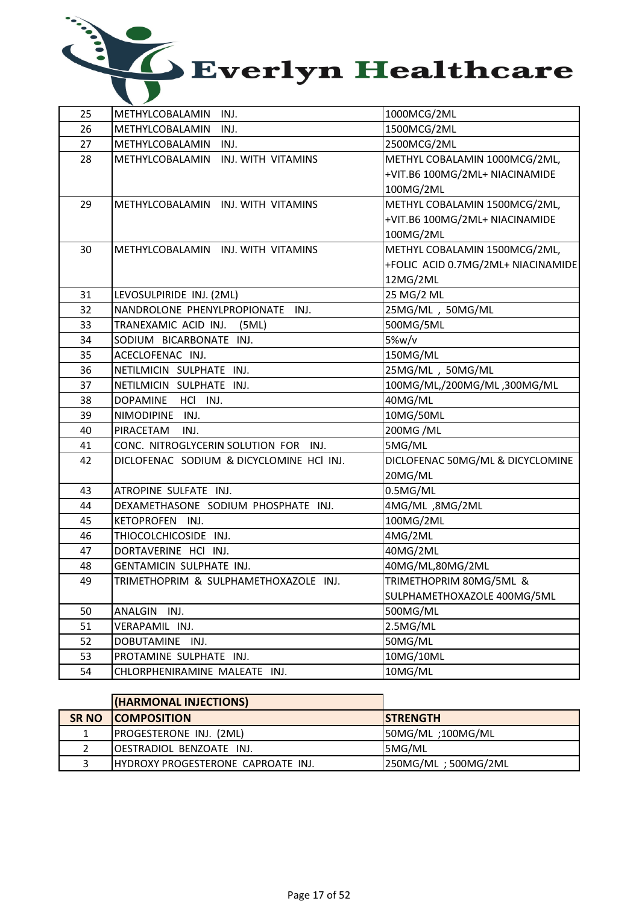

| 25 | METHYLCOBALAMIN<br>INJ.                  | 1000MCG/2ML                        |
|----|------------------------------------------|------------------------------------|
| 26 | INJ.<br><b>METHYLCOBALAMIN</b>           | 1500MCG/2ML                        |
| 27 | INJ.<br>METHYLCOBALAMIN                  | 2500MCG/2ML                        |
| 28 | METHYLCOBALAMIN<br>INJ. WITH VITAMINS    | METHYL COBALAMIN 1000MCG/2ML,      |
|    |                                          | +VIT.B6 100MG/2ML+ NIACINAMIDE     |
|    |                                          | 100MG/2ML                          |
| 29 | METHYLCOBALAMIN INJ. WITH VITAMINS       | METHYL COBALAMIN 1500MCG/2ML,      |
|    |                                          | +VIT.B6 100MG/2ML+ NIACINAMIDE     |
|    |                                          | 100MG/2ML                          |
| 30 | METHYLCOBALAMIN INJ. WITH VITAMINS       | METHYL COBALAMIN 1500MCG/2ML,      |
|    |                                          | +FOLIC ACID 0.7MG/2ML+ NIACINAMIDE |
|    |                                          | 12MG/2ML                           |
| 31 | LEVOSULPIRIDE INJ. (2ML)                 | 25 MG/2 ML                         |
| 32 | NANDROLONE PHENYLPROPIONATE<br>INJ.      | 25MG/ML, 50MG/ML                   |
| 33 | TRANEXAMIC ACID INJ.<br>(5ML)            | 500MG/5ML                          |
| 34 | SODIUM BICARBONATE INJ.                  | 5%w/v                              |
| 35 | ACECLOFENAC INJ.                         | 150MG/ML                           |
| 36 | NETILMICIN SULPHATE INJ.                 | 25MG/ML, 50MG/ML                   |
| 37 | NETILMICIN SULPHATE INJ.                 | 100MG/ML,/200MG/ML,300MG/ML        |
| 38 | DOPAMINE<br>HCI INJ.                     | 40MG/ML                            |
| 39 | NIMODIPINE INJ.                          | 10MG/50ML                          |
| 40 | PIRACETAM<br>INJ.                        | 200MG /ML                          |
| 41 | CONC. NITROGLYCERIN SOLUTION FOR<br>INJ. | 5MG/ML                             |
| 42 | DICLOFENAC SODIUM & DICYCLOMINE HCI INJ. | DICLOFENAC 50MG/ML & DICYCLOMINE   |
|    |                                          | 20MG/ML                            |
| 43 | ATROPINE SULFATE INJ.                    | 0.5MG/ML                           |
| 44 | DEXAMETHASONE SODIUM PHOSPHATE INJ.      | 4MG/ML,8MG/2ML                     |
| 45 | <b>KETOPROFEN</b><br>INJ.                | 100MG/2ML                          |
| 46 | THIOCOLCHICOSIDE INJ.                    | 4MG/2ML                            |
| 47 | DORTAVERINE HCI INJ.                     | 40MG/2ML                           |
| 48 | GENTAMICIN SULPHATE INJ.                 | 40MG/ML,80MG/2ML                   |
| 49 | TRIMETHOPRIM & SULPHAMETHOXAZOLE INJ.    | TRIMETHOPRIM 80MG/5ML &            |
|    |                                          | SULPHAMETHOXAZOLE 400MG/5ML        |
| 50 | ANALGIN<br>INJ.                          | 500MG/ML                           |
| 51 | VERAPAMIL INJ.                           | 2.5MG/ML                           |
| 52 | DOBUTAMINE INJ.                          | 50MG/ML                            |
| 53 | PROTAMINE SULPHATE INJ.                  | 10MG/10ML                          |
| 54 | CHLORPHENIRAMINE MALEATE INJ.            | 10MG/ML                            |

| (HARMONAL INJECTIONS)                      |                     |
|--------------------------------------------|---------------------|
| <b>SR NO COMPOSITION</b>                   | <b>ISTRENGTH</b>    |
| <b>PROGESTERONE INJ. (2ML)</b>             | 50MG/ML ;100MG/ML   |
| OESTRADIOL BENZOATE INJ.                   | <b>5MG/ML</b>       |
| <b>IHYDROXY PROGESTERONE CAPROATE INJ.</b> | 250MG/ML; 500MG/2ML |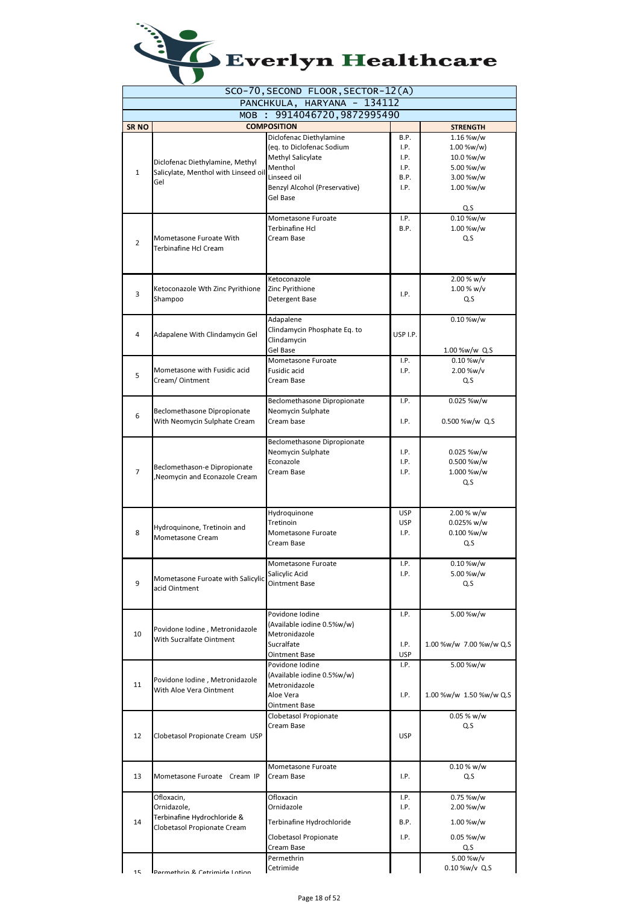| Everlyn Healthcare |
|--------------------|
|                    |

|                |                                                            | SCO-70, SECOND FLOOR, SECTOR-12(A)          |            |                         |
|----------------|------------------------------------------------------------|---------------------------------------------|------------|-------------------------|
|                |                                                            | PANCHKULA, HARYANA - 134112                 |            |                         |
|                | MOB:                                                       | 9914046720, 9872995490                      |            |                         |
| <b>SRNO</b>    |                                                            | <b>COMPOSITION</b>                          |            | <b>STRENGTH</b>         |
|                |                                                            | Diclofenac Diethylamine                     | B.P.       | 1.16 %w/w               |
|                |                                                            | (eq. to Diclofenac Sodium                   | I.P.       | 1.00 %w/w)              |
|                | Diclofenac Diethylamine, Methyl                            | Methyl Salicylate                           | I.P.       | 10.0 %w/w               |
| $\mathbf{1}$   | Salicylate, Menthol with Linseed oil                       | Menthol                                     | I.P.       | 5.00 %w/w               |
|                | Gel                                                        | Linseed oil                                 | B.P.       | 3.00 %w/w               |
|                |                                                            | Benzyl Alcohol (Preservative)<br>Gel Base   | I.P.       | 1.00 %w/w               |
|                |                                                            |                                             |            | Q.S                     |
|                |                                                            | Mometasone Furoate                          | I.P.       | 0.10 %w/w               |
|                |                                                            | Terbinafine Hcl                             | B.P.       | 1.00 %w/w               |
|                | Mometasone Furoate With                                    | Cream Base                                  |            | Q.S                     |
| $\overline{2}$ | Terbinafine Hcl Cream                                      |                                             |            |                         |
|                |                                                            |                                             |            |                         |
|                |                                                            |                                             |            |                         |
|                |                                                            | Ketoconazole                                |            | 2.00 % w/v              |
| 3              | Ketoconazole Wth Zinc Pyrithione                           | Zinc Pyrithione                             | I.P.       | 1.00 % w/v              |
|                | Shampoo                                                    | Detergent Base                              |            | Q.S                     |
|                |                                                            |                                             |            |                         |
|                |                                                            | Adapalene                                   |            | 0.10 %w/w               |
| 4              | Adapalene With Clindamycin Gel                             | Clindamycin Phosphate Eq. to<br>Clindamycin | USP I.P.   |                         |
|                |                                                            | Gel Base                                    |            | 1.00 %w/w Q.S           |
|                |                                                            | Mometasone Furoate                          | I.P.       | $0.10 %$ w/v            |
|                | Mometasone with Fusidic acid                               | Fusidic acid                                | I.P.       | 2.00 %w/v               |
| 5              | Cream/ Ointment                                            | Cream Base                                  |            | Q.S                     |
|                |                                                            |                                             |            |                         |
|                |                                                            | Beclomethasone Dipropionate                 | I.P.       | 0.025 %w/w              |
|                | Beclomethasone Dipropionate                                | Neomycin Sulphate                           |            |                         |
| 6              | With Neomycin Sulphate Cream                               | Cream base                                  | I.P.       | 0.500 %w/w Q.S          |
|                |                                                            |                                             |            |                         |
|                |                                                            | Beclomethasone Dipropionate                 |            |                         |
|                |                                                            | Neomycin Sulphate                           | I.P.       | 0.025 %w/w              |
|                | Beclomethason-e Dipropionate                               | Econazole                                   | I.P.       | 0.500 %w/w              |
| 7              | Neomycin and Econazole Cream                               | Cream Base                                  | I.P.       | 1.000 %w/w              |
|                |                                                            |                                             |            | Q.S                     |
|                |                                                            |                                             |            |                         |
|                |                                                            |                                             |            |                         |
|                |                                                            | Hydroquinone                                | <b>USP</b> | 2.00 % w/w              |
|                | Hydroquinone, Tretinoin and                                | Tretinoin                                   | <b>USP</b> | $0.025%$ w/w            |
| 8              | Mometasone Cream                                           | Mometasone Furoate                          | I.P.       | 0.100 %w/w              |
|                |                                                            | Cream Base                                  |            | Q.S                     |
|                |                                                            | Mometasone Furoate                          | I.P.       | $0.10 %$ w/w            |
|                |                                                            | Salicylic Acid                              | I.P.       | 5.00 %w/w               |
| 9              | Mometasone Furoate with Salicylic                          | <b>Ointment Base</b>                        |            | Q.S                     |
|                | acid Ointment                                              |                                             |            |                         |
|                |                                                            |                                             |            |                         |
|                |                                                            | Povidone Iodine                             | I.P.       | 5.00 %w/w               |
|                |                                                            | (Available iodine 0.5%w/w)                  |            |                         |
| 10             | Povidone Iodine, Metronidazole<br>With Sucralfate Ointment | Metronidazole                               |            |                         |
|                |                                                            | Sucralfate                                  | I.P.       | 1.00 %w/w 7.00 %w/w Q.S |
|                |                                                            | <b>Ointment Base</b>                        | <b>USP</b> |                         |
|                |                                                            | Povidone Iodine                             | I.P.       | 5.00 %w/w               |
|                | Povidone Iodine, Metronidazole                             | (Available iodine 0.5%w/w)                  |            |                         |
| 11             | With Aloe Vera Ointment                                    | Metronidazole                               |            |                         |
|                |                                                            | Aloe Vera                                   | I.P.       | 1.00 %w/w 1.50 %w/w Q.S |
|                |                                                            | <b>Ointment Base</b>                        |            |                         |
|                |                                                            | Clobetasol Propionate                       |            | $0.05 %$ w/w            |
|                |                                                            | Cream Base                                  |            | Q.S                     |
| 12             | Clobetasol Propionate Cream USP                            |                                             | <b>USP</b> |                         |
|                |                                                            |                                             |            |                         |
|                |                                                            | Mometasone Furoate                          |            | $0.10 %$ w/w            |
| 13             | Mometasone Furoate Cream IP                                | Cream Base                                  | I.P.       | Q.S                     |
|                |                                                            |                                             |            |                         |
|                | Ofloxacin,                                                 | Ofloxacin                                   | I.P.       | 0.75 %w/w               |
|                | Ornidazole,                                                | Ornidazole                                  | I.P.       | 2.00 %w/w               |
|                | Terbinafine Hydrochloride &                                |                                             |            |                         |
| 14             | Clobetasol Propionate Cream                                | Terbinafine Hydrochloride                   | B.P.       | 1.00 %w/w               |
|                |                                                            | Clobetasol Propionate                       | I.P.       | 0.05 %w/w               |
|                |                                                            | Cream Base                                  |            | Q.S                     |
|                |                                                            | Permethrin                                  |            | 5.00 %w/v               |
| 1 <sub>5</sub> | Darmathrin R. Catrimida Intion                             | Cetrimide                                   |            | 0.10 %w/v Q.S           |
|                |                                                            |                                             |            |                         |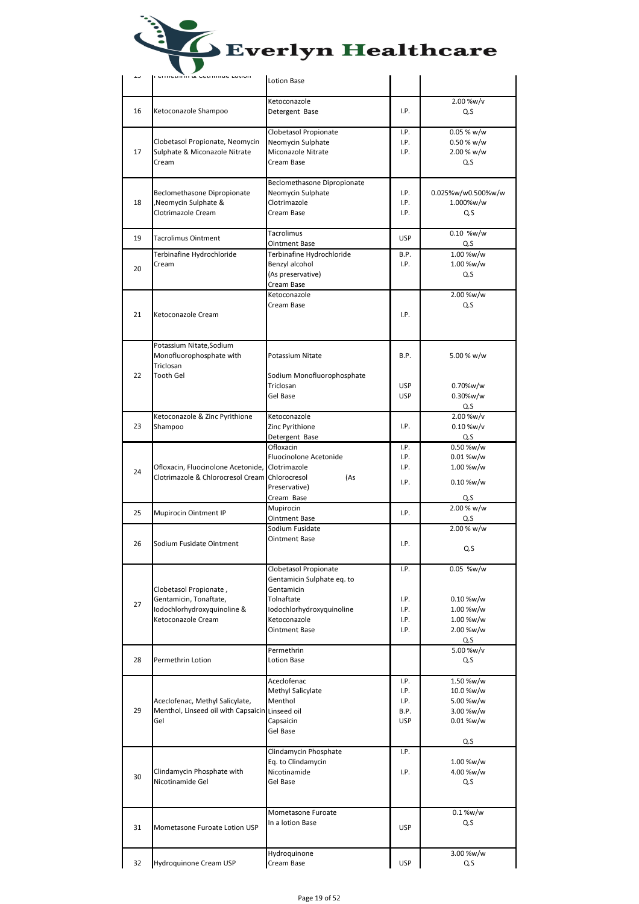| LJ | רכו ווכנות ותו מג ככנות ותונוס בטנוטוז                                                                | Everlyn Healthcare                                                                                                                            |                                            |                                                                      |
|----|-------------------------------------------------------------------------------------------------------|-----------------------------------------------------------------------------------------------------------------------------------------------|--------------------------------------------|----------------------------------------------------------------------|
|    |                                                                                                       | <b>Lotion Base</b>                                                                                                                            |                                            |                                                                      |
| 16 | Ketoconazole Shampoo                                                                                  | Ketoconazole<br>Detergent Base                                                                                                                | I.P.                                       | 2.00 %w/v<br>Q.S                                                     |
| 17 | Clobetasol Propionate, Neomycin<br>Sulphate & Miconazole Nitrate<br>Cream                             | Clobetasol Propionate<br>Neomycin Sulphate<br>Miconazole Nitrate<br>Cream Base                                                                | I.P.<br>I.P.<br>I.P.                       | $0.05 %$ w/w<br>$0.50 %$ w/w<br>2.00 % w/w<br>Q.S                    |
| 18 | Beclomethasone Dipropionate<br>Neomycin Sulphate &<br>Clotrimazole Cream                              | Beclomethasone Dipropionate<br>Neomycin Sulphate<br>Clotrimazole<br>Cream Base                                                                | I.P.<br>I.P.<br>I.P.                       | 0.025%w/w0.500%w/w<br>1.000%w/w<br>Q.S                               |
| 19 | <b>Tacrolimus Ointment</b>                                                                            | <b>Tacrolimus</b><br>Ointment Base                                                                                                            | <b>USP</b>                                 | 0.10 %w/w<br>Q.S                                                     |
| 20 | Terbinafine Hydrochloride<br>Cream                                                                    | Terbinafine Hydrochloride<br>Benzyl alcohol<br>(As preservative)<br>Cream Base                                                                | B.P.<br>I.P.                               | 1.00 %w/w<br>1.00 %w/w<br>Q.S                                        |
| 21 | Ketoconazole Cream                                                                                    | Ketoconazole<br>Cream Base                                                                                                                    | I.P.                                       | 2.00 %w/w<br>Q.S                                                     |
| 22 | Potassium Nitate, Sodium<br>Monofluorophosphate with<br>Triclosan<br>Tooth Gel                        | Potassium Nitate<br>Sodium Monofluorophosphate<br>Triclosan<br>Gel Base                                                                       | B.P.<br><b>USP</b><br><b>USP</b>           | 5.00 % w/w<br>0.70%w/w<br>0.30%w/w                                   |
| 23 | Ketoconazole & Zinc Pyrithione<br>Shampoo                                                             | Ketoconazole<br>Zinc Pyrithione                                                                                                               | I.P.                                       | Q.S<br>2.00 %w/v<br>$0.10$ %w/v                                      |
| 24 | Ofloxacin, Fluocinolone Acetonide,<br>Clotrimazole & Chlorocresol Cream Chlorocresol                  | Detergent Base<br>Ofloxacin<br><b>Fluocinolone Acetonide</b><br>Clotrimazole<br>(As<br>Preservative)<br>Cream Base                            | I.P.<br>I.P.<br>I.P.<br>I.P.               | Q.S<br>0.50 %w/w<br>0.01 %w/w<br>1.00 %w/w<br>$0.10 %$ w/w<br>Q.S    |
| 25 | Mupirocin Ointment IP                                                                                 | Mupirocin                                                                                                                                     | I.P.                                       | 2.00 % w/w                                                           |
| 26 | Sodium Fusidate Ointment                                                                              | Ointment Base<br>Sodium Fusidate<br>Ointment Base                                                                                             | I.P.                                       | Q.S<br>2.00 % w/w<br>Q.S                                             |
| 27 | Clobetasol Propionate,<br>Gentamicin, Tonaftate,<br>lodochlorhydroxyquinoline &<br>Ketoconazole Cream | Clobetasol Propionate<br>Gentamicin Sulphate eq. to<br>Gentamicin<br>Tolnaftate<br>Iodochlorhydroxyquinoline<br>Ketoconazole<br>Ointment Base | I.P.<br>I.P.<br>I.P.<br>I.P.<br>I.P.       | 0.05 %w/w<br>0.10 %w/w<br>1.00 %w/w<br>1.00 %w/w<br>2.00 %w/w<br>Q.S |
| 28 | Permethrin Lotion                                                                                     | Permethrin<br>Lotion Base                                                                                                                     |                                            | 5.00 %w/v<br>Q.S                                                     |
| 29 | Aceclofenac, Methyl Salicylate,<br>Menthol, Linseed oil with Capsaicin Linseed oil<br>Gel             | Aceclofenac<br>Methyl Salicylate<br>Menthol<br>Capsaicin<br>Gel Base                                                                          | I.P.<br>I.P.<br>I.P.<br>B.P.<br><b>USP</b> | 1.50 %w/w<br>10.0 %w/w<br>5.00 %w/w<br>3.00 %w/w<br>0.01 %w/w<br>Q.S |
| 30 | Clindamycin Phosphate with<br>Nicotinamide Gel                                                        | Clindamycin Phosphate<br>Eq. to Clindamycin<br>Nicotinamide<br>Gel Base                                                                       | I.P.<br>I.P.                               | 1.00 %w/w<br>4.00 %w/w<br>Q.S                                        |
| 31 | Mometasone Furoate Lotion USP                                                                         | Mometasone Furoate<br>In a lotion Base                                                                                                        | <b>USP</b>                                 | 0.1 %w/w<br>Q.S                                                      |
| 32 | Hydroquinone Cream USP                                                                                | Hydroquinone<br>Cream Base                                                                                                                    | <b>USP</b>                                 | 3.00 %w/w<br>Q.S                                                     |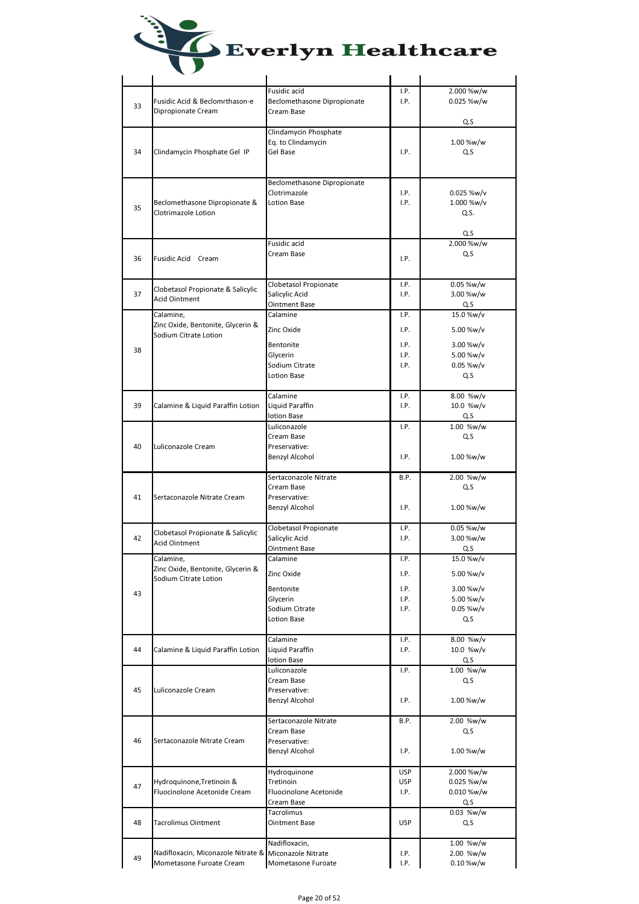|  | <b>Everlyn Healthcare</b> |  |
|--|---------------------------|--|
|  |                           |  |

|    |                                                       | Fusidic acid                | I.P.       | 2.000 %w/w    |
|----|-------------------------------------------------------|-----------------------------|------------|---------------|
|    | Fusidic Acid & Beclomrthason-e                        | Beclomethasone Dipropionate | I.P.       | 0.025 %w/w    |
| 33 |                                                       |                             |            |               |
|    | Dipropionate Cream                                    | Cream Base                  |            |               |
|    |                                                       |                             |            | Q.S           |
|    |                                                       | Clindamycin Phosphate       |            |               |
|    |                                                       | Eq. to Clindamycin          |            | 1.00 %w/w     |
| 34 | Clindamycin Phosphate Gel IP                          | Gel Base                    | I.P.       | Q.S           |
|    |                                                       |                             |            |               |
|    |                                                       |                             |            |               |
|    |                                                       |                             |            |               |
|    |                                                       | Beclomethasone Dipropionate |            |               |
|    |                                                       | Clotrimazole                | I.P.       | $0.025\%$ w/v |
|    | Beclomethasone Dipropionate &                         | <b>Lotion Base</b>          | I.P.       | 1.000 %w/v    |
| 35 |                                                       |                             |            |               |
|    | Clotrimazole Lotion                                   |                             |            | Q.S.          |
|    |                                                       |                             |            |               |
|    |                                                       |                             |            | Q.S           |
|    |                                                       | Fusidic acid                |            | 2.000 %w/w    |
|    |                                                       | Cream Base                  |            | Q.S           |
| 36 | Fusidic Acid Cream                                    |                             | I.P.       |               |
|    |                                                       |                             |            |               |
|    |                                                       |                             |            |               |
|    |                                                       | Clobetasol Propionate       | I.P.       | 0.05 %w/w     |
| 37 | Clobetasol Propionate & Salicylic                     | Salicylic Acid              | I.P.       | 3.00 %w/w     |
|    | <b>Acid Ointment</b>                                  | Ointment Base               |            | Q.S           |
|    |                                                       |                             |            |               |
|    | Calamine,                                             | Calamine                    | I.P.       | 15.0 %w/v     |
|    | Zinc Oxide, Bentonite, Glycerin &                     | Zinc Oxide                  | I.P.       | 5.00 %w/v     |
|    | Sodium Citrate Lotion                                 |                             |            |               |
|    |                                                       | Bentonite                   | I.P.       | 3.00 %w/v     |
| 38 |                                                       |                             |            |               |
|    |                                                       | Glycerin                    | I.P.       | 5.00 %w/v     |
|    |                                                       | Sodium Citrate              | I.P.       | $0.05\%$ w/v  |
|    |                                                       | Lotion Base                 |            | Q.S           |
|    |                                                       |                             |            |               |
|    |                                                       | Calamine                    | I.P.       | 8.00 %w/v     |
| 39 | Calamine & Liquid Paraffin Lotion                     | Liquid Paraffin             | I.P.       | 10.0 %w/v     |
|    |                                                       |                             |            |               |
|    |                                                       | lotion Base                 |            | Q.S           |
|    |                                                       | Luliconazole                | I.P.       | 1.00 %w/w     |
|    |                                                       | Cream Base                  |            | Q.S           |
| 40 | Luliconazole Cream                                    | Preservative:               |            |               |
|    |                                                       |                             |            |               |
|    |                                                       | Benzyl Alcohol              | I.P.       | 1.00 %w/w     |
|    |                                                       |                             |            |               |
|    |                                                       | Sertaconazole Nitrate       | B.P.       | 2.00 %w/w     |
|    |                                                       | Cream Base                  |            | Q.S           |
| 41 | Sertaconazole Nitrate Cream                           | Preservative:               |            |               |
|    |                                                       |                             | I.P.       | 1.00 %w/w     |
|    |                                                       | Benzyl Alcohol              |            |               |
|    |                                                       |                             |            |               |
|    | Clobetasol Propionate & Salicylic                     | Clobetasol Propionate       | I.P.       | 0.05 %w/w     |
| 42 | <b>Acid Ointment</b>                                  | Salicylic Acid              | I.P.       | 3.00 %w/w     |
|    |                                                       | Ointment Base               |            | Q.S           |
|    | Calamine,                                             | Calamine                    | I.P.       | 15.0 %w/v     |
|    |                                                       |                             |            |               |
|    | Zinc Oxide, Bentonite, Glycerin &                     | Zinc Oxide                  | I.P.       | 5.00 %w/v     |
|    | Sodium Citrate Lotion                                 |                             |            |               |
| 43 |                                                       | Bentonite                   | I.P.       | 3.00 %w/v     |
|    |                                                       | Glycerin                    | I.P.       | 5.00 %w/v     |
|    |                                                       | Sodium Citrate              | I.P.       | $0.05\%$ w/v  |
|    |                                                       | Lotion Base                 |            | Q.S           |
|    |                                                       |                             |            |               |
|    |                                                       |                             |            |               |
|    |                                                       | Calamine                    | I.P.       | 8.00 %w/v     |
| 44 | Calamine & Liquid Paraffin Lotion                     | Liquid Paraffin             | I.P.       | 10.0 %w/v     |
|    |                                                       | lotion Base                 |            | Q.S           |
|    |                                                       | Luliconazole                | I.P.       | 1.00 %w/w     |
|    |                                                       |                             |            |               |
|    |                                                       | Cream Base                  |            | Q.S           |
| 45 | Luliconazole Cream                                    | Preservative:               |            |               |
|    |                                                       | Benzyl Alcohol              | I.P.       | 1.00 %w/w     |
|    |                                                       |                             |            |               |
|    |                                                       | Sertaconazole Nitrate       | B.P.       | 2.00 %w/w     |
|    |                                                       |                             |            |               |
|    |                                                       | Cream Base                  |            | Q.S           |
| 46 |                                                       | Preservative:               |            |               |
|    | Sertaconazole Nitrate Cream                           |                             |            |               |
|    |                                                       | Benzyl Alcohol              | I.P.       | 1.00 %w/w     |
|    |                                                       |                             |            |               |
|    |                                                       |                             |            |               |
|    |                                                       | Hydroquinone                | <b>USP</b> | 2.000 %w/w    |
| 47 | Hydroquinone, Tretinoin &                             | Tretinoin                   | <b>USP</b> | 0.025 %w/w    |
|    | Fluocinolone Acetonide Cream                          | Fluocinolone Acetonide      | I.P.       | 0.010 %w/w    |
|    |                                                       | Cream Base                  |            | Q.S           |
|    |                                                       | Tacrolimus                  |            | 0.03 %w/w     |
| 48 |                                                       |                             |            |               |
|    | Tacrolimus Ointment                                   | Ointment Base               | <b>USP</b> | Q.S           |
|    |                                                       |                             |            |               |
|    |                                                       | Nadifloxacin,               |            | 1.00 %w/w     |
| 49 | Nadifloxacin, Miconazole Nitrate & Miconazole Nitrate |                             | I.P.       | 2.00 %w/w     |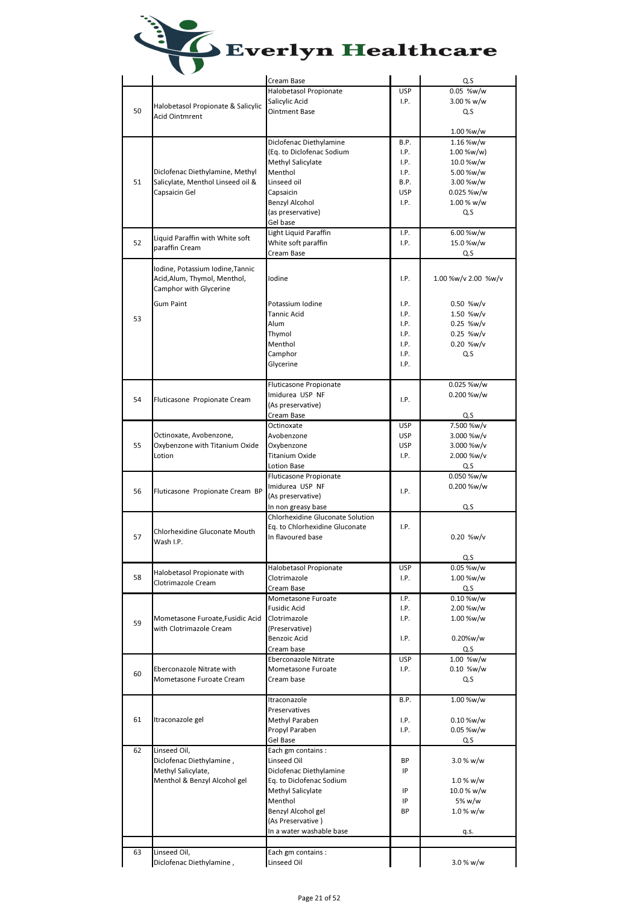|    |                                    | Cream Base                       |            | Q.S                 |
|----|------------------------------------|----------------------------------|------------|---------------------|
|    |                                    | Halobetasol Propionate           | <b>USP</b> | 0.05 %w/w           |
|    | Halobetasol Propionate & Salicylic | Salicylic Acid                   | I.P.       | 3.00 % w/w          |
| 50 | <b>Acid Ointmrent</b>              | Ointment Base                    |            | Q.S                 |
|    |                                    |                                  |            |                     |
|    |                                    |                                  |            | 1.00 %w/w           |
|    |                                    | Diclofenac Diethylamine          | B.P.       | 1.16 %w/w           |
|    |                                    | (Eq. to Diclofenac Sodium        | I.P.       | 1.00 %w/w)          |
|    |                                    | Methyl Salicylate                | I.P.       | 10.0 %w/w           |
|    | Diclofenac Diethylamine, Methyl    | Menthol                          | I.P.       | 5.00 %w/w           |
| 51 | Salicylate, Menthol Linseed oil &  | Linseed oil                      | B.P.       | 3.00 %w/w           |
|    | Capsaicin Gel                      | Capsaicin                        | <b>USP</b> | 0.025 %w/w          |
|    |                                    |                                  |            |                     |
|    |                                    | Benzyl Alcohol                   | I.P.       | 1.00 % w/w          |
|    |                                    | (as preservative)                |            | Q.S                 |
|    |                                    | Gel base                         |            |                     |
|    | Liquid Paraffin with White soft    | Light Liquid Paraffin            | I.P.       | 6.00 %w/w           |
| 52 | paraffin Cream                     | White soft paraffin              | I.P.       | 15.0 %w/w           |
|    |                                    | Cream Base                       |            | Q.S                 |
|    |                                    |                                  |            |                     |
|    | Iodine, Potassium Iodine, Tannic   |                                  |            |                     |
|    | Acid, Alum, Thymol, Menthol,       | Iodine                           | I.P.       | 1.00 %w/v 2.00 %w/v |
|    | Camphor with Glycerine             |                                  |            |                     |
|    | Gum Paint                          | Potassium Iodine                 | I.P.       | 0.50 %w/v           |
|    |                                    | <b>Tannic Acid</b>               | I.P.       | 1.50 %w/v           |
| 53 |                                    | Alum                             | I.P.       | $0.25$ %w/v         |
|    |                                    |                                  |            |                     |
|    |                                    | Thymol                           | I.P.       | $0.25$ %w/v         |
|    |                                    | Menthol                          | I.P.       | $0.20$ %w/v         |
|    |                                    | Camphor                          | I.P.       | Q.S                 |
|    |                                    | Glycerine                        | I.P.       |                     |
|    |                                    |                                  |            |                     |
|    |                                    | <b>Fluticasone Propionate</b>    |            | 0.025 %w/w          |
|    |                                    | Imidurea USP NF                  |            | 0.200 %w/w          |
| 54 | Fluticasone Propionate Cream       | (As preservative)                | I.P.       |                     |
|    |                                    |                                  |            |                     |
|    |                                    | Cream Base                       |            | Q.S                 |
|    |                                    | Octinoxate                       | <b>USP</b> | 7.500 %w/v          |
|    | Octinoxate, Avobenzone,            | Avobenzone                       | <b>USP</b> | 3.000 %w/v          |
| 55 | Oxybenzone with Titanium Oxide     | Oxybenzone                       | <b>USP</b> | 3.000 %w/v          |
|    | Lotion                             | Titanium Oxide                   | I.P.       | 2.000 %w/v          |
|    |                                    | Lotion Base                      |            | Q.S                 |
|    |                                    | Fluticasone Propionate           |            | 0.050 %w/w          |
|    |                                    | Imidurea USP NF                  |            |                     |
| 56 | Fluticasone Propionate Cream BP    |                                  | I.P.       | 0.200 %w/w          |
|    |                                    | (As preservative)                |            |                     |
|    |                                    | In non greasy base               |            | Q.S                 |
|    |                                    | Chlorhexidine Gluconate Solution |            |                     |
|    | Chlorhexidine Gluconate Mouth      | Eq. to Chlorhexidine Gluconate   | I.P.       |                     |
| 57 | Wash I.P.                          | In flavoured base                |            | 0.20 %w/v           |
|    |                                    |                                  |            |                     |
|    |                                    |                                  |            | Q.S                 |
|    |                                    | Halobetasol Propionate           | <b>USP</b> | 0.05 %w/w           |
| 58 | Halobetasol Propionate with        | Clotrimazole                     | I.P.       | 1.00 %w/w           |
|    | Clotrimazole Cream                 | Cream Base                       |            |                     |
|    |                                    |                                  |            | Q.S                 |
|    |                                    | Mometasone Furoate               | I.P.       | $0.10 %$ w/w        |
|    |                                    | Fusidic Acid                     | I.P.       | 2.00 %w/w           |
| 59 | Mometasone Furoate, Fusidic Acid   | Clotrimazole                     | I.P.       | 1.00 %w/w           |
|    | with Clotrimazole Cream            | (Preservative)                   |            |                     |
|    |                                    | Benzoic Acid                     | I.P.       | 0.20%w/w            |
|    |                                    | Cream base                       |            | Q.S                 |
|    |                                    | Eberconazole Nitrate             | <b>USP</b> | 1.00 %w/w           |
|    | Eberconazole Nitrate with          | Mometasone Furoate               | I.P.       | 0.10 %w/w           |
| 60 | Mometasone Furoate Cream           | Cream base                       |            | Q.S                 |
|    |                                    |                                  |            |                     |
|    |                                    | Itraconazole                     | B.P.       | 1.00 %w/w           |
|    |                                    |                                  |            |                     |
|    |                                    | Preservatives                    |            |                     |
| 61 | Itraconazole gel                   | Methyl Paraben                   | I.P.       | 0.10 %w/w           |
|    |                                    | Propyl Paraben                   | I.P.       | 0.05 %w/w           |
|    |                                    | Gel Base                         |            | Q.S                 |
| 62 | Linseed Oil,                       | Each gm contains:                |            |                     |
|    | Diclofenac Diethylamine,           | Linseed Oil                      | ВP         | 3.0 % w/w           |
|    |                                    |                                  | IP         |                     |
|    | Methyl Salicylate,                 | Diclofenac Diethylamine          |            |                     |
|    | Menthol & Benzyl Alcohol gel       | Eq. to Diclofenac Sodium         |            | $1.0 %$ w/w         |
|    |                                    | Methyl Salicylate                | ΙP         | 10.0 % w/w          |
|    |                                    | Menthol                          | IP         | 5% w/w              |
|    |                                    | Benzyl Alcohol gel               | BP         | 1.0 % w/w           |
|    |                                    | (As Preservative)                |            |                     |
|    |                                    | In a water washable base         |            | q.s.                |
|    |                                    |                                  |            |                     |
|    |                                    |                                  |            |                     |
| 63 | Linseed Oil,                       | Each gm contains:                |            |                     |
|    | Diclofenac Diethylamine,           | Linseed Oil                      |            | 3.0 % w/w           |
|    |                                    |                                  |            |                     |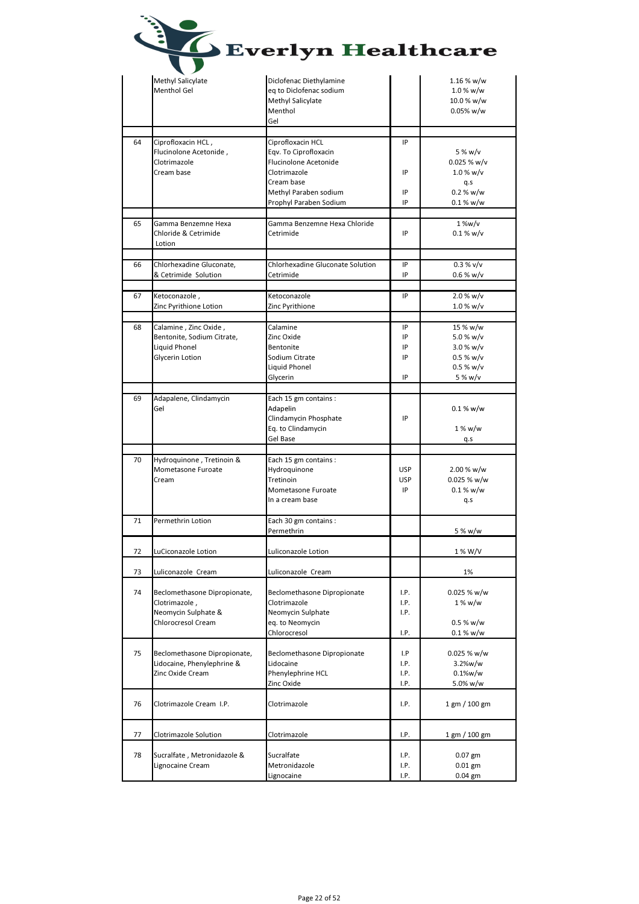|    |                                                                                            | Everlyn Healthcare                                                                                                                                          |                                |                                                                          |
|----|--------------------------------------------------------------------------------------------|-------------------------------------------------------------------------------------------------------------------------------------------------------------|--------------------------------|--------------------------------------------------------------------------|
|    | Methyl Salicylate<br>Menthol Gel                                                           | Diclofenac Diethylamine<br>eq to Diclofenac sodium<br>Methyl Salicylate<br>Menthol<br>Gel                                                                   |                                | 1.16 % w/w<br>1.0 % w/w<br>10.0 % w/w<br>0.05% w/w                       |
| 64 | Ciprofloxacin HCL,<br>Flucinolone Acetonide,<br>Clotrimazole<br>Cream base                 | Ciprofloxacin HCL<br>Eqv. To Ciprofloxacin<br><b>Flucinolone Acetonide</b><br>Clotrimazole<br>Cream base<br>Methyl Paraben sodium<br>Prophyl Paraben Sodium | IP<br>IP<br>IP<br>IP           | 5 % w/v<br>$0.025 %$ w/v<br>$1.0 %$ w/v<br>q.s<br>0.2 % w/w<br>0.1 % w/w |
| 65 | Gamma Benzemne Hexa<br>Chloride & Cetrimide<br>Lotion                                      | Gamma Benzemne Hexa Chloride<br>Cetrimide                                                                                                                   | IP                             | $1\%w/v$<br>0.1 % w/v                                                    |
| 66 | Chlorhexadine Gluconate,<br>& Cetrimide Solution                                           | <b>Chlorhexadine Gluconate Solution</b><br>Cetrimide                                                                                                        | IP<br>IP                       | 0.3 % v/v<br>$0.6 %$ w/v                                                 |
| 67 | Ketoconazole,<br>Zinc Pyrithione Lotion                                                    | Ketoconazole<br>Zinc Pyrithione                                                                                                                             | IP                             | 2.0 % w/v<br>$1.0 %$ w/v                                                 |
| 68 | Calamine, Zinc Oxide,<br>Bentonite, Sodium Citrate,<br>Liquid Phonel<br>Glycerin Lotion    | Calamine<br>Zinc Oxide<br>Bentonite<br>Sodium Citrate<br>Liquid Phonel<br>Glycerin                                                                          | IP<br>IP<br>IP<br>IP<br>IP     | 15 % w/w<br>5.0 % w/v<br>3.0 % w/v<br>0.5 % w/v<br>0.5 % w/v<br>5 % w/v  |
| 69 | Adapalene, Clindamycin<br>Gel                                                              | Each 15 gm contains :<br>Adapelin<br>Clindamycin Phosphate<br>Eq. to Clindamycin<br>Gel Base                                                                | IP                             | 0.1 % w/w<br>1 % w/w<br>q.s                                              |
| 70 | Hydroquinone, Tretinoin &<br>Mometasone Furoate<br>Cream                                   | Each 15 gm contains :<br>Hydroquinone<br>Tretinoin<br>Mometasone Furoate<br>In a cream base                                                                 | <b>USP</b><br><b>USP</b><br>ΙP | 2.00 % w/w<br>0.025 % w/w<br>0.1 % w/w<br>q.s                            |
| 71 | Permethrin Lotion                                                                          | Each 30 gm contains :<br>Permethrin                                                                                                                         |                                | 5 % w/w                                                                  |
| 72 | LuCiconazole Lotion                                                                        | Luliconazole Lotion                                                                                                                                         |                                | 1 % W/V                                                                  |
| 73 | Luliconazole Cream                                                                         | Luliconazole Cream                                                                                                                                          |                                | 1%                                                                       |
| 74 | Beclomethasone Dipropionate,<br>Clotrimazole,<br>Neomycin Sulphate &<br>Chlorocresol Cream | <b>Beclomethasone Dipropionate</b><br>Clotrimazole<br>Neomycin Sulphate<br>eq. to Neomycin<br>Chlorocresol                                                  | I.P.<br>I.P.<br>I.P.<br>I.P.   | $0.025 %$ w/w<br>1 % w/w<br>0.5 % w/w<br>0.1 % w/w                       |
| 75 | Beclomethasone Dipropionate,<br>Lidocaine, Phenylephrine &<br>Zinc Oxide Cream             | Beclomethasone Dipropionate<br>Lidocaine<br>Phenylephrine HCL<br>Zinc Oxide                                                                                 | I.P<br>I.P.<br>I.P.<br>I.P.    | $0.025 %$ w/w<br>3.2%w/w<br>0.1%w/w<br>5.0% w/w                          |
| 76 | Clotrimazole Cream I.P.                                                                    | Clotrimazole                                                                                                                                                | I.P.                           | $1$ gm $/ 100$ gm                                                        |
| 77 | Clotrimazole Solution                                                                      | Clotrimazole                                                                                                                                                | I.P.                           | 1 gm / 100 gm                                                            |
| 78 | Sucralfate, Metronidazole &<br>Lignocaine Cream                                            | Sucralfate<br>Metronidazole<br>Lignocaine                                                                                                                   | I.P.<br>I.P.<br>I.P.           | $0.07$ gm<br>$0.01$ gm<br>0.04 gm                                        |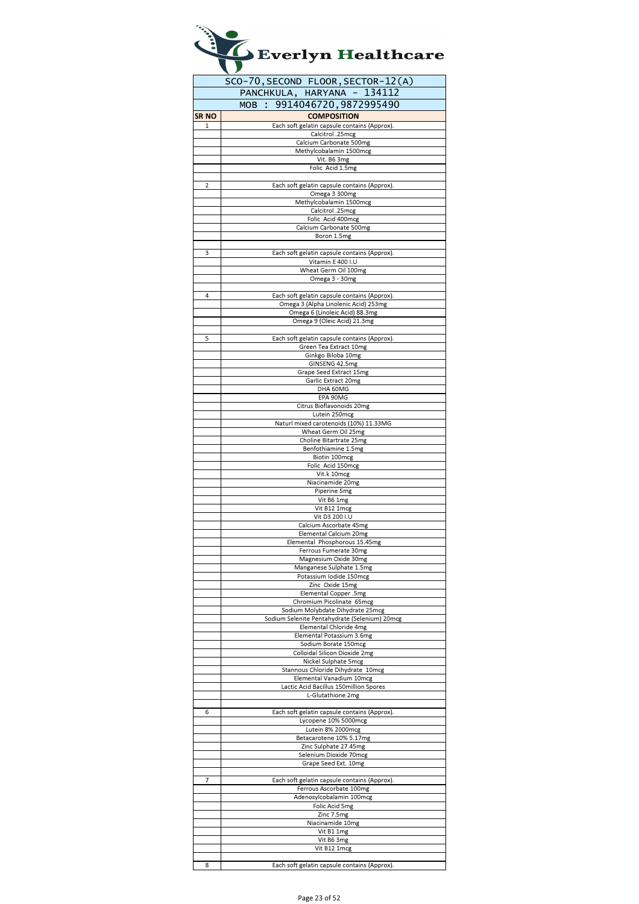|       | Everlyn Healthcare                                                                |
|-------|-----------------------------------------------------------------------------------|
|       | SCO-70, SECOND FLOOR, SECTOR-12(A)                                                |
|       | PANCHKULA, HARYANA - 134112                                                       |
| SR NO | MOB : 9914046720,9872995490<br><b>COMPOSITION</b>                                 |
| 1     | Each soft gelatin capsule contains (Approx).                                      |
|       | Calcitrol .25mcg                                                                  |
|       | Calcium Carbonate 500mg<br>Methylcobalamin 1500mcg                                |
|       | Vit. B6 3mg                                                                       |
|       | Folic Acid 1.5mg                                                                  |
| 2     | Each soft gelatin capsule contains (Approx).                                      |
|       | Omega 3 300mg                                                                     |
|       | Methylcobalamin 1500mcg<br>Calcitrol .25mcg                                       |
|       | Folic Acid 400mcg                                                                 |
|       | Calcium Carbonate 500mg<br>Boron 1.5mg                                            |
|       |                                                                                   |
| 3     | Each soft gelatin capsule contains (Approx).                                      |
|       | Vitamin E 400 I.U<br>Wheat Germ Oil 100mg                                         |
|       | Omega 3 - 30mg                                                                    |
| 4     | Each soft gelatin capsule contains (Approx).                                      |
|       | Omega 3 (Alpha Linolenic Acid) 253mg                                              |
|       | Omega 6 (Linoleic Acid) 88.3mg                                                    |
|       | Omega 9 (Oleic Acid) 21.3mg                                                       |
| 5     | Each soft gelatin capsule contains (Approx).                                      |
|       | Green Tea Extract 10mg<br>Ginkgo Biloba 10mg                                      |
|       | GINSENG 42.5mg                                                                    |
|       | Grape Seed Extract 15mg                                                           |
|       | Garlic Extract 20mg<br>DHA 60MG                                                   |
|       | EPA 90MG                                                                          |
|       | Citrus Bioflavonoids 20mg<br>Lutein 250mcg                                        |
|       | Naturl mixed carotenoids (10%) 11.33MG                                            |
|       | Wheat Germ Oil 25mg                                                               |
|       | Choline Bitartrate 25mg<br>Benfothiamine 1.5mg                                    |
|       | Biotin 100mcg                                                                     |
|       | Folic Acid 150mcg<br>Vit.k 10mcg                                                  |
|       | Niacinamide 20mg                                                                  |
|       | Piperine 5mg<br>Vit B6 1mg                                                        |
|       | Vit B12 1mcg                                                                      |
|       | Vit D3 200 I.U                                                                    |
|       | Calcium Ascorbate 45mg<br>Elemental Calcium 20mg                                  |
|       | Elemental Phosphorous 15.45mg                                                     |
|       | Ferrous Fumerate 30mg<br>Magnesium Oxide 30mg                                     |
|       | Manganese Sulphate 1.5mg                                                          |
|       | Potassium Iodide 150mcg                                                           |
|       | Zinc Oxide 15mg<br>Elemental Copper .5mg                                          |
|       | Chromium Picolinate 65mcg                                                         |
|       | Sodium Molybdate Dihydrate 25mcg<br>Sodium Selenite Pentahydrate (Selenium) 20mcg |
|       | Elemental Chloride 4mg                                                            |
|       | Elemental Potassium 3.6mg                                                         |
|       | Sodium Borate 150mcg<br>Colloidal Silicon Dioxide 2mg                             |
|       | Nickel Sulphate 5mcg                                                              |
|       | Stannous Chloride Dihydrate 10mcg                                                 |
|       | Elemental Vanadium 10mcg<br>Lactic Acid Bacillus 150million Spores                |
|       | L-Glutathione 2mg                                                                 |
| 6     | Each soft gelatin capsule contains (Approx).                                      |
|       | Lycopene 10% 5000mcg                                                              |
|       | Lutein 8% 2000mcg<br>Betacarotene 10% 5.17mg                                      |
|       | Zinc Sulphate 27.45mg                                                             |
|       | Selenium Dioxide 70mcg                                                            |
|       | Grape Seed Ext. 10mg                                                              |
| 7     | Each soft gelatin capsule contains (Approx)                                       |
|       | Ferrous Ascorbate 100mg                                                           |
|       | Adenosylcobalamin 100mcg<br>Folic Acid 5mg                                        |
|       | Zinc 7.5mg                                                                        |
|       | Niacinamide 10mg                                                                  |
|       | Vit B1 1mg<br>Vit B6 3mg                                                          |
|       | Vit B12 1mcg                                                                      |
|       |                                                                                   |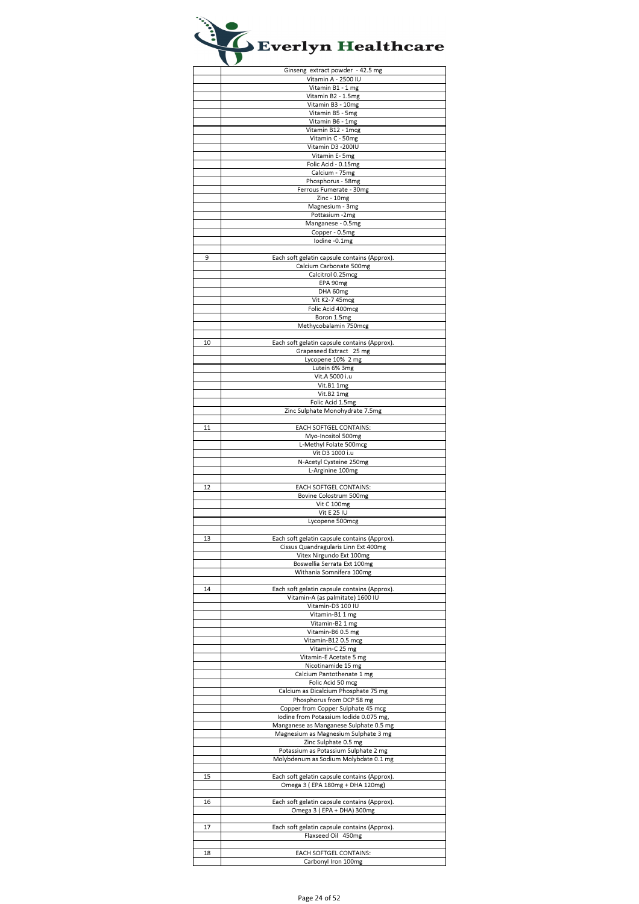|    | Ginseng extract powder - 42.5 mg             |
|----|----------------------------------------------|
|    | Vitamin A - 2500 IU                          |
|    | Vitamin B1 - 1 mg                            |
|    |                                              |
|    | Vitamin B2 - 1.5mg                           |
|    | Vitamin B3 - 10mg                            |
|    | Vitamin B5 - 5mg                             |
|    | Vitamin B6 - 1mg                             |
|    | Vitamin B12 - 1mcg                           |
|    | Vitamin C - 50mg                             |
|    | Vitamin D3 - 200IU                           |
|    | Vitamin E- 5mg                               |
|    | Folic Acid - 0.15mg                          |
|    | Calcium - 75mg                               |
|    | Phosphorus - 58mg                            |
|    | Ferrous Fumerate - 30mg                      |
|    | Zinc - 10mg                                  |
|    | Magnesium - 3mg                              |
|    | Pottasium -2mg                               |
|    |                                              |
|    | Manganese - 0.5mg                            |
|    | Copper - 0.5mg                               |
|    | lodine -0.1mg                                |
|    |                                              |
| 9  | Each soft gelatin capsule contains (Approx). |
|    | Calcium Carbonate 500mg                      |
|    | Calcitrol 0.25mcg                            |
|    | EPA 90mg                                     |
|    | DHA 60mg                                     |
|    | Vit K2-7 45mcg                               |
|    | Folic Acid 400mcg                            |
|    | Boron 1.5mg                                  |
|    | Methycobalamin 750mcg                        |
|    |                                              |
|    |                                              |
| 10 | Each soft gelatin capsule contains (Approx). |
|    | Grapeseed Extract 25 mg                      |
|    | Lycopene 10% 2 mg                            |
|    | Lutein 6% 3mg                                |
|    | Vit.A 5000 i.u                               |
|    | Vit.B1 1mg                                   |
|    | Vit.B2 1mg                                   |
|    | Folic Acid 1.5mg                             |
|    | Zinc Sulphate Monohydrate 7.5mg              |
|    |                                              |
| 11 | EACH SOFTGEL CONTAINS:                       |
|    | Myo-Inositol 500mg                           |
|    |                                              |
|    | L-Methyl Folate 500mcg                       |
|    | Vit D3 1000 i.u                              |
|    | N-Acetyl Cysteine 250mg                      |
|    | L-Arginine 100mg                             |
|    |                                              |
| 12 | EACH SOFTGEL CONTAINS:                       |
|    | Bovine Colostrum 500mg                       |
|    | Vit C 100mg                                  |
|    | <b>Vit E 25 IU</b>                           |
|    | Lycopene 500mcg                              |
|    |                                              |
| 13 | Each soft gelatin capsule contains (Approx). |
|    | Cissus Quandraguiaris Linn Ext 400mg         |
|    | Vitex Nirgundo Ext 100mg                     |
|    | Boswellia Serrata Ext 100mg                  |
|    | Withania Somnifera 100mg                     |
|    |                                              |
|    |                                              |
| 14 | Each soft gelatin capsule contains (Approx). |
|    | Vitamin-A (as palmitate) 1600 IU             |
|    | Vitamin-D3 100 IU                            |
|    | Vitamin-B1 1 mg                              |
|    | Vitamin-B2 1 mg                              |
|    | Vitamin-B60.5 mg                             |
|    | Vitamin-B12 0.5 mcg                          |
|    | Vitamin-C 25 mg                              |
|    | Vitamin-E Acetate 5 mg                       |
|    | Nicotinamide 15 mg                           |
|    | Calcium Pantothenate 1 mg                    |
|    | Folic Acid 50 mcg                            |
|    | Calcium as Dicalcium Phosphate 75 mg         |
|    | Phosphorus from DCP 58 mg                    |
|    | Copper from Copper Sulphate 45 mcg           |
|    | Iodine from Potassium Iodide 0.075 mg,       |
|    | Manganese as Manganese Sulphate 0.5 mg       |
|    |                                              |
|    | Magnesium as Magnesium Sulphate 3 mg         |
|    | Zinc Sulphate 0.5 mg                         |
|    | Potassium as Potassium Sulphate 2 mg         |
|    | Molybdenum as Sodium Molybdate 0.1 mg        |
|    |                                              |
| 15 | Each soft gelatin capsule contains (Approx). |
|    | Omega 3 (EPA 180mg + DHA 120mg)              |
|    |                                              |
| 16 | Each soft gelatin capsule contains (Approx). |
|    | Omega 3 (EPA + DHA) 300mg                    |
|    |                                              |
| 17 | Each soft gelatin capsule contains (Approx). |
|    | Flaxseed Oil 450mg                           |
|    |                                              |
| 18 | EACH SOFTGEL CONTAINS:                       |
|    | Carbonyl Iron 100mg                          |
|    |                                              |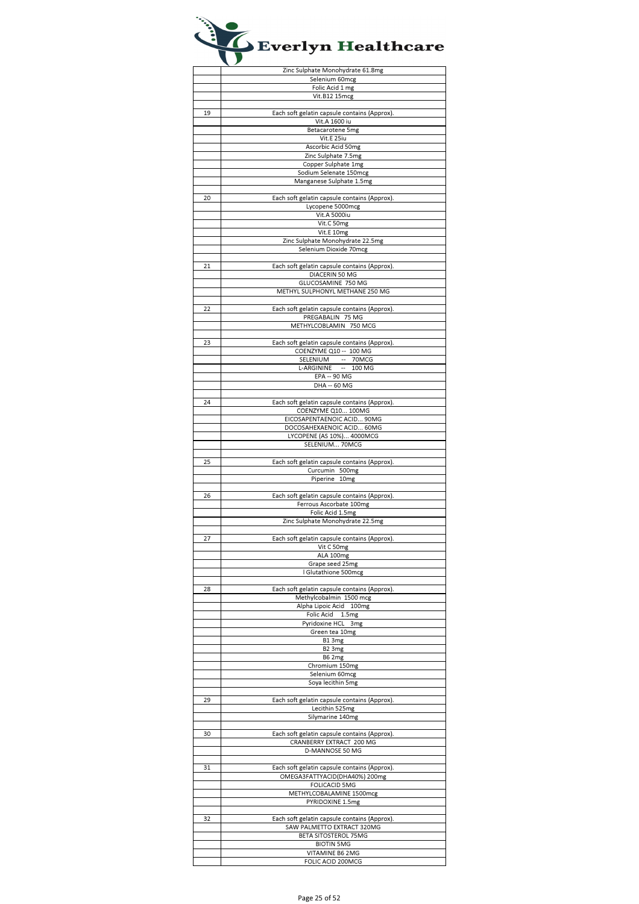|    | Zinc Sulphate Monohydrate 61.8mg                           |
|----|------------------------------------------------------------|
|    |                                                            |
|    | Selenium 60mcg                                             |
|    | Folic Acid 1 mg                                            |
|    | Vit.B12 15mcg                                              |
|    |                                                            |
| 19 | Each soft gelatin capsule contains (Approx).               |
|    |                                                            |
|    | Vit.A 1600 iu                                              |
|    | Betacarotene 5mg                                           |
|    | Vit.E 25iu                                                 |
|    | Ascorbic Acid 50mg                                         |
|    | Zinc Sulphate 7.5mg                                        |
|    |                                                            |
|    | Copper Sulphate 1mg                                        |
|    | Sodium Selenate 150mcg                                     |
|    | Manganese Sulphate 1.5mg                                   |
|    |                                                            |
| 20 | Each soft gelatin capsule contains (Approx).               |
|    | Lycopene 5000mcg                                           |
|    | Vit.A 5000iu                                               |
|    |                                                            |
|    | Vit.C 50mg                                                 |
|    | Vit.E 10mg                                                 |
|    | Zinc Sulphate Monohydrate 22.5mg                           |
|    | Selenium Dioxide 70mcg                                     |
|    |                                                            |
| 21 | Each soft gelatin capsule contains (Approx).               |
|    | DIACERIN 50 MG                                             |
|    | GLUCOSAMINE 750 MG                                         |
|    | METHYL SULPHONYL METHANE 250 MG                            |
|    |                                                            |
|    |                                                            |
| 22 | Each soft gelatin capsule contains (Approx).               |
|    | PREGABALIN 75 MG                                           |
|    | METHYLCOBLAMIN 750 MCG                                     |
|    |                                                            |
| 23 | Each soft gelatin capsule contains (Approx).               |
|    | COENZYME Q10 -- 100 MG                                     |
|    | SELENIUM -- 70MCG                                          |
|    | L-ARGININE -- 100 MG                                       |
|    | EPA -- 90 MG                                               |
|    |                                                            |
|    | DHA -- 60 MG                                               |
|    |                                                            |
| 24 | Each soft gelatin capsule contains (Approx).               |
|    | COENZYME Q10 100MG                                         |
|    | EICOSAPENTAENOIC ACID 90MG                                 |
|    | DOCOSAHEXAENOIC ACID 60MG                                  |
|    | LYCOPENE (AS 10%) 4000MCG                                  |
|    | SELENIUM 70MCG                                             |
|    |                                                            |
| 25 | Each soft gelatin capsule contains (Approx).               |
|    |                                                            |
|    | Curcumin 500mg                                             |
|    |                                                            |
|    | Piperine 10mg                                              |
|    |                                                            |
| 26 | Each soft gelatin capsule contains (Approx).               |
|    | Ferrous Ascorbate 100mg                                    |
|    | Folic Acid 1.5mg                                           |
|    | Zinc Sulphate Monohydrate 22.5mg                           |
|    |                                                            |
| 27 |                                                            |
|    | Each soft gelatin capsule contains (Approx).<br>Vit C 50mg |
|    |                                                            |
|    | ALA 100mg                                                  |
|    | Grape seed 25mg                                            |
|    | Glutathione 500mcg                                         |
|    |                                                            |
| 28 | Each soft gelatin capsule contains (Approx).               |
|    | Methylcobalmin 1500 mcg                                    |
|    | Alpha Lipoic Acid 100mg                                    |
|    | Folic Acid 1.5mg                                           |
|    | Pyridoxine HCL 3mg                                         |
|    | Green tea 10mg                                             |
|    | B13mg                                                      |
|    | B <sub>2</sub> 3mg                                         |
|    | <b>B62mg</b>                                               |
|    |                                                            |
|    | Chromium 150mg                                             |
|    | Selenium 60mcg                                             |
|    | Soya lecithin 5mg                                          |
|    |                                                            |
| 29 | Each soft gelatin capsule contains (Approx).               |
|    | Lecithin 525mg                                             |
|    | Silymarine 140mg                                           |
|    |                                                            |
| 30 | Each soft gelatin capsule contains (Approx).               |
|    | CRANBERRY EXTRACT 200 MG                                   |
|    | D-MANNOSE 50 MG                                            |
|    |                                                            |
|    |                                                            |
| 31 | Each soft gelatin capsule contains (Approx).               |
|    | OMEGA3FATTYACID(DHA40%) 200mg                              |
|    | <b>FOLICACID 5MG</b>                                       |
|    | METHYLCOBALAMINE 1500mcg                                   |
|    | PYRIDOXINE 1.5mg                                           |
|    |                                                            |
| 32 | Each soft gelatin capsule contains (Approx).               |
|    | SAW PALMETTO EXTRACT 320MG                                 |
|    | BETA SITOSTEROL 75MG                                       |
|    | <b>BIOTIN 5MG</b>                                          |
|    | VITAMINE B6 2MG                                            |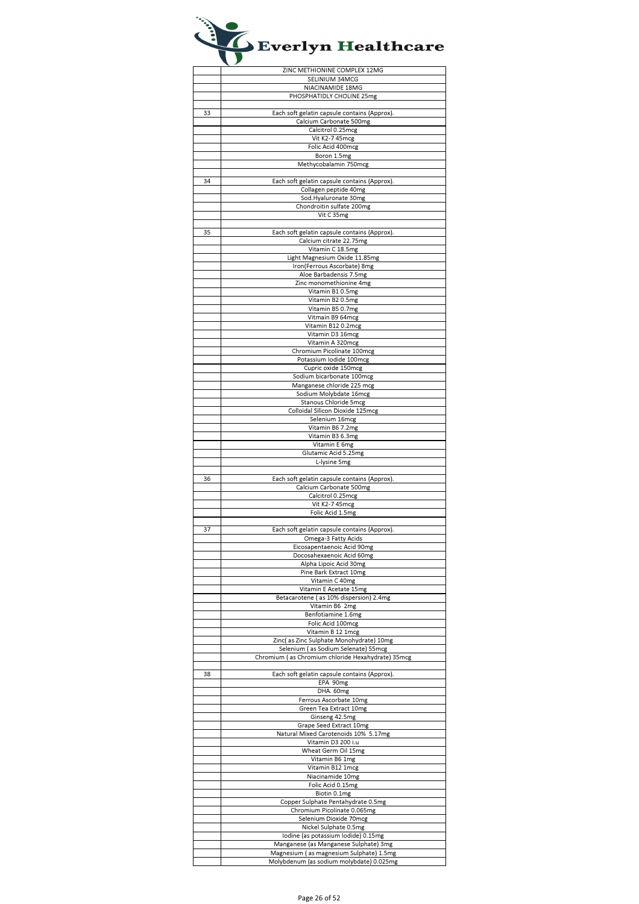|    | ZINC METHIONINE COMPLEX 12MG                      |
|----|---------------------------------------------------|
|    | SELINIUM 34MCG                                    |
|    |                                                   |
|    | NIACINAMIDE 18MG                                  |
|    | PHOSPHATIDLY CHOLINE 25mg                         |
|    |                                                   |
| 33 | Each soft gelatin capsule contains (Approx)       |
|    | Calcium Carbonate 500mg                           |
|    | Calcitrol 0.25mcg                                 |
|    |                                                   |
|    | Vit K2-7 45mcg                                    |
|    | Folic Acid 400mcg                                 |
|    | Boron 1.5mg                                       |
|    | Methycobalamin 750mcg                             |
|    |                                                   |
| 34 | Each soft gelatin capsule contains (Approx).      |
|    | Collagen peptide 40mg                             |
|    |                                                   |
|    | Sod.Hyaluronate 30mg                              |
|    | Chondroitin sulfate 200mg                         |
|    | Vit C 35mg                                        |
|    |                                                   |
| 35 | Each soft gelatin capsule contains (Approx).      |
|    | Calcium citrate 22.75mg                           |
|    | Vitamin C 18.5mg                                  |
|    |                                                   |
|    | Light Magnesium Oxide 11.85mg                     |
|    | Iron(Ferrous Ascorbate) 8mg                       |
|    | Aloe Barbadensis 7.5mg                            |
|    | Zinc monomethionine 4mg                           |
|    | Vitamin B10.5mg                                   |
|    | Vitamin B2 0.5mg                                  |
|    | Vitamin B5 0.7mg                                  |
|    |                                                   |
|    | Vitmain B9 64mcg                                  |
|    | Vitamin B12 0.2mcg                                |
|    | Vitamin D3 16mcg                                  |
|    | Vitamin A 320mcg                                  |
|    | Chromium Picolinate 100mcg                        |
|    | Potassium lodide 100mcg                           |
|    | Cupric oxide 150mcg                               |
|    |                                                   |
|    | Sodium bicarbonate 100mcg                         |
|    | Manganese chloride 225 mcg                        |
|    | Sodium Molybdate 16mcg                            |
|    | Stanous Chloride 5mcg                             |
|    | Colloidal Silicon Dioxide 125mcg                  |
|    | Selenium 16mcg                                    |
|    |                                                   |
|    | Vitamin B6 7.2mg                                  |
|    | Vitamin B3 6.3mg                                  |
|    | Vitamin E 6mg                                     |
|    | Glutamic Acid 5.25mg                              |
|    | L-lysine 5mg                                      |
|    |                                                   |
|    |                                                   |
|    |                                                   |
| 36 | Each soft gelatin capsule contains (Approx).      |
|    | Calcium Carbonate 500mg                           |
|    | Calcitrol 0.25mcg                                 |
|    | Vit K2-7 45mcg                                    |
|    |                                                   |
|    | Folic Acid 1.5mg                                  |
|    |                                                   |
| 37 | Each soft gelatin capsule contains (Approx).      |
|    | Omega-3 Fatty Acids                               |
|    | Eicosapentaenoic Acid 90mg                        |
|    | Docosahexaenoic Acid 60mg                         |
|    | Alpha Lipoic Acid 30mg                            |
|    | Pine Bark Extract 10mg                            |
|    | Vitamin C 40mg                                    |
|    | Vitamin E Acetate 15mg                            |
|    |                                                   |
|    | Betacarotene (as 10% dispersion) 2.4mg            |
|    | Vitamin B6 2mg                                    |
|    | Benfotiamine 1.6mg                                |
|    | Folic Acid 100mcg                                 |
|    | Vitamin B 12 1mcg                                 |
|    | Zinc(as Zinc Sulphate Monohydrate) 10mg           |
|    | Selenium (as Sodium Selenate) 55mcg               |
|    | Chromium (as Chromium chloride Hexahydrate) 35mcg |
|    |                                                   |
| 38 |                                                   |
|    | Each soft gelatin capsule contains (Approx).      |
|    | EPA 90mg                                          |
|    | DHA. 60mg                                         |
|    | Ferrous Ascorbate 10mg                            |
|    | Green Tea Extract 10mg                            |
|    | Ginseng 42.5mg                                    |
|    | Grape Seed Extract 10mg                           |
|    | Natural Mixed Carotenoids 10% 5.17mg              |
|    | Vitamin D3 200 i.u                                |
|    | Wheat Germ Oil 15mg                               |
|    |                                                   |
|    | Vitamin B6 1mg                                    |
|    | Vitamin B12 1mcg                                  |
|    | Niacinamide 10mg                                  |
|    | Folic Acid 0.15mg                                 |
|    | Biotin 0.1mg                                      |
|    | Copper Sulphate Pentahydrate 0.5mg                |
|    |                                                   |
|    | Chromium Picolinate 0.065mg                       |
|    | Selenium Dioxide 70mcg                            |
|    | Nickel Sulphate 0.5mg                             |
|    | Iodine (as potassium Iodide) 0.15mg               |
|    | Manganese (as Manganese Sulphate) 3mg             |
|    | Magnesium (as magnesium Sulphate) 1.5mg           |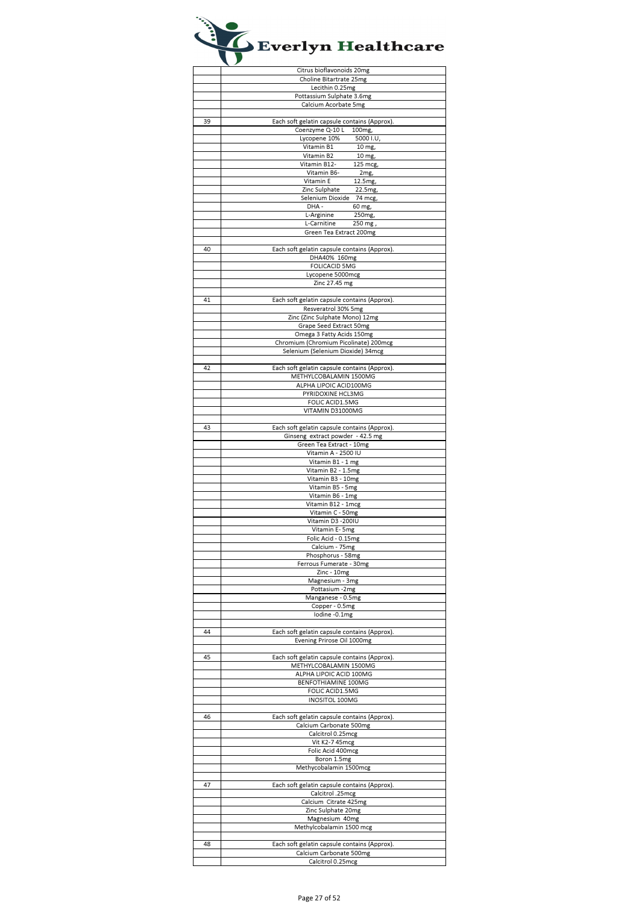|    | Citrus bioflavonoids 20mg                    |
|----|----------------------------------------------|
|    | Choline Bitartrate 25mg                      |
|    | Lecithin 0.25mg                              |
|    |                                              |
|    | Pottassium Sulphate 3.6mg                    |
|    | Calcium Acorbate 5mg                         |
|    |                                              |
|    |                                              |
| 39 | Each soft gelatin capsule contains (Approx)  |
|    | Coenzyme Q-10 L<br>100mg,                    |
|    | Lycopene 10%<br>5000 I.U                     |
|    |                                              |
|    | Vitamin B1<br>10 mg,                         |
|    | Vitamin B2<br>10 mg,                         |
|    | Vitamin B12-<br>125 mcg,                     |
|    |                                              |
|    | Vitamin B6-<br>2mg,                          |
|    | Vitamin E<br>12.5mg,                         |
|    | Zinc Sulphate<br>22.5mg,                     |
|    | Selenium Dioxide                             |
|    | 74 mcg,                                      |
|    | DHA-<br>60 mg,                               |
|    | L-Arginine<br>250 <sub>mg</sub>              |
|    | L-Carnitine<br>250 mg,                       |
|    |                                              |
|    | Green Tea Extract 200mg                      |
|    |                                              |
| 40 | Each soft gelatin capsule contains (Approx). |
|    | DHA40% 160mg                                 |
|    |                                              |
|    | <b>FOLICACID 5MG</b>                         |
|    | Lycopene 5000mcg                             |
|    | Zinc 27.45 mg                                |
|    |                                              |
|    |                                              |
| 41 | Each soft gelatin capsule contains (Approx). |
|    | Resveratrol 30% 5mg                          |
|    | Zinc (Zinc Sulphate Mono) 12mg               |
|    |                                              |
|    | Grape Seed Extract 50mg                      |
|    | Omega 3 Fatty Acids 150mg                    |
|    |                                              |
|    | Chromium (Chromium Picolinate) 200mcg        |
|    | Selenium (Selenium Dioxide) 34mcg            |
|    |                                              |
| 42 |                                              |
|    | Each soft gelatin capsule contains (Approx). |
|    | METHYLCOBALAMIN 1500MG                       |
|    | ALPHA LIPOIC ACID100MG                       |
|    | PYRIDOXINE HCL3MG                            |
|    |                                              |
|    | FOLIC ACID1.5MG                              |
|    | VITAMIN D31000MG                             |
|    |                                              |
|    |                                              |
| 43 | Each soft gelatin capsule contains (Approx). |
|    | Ginseng extract powder - 42.5 mg             |
|    | Green Tea Extract - 10mg                     |
|    |                                              |
|    | Vitamin A - 2500 IU                          |
|    | Vitamin B1 - 1 mg                            |
|    | Vitamin B2 - 1.5mg                           |
|    |                                              |
|    | Vitamin B3 - 10mg                            |
|    | Vitamin B5 - 5mg                             |
|    | Vitamin B6 - 1mg                             |
|    | Vitamin B12 - 1mcg                           |
|    |                                              |
|    | Vitamin C - 50mg                             |
|    | Vitamin D3 -200IU                            |
|    | Vitamin E- 5mg                               |
|    |                                              |
|    | Folic Acid - 0.15mg                          |
|    | Calcium - 75mg                               |
|    | Phosphorus - 58mg                            |
|    |                                              |
|    | Ferrous Fumerate - 30mg                      |
|    | Zinc - 10mg                                  |
|    | Magnesium - 3mg                              |
|    |                                              |
|    | Pottasium -2mg                               |
|    | Manganese - 0.5mg                            |
|    | Copper - 0.5mg                               |
|    |                                              |
|    | lodine -0.1mg                                |
|    |                                              |
| 44 | Each soft gelatin capsule contains (Approx). |
|    | Evening Prirose Oil 1000mg                   |
|    |                                              |
|    |                                              |
| 45 | Each soft gelatin capsule contains (Approx). |
|    | METHYLCOBALAMIN 1500MG                       |
|    |                                              |
|    | ALPHA LIPOIC ACID 100MG                      |
|    | BENFOTHIAMINE 100MG                          |
|    | FOLIC ACID1.5MG                              |
|    | INOSITOL 100MG                               |
|    |                                              |
|    |                                              |
| 46 | Each soft gelatin capsule contains (Approx). |
|    | Calcium Carbonate 500mg                      |
|    |                                              |
|    | Calcitrol 0.25mcg                            |
|    | Vit K2-7 45mcg                               |
|    | Folic Acid 400mcg                            |
|    | Boron 1.5mg                                  |
|    |                                              |
|    | Methycobalamin 1500mcg                       |
|    |                                              |
| 47 |                                              |
|    | Each soft gelatin capsule contains (Approx)  |
|    | Calcitrol .25mcg                             |
|    | Calcium Citrate 425mg                        |
|    |                                              |
|    | Zinc Sulphate 20mg                           |
|    | Magnesium 40mg                               |
|    | Methylcobalamin 1500 mcg                     |
|    |                                              |
|    |                                              |
| 48 | Each soft gelatin capsule contains (Approx). |
|    | Calcium Carbonate 500mg                      |
|    | Calcitrol 0.25mcg                            |
|    |                                              |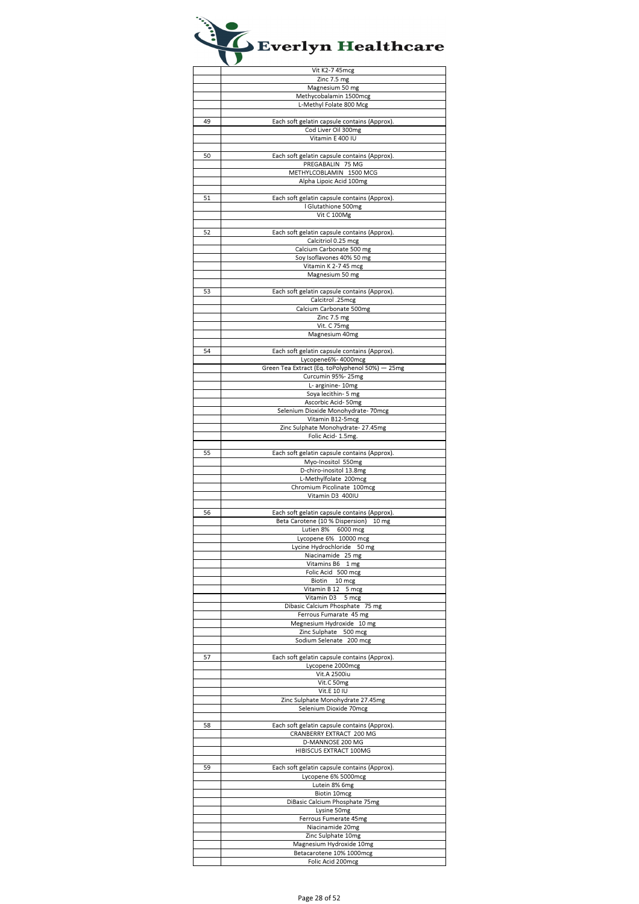|    | Vit K2-7 45mcg                                  |
|----|-------------------------------------------------|
|    | Zinc 7.5 mg                                     |
|    | Magnesium 50 mg                                 |
|    | Methycobalamin 1500mcg                          |
|    | L-Methyl Folate 800 Mcg                         |
|    |                                                 |
| 49 | Each soft gelatin capsule contains (Approx).    |
|    | Cod Liver Oil 300mg                             |
|    | Vitamin E 400 IU                                |
|    |                                                 |
| 50 | Each soft gelatin capsule contains (Approx).    |
|    | PREGABALIN 75 MG                                |
|    | METHYLCOBLAMIN 1500 MCG                         |
|    | Alpha Lipoic Acid 100mg                         |
|    |                                                 |
| 51 | Each soft gelatin capsule contains (Approx).    |
|    | I Glutathione 500mg                             |
|    |                                                 |
|    | Vit C 100Mg                                     |
|    |                                                 |
| 52 | Each soft gelatin capsule contains (Approx).    |
|    | Calcitriol 0.25 mcg                             |
|    | Calcium Carbonate 500 mg                        |
|    | Soy Isoflavones 40% 50 mg                       |
|    | Vitamin K 2-7 45 mcg                            |
|    | Magnesium 50 mg                                 |
|    |                                                 |
| 53 | Each soft gelatin capsule contains (Approx).    |
|    | Calcitrol .25mcg                                |
|    | Calcium Carbonate 500mg                         |
|    | Zinc 7.5 mg                                     |
|    | Vit. C 75mg                                     |
|    | Magnesium 40mg                                  |
|    |                                                 |
| 54 | Each soft gelatin capsule contains (Approx).    |
|    | Lycopene6%- 4000mcg                             |
|    | Green Tea Extract (Eq. toPolyphenol 50%) - 25mg |
|    | Curcumin 95%-25mg                               |
|    | L- arginine- 10mg                               |
|    | Soya lecithin- 5 mg                             |
|    | Ascorbic Acid-50mg                              |
|    | Selenium Dioxide Monohydrate- 70mcg             |
|    | Vitamin B12-5mcg                                |
|    |                                                 |
|    | Zinc Sulphate Monohydrate- 27.45mg              |
|    | Folic Acid- 1.5mg.                              |
|    |                                                 |
| 55 | Each soft gelatin capsule contains (Approx).    |
|    | Myo-Inositol 550mg                              |
|    | D-chiro-inositol 13.8mg                         |
|    | L-Methylfolate 200mcg                           |
|    | Chromium Picolinate 100mcg                      |
|    | Vitamin D3 400IU                                |
|    |                                                 |
| 56 | Each soft gelatin capsule contains (Approx).    |
|    | Beta Carotene (10 % Dispersion)<br>10 mg        |
|    | Lutien 8% 6000 mcg                              |
|    | Lycopene 6% 10000 mcg                           |
|    | Lycine Hydrochloride 50 mg                      |
|    | Niacinamide 25 mg                               |
|    | Vitamins B6<br>1 mg                             |
|    | Folic Acid 500 mcg                              |
|    | Biotin 10 mcg                                   |
|    | Vitamin B 12<br>5 mcg                           |
|    | Vitamin D3 5 mcg                                |
|    | Dibasic Calcium Phosphate 75 mg                 |
|    | Ferrous Fumarate 45 mg                          |
|    | Megnesium Hydroxide 10 mg                       |
|    | Zinc Sulphate 500 mcg                           |
|    | Sodium Selenate 200 mcg                         |
|    |                                                 |
| 57 | Each soft gelatin capsule contains (Approx).    |
|    | Lycopene 2000mcg                                |
|    | $\overline{\text{V}}$ it.A 2500iu               |
|    | Vit.C 50mg                                      |
|    | Vit.E 10 IU                                     |
|    | Zinc Sulphate Monohydrate 27.45mg               |
|    | Selenium Dioxide 70mcg                          |
|    |                                                 |
| 58 | Each soft gelatin capsule contains (Approx).    |
|    | CRANBERRY EXTRACT 200 MG                        |
|    | D-MANNOSE 200 MG                                |
|    | HIBISCUS EXTRACT 100MG                          |
|    |                                                 |
| 59 | Each soft gelatin capsule contains (Approx).    |
|    | Lycopene 6% 5000mcg                             |
|    | Lutein 8% 6mg                                   |
|    | Biotin 10mcg                                    |
|    | DiBasic Calcium Phosphate 75mg                  |
|    | Lysine 50mg                                     |
|    | Ferrous Fumerate 45mg                           |
|    | Niacinamide 20mg                                |
|    |                                                 |
|    | Zinc Sulphate 10mg                              |
|    | Magnesium Hydroxide 10mg                        |
|    | Betacarotene 10% 1000mcg                        |
|    | Folic Acid 200mcg                               |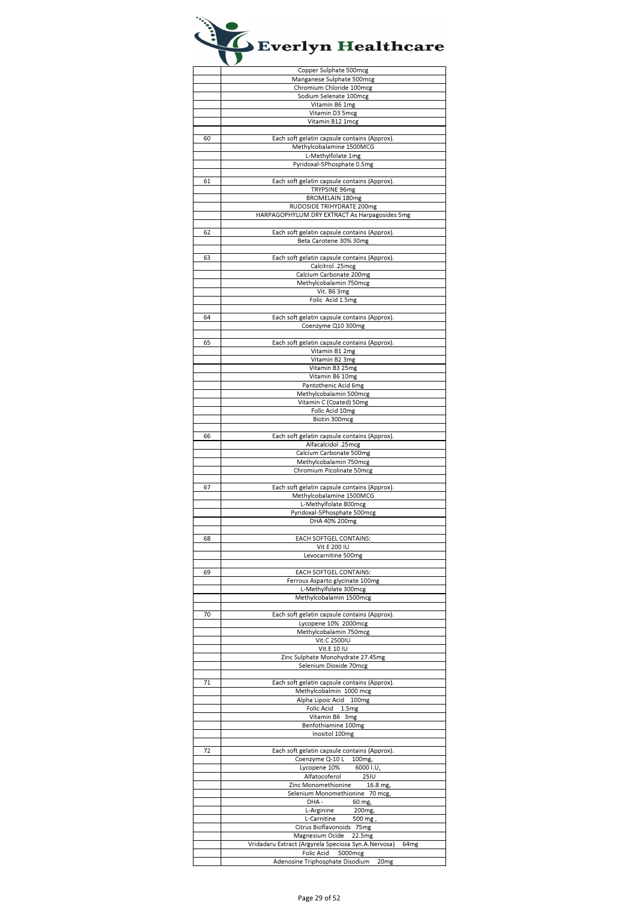|    | Copper Sulphate 500mcg                                                       |
|----|------------------------------------------------------------------------------|
|    | Manganese Sulphate 500mcg                                                    |
|    | Chromium Chloride 100mcg                                                     |
|    |                                                                              |
|    | Sodium Selenate 100mcg                                                       |
|    | Vitamin B6 1mg                                                               |
|    | Vitamin D3 5mcg                                                              |
|    | Vitamin B12 1mcg                                                             |
|    |                                                                              |
|    |                                                                              |
| 60 | Each soft gelatin capsule contains (Approx).                                 |
|    | Methylcobalamine 1500MCG                                                     |
|    | L-Methylfolate 1mg                                                           |
|    | Pyridoxal-5Phosphate 0.5mg                                                   |
|    |                                                                              |
| 61 | Each soft gelatin capsule contains (Approx).                                 |
|    | TRYPSINE 96mg                                                                |
|    | <b>BROMELAIN 180mg</b>                                                       |
|    | RUDOSIDE TRIHYDRATE 200mg                                                    |
|    |                                                                              |
|    | HARPAGOPHYLUM DRY EXTRACT As Harpagosides 5mg                                |
|    |                                                                              |
| 62 | Each soft gelatin capsule contains (Approx).                                 |
|    | Beta Carotene 30% 30mg                                                       |
|    |                                                                              |
| 63 | Each soft gelatin capsule contains (Approx).                                 |
|    | Calcitrol .25mcg                                                             |
|    | Calcium Carbonate 200mg                                                      |
|    | Methylcobalamin 750mcg                                                       |
|    | Vit. B6 3mg                                                                  |
|    |                                                                              |
|    | Folic Acid 1.5mg                                                             |
|    |                                                                              |
| 64 | Each soft gelatin capsule contains (Approx).                                 |
|    | Coenzyme Q10 300mg                                                           |
|    |                                                                              |
| 65 | Each soft gelatin capsule contains (Approx).                                 |
|    | Vitamin B1 2mg                                                               |
|    |                                                                              |
|    | Vitamin B2 3mg                                                               |
|    | Vitamin B3 25mg                                                              |
|    | Vitamin B6 10mg                                                              |
|    | Pantothenic Acid 6mg                                                         |
|    | Methylcobalamin 500mcg                                                       |
|    | Vitamin C (Coated) 50mg                                                      |
|    | Folic Acid 10mg                                                              |
|    | Biotin 300mcg                                                                |
|    |                                                                              |
|    |                                                                              |
| 66 | Each soft gelatin capsule contains (Approx).                                 |
|    | Alfacalcidol .25mcg                                                          |
|    | Calcium Carbonate 500mg                                                      |
|    | Methylcobalamin 750mcg                                                       |
|    | Chromium Picolinate 50mcg                                                    |
|    |                                                                              |
|    |                                                                              |
| 67 | Each soft gelatin capsule contains (Approx).                                 |
|    |                                                                              |
|    | Methylcobalamine 1500MCG                                                     |
|    | L-Methylfolate 800mcg                                                        |
|    | Pyridoxal-5Phosphate 500mcg                                                  |
|    | DHA 40% 200mg                                                                |
|    |                                                                              |
| 68 | EACH SOFTGEL CONTAINS:                                                       |
|    | Vit E 200 IU                                                                 |
|    | Levocarnitine 500mg                                                          |
|    |                                                                              |
| 69 | EACH SOFTGEL CONTAINS:                                                       |
|    | Ferrous Asparto glycinate 100mg                                              |
|    | L-Methylfolate 300mcg                                                        |
|    |                                                                              |
|    | Methylcobalamin 1500mcg                                                      |
| 70 |                                                                              |
|    | Each soft gelatin capsule contains (Approx).                                 |
|    | Lycopene 10% 2000mcg                                                         |
|    | Methylcobalamin 750mcg                                                       |
|    | Vit.C 2500IU                                                                 |
|    | Vit.E 10 IU                                                                  |
|    | Zinc Sulphate Monohydrate 27.45mg                                            |
|    | Selenium Dioxide 70mcg                                                       |
|    |                                                                              |
| 71 | Each soft gelatin capsule contains (Approx).                                 |
|    | Methylcobalmin 1000 mcg                                                      |
|    |                                                                              |
|    | Alpha Lipoic Acid 100mg                                                      |
|    | Folic Acid 1.5mg                                                             |
|    | Vitamin B6 3mg                                                               |
|    | Benfothiamine 100mg                                                          |
|    | Inositol 100mg                                                               |
|    |                                                                              |
| 72 | Each soft gelatin capsule contains (Approx).                                 |
|    | Coenzyme Q-10 L<br>100mg,                                                    |
|    | Lycopene 10%<br>6000 I.U,                                                    |
|    | Alfatocoferol<br><b>25IU</b>                                                 |
|    | Zinc Monomethionine<br>16.8 mg,                                              |
|    | Selenium Monomethionine 70 mcg,                                              |
|    |                                                                              |
|    | DHA-<br>60 mg,                                                               |
|    | L-Arginine<br>200mg,                                                         |
|    | L-Carnitine<br>500 mg,                                                       |
|    | Citrus Bioflavonoids 75mg                                                    |
|    | Magnesium Ocide 22.5mg                                                       |
|    | Vridadaru Extract (Argyrela Speciosa Syn.A.Nervosa)<br>64 <sub>mg</sub>      |
|    | Folic Acid<br>5000mcg<br>Adenosine Triphosphate Disodium<br>20 <sub>mg</sub> |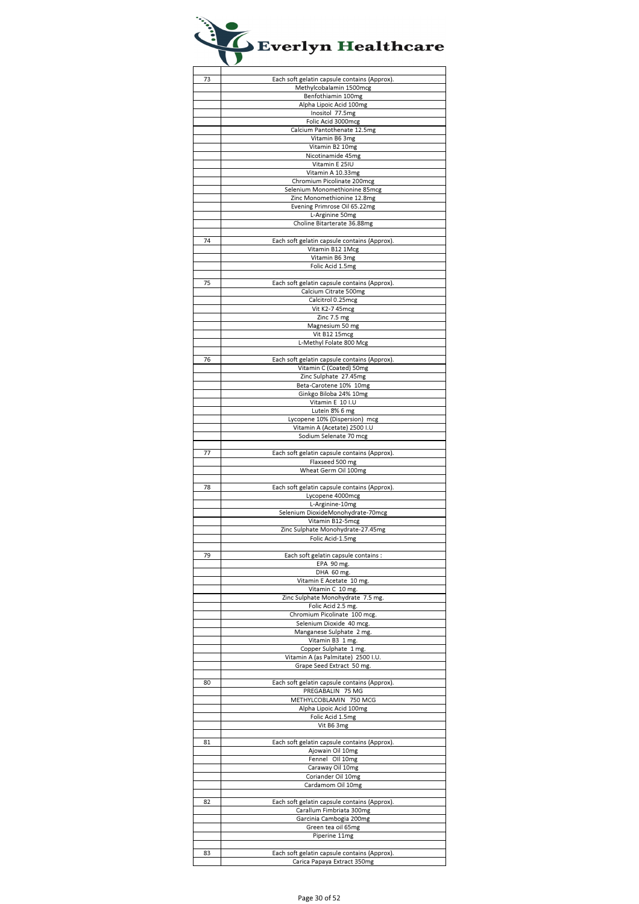| 73 | Each soft gelatin capsule contains (Approx). |
|----|----------------------------------------------|
|    | Methylcobalamin 1500mcg                      |
|    | Benfothiamin 100mg                           |
|    | Alpha Lipoic Acid 100mg                      |
|    | Inositol 77.5mg                              |
|    | Folic Acid 3000mcg                           |
|    | Calcium Pantothenate 12.5mg                  |
|    | Vitamin B6 3mg                               |
|    | Vitamin B2 10mg                              |
|    | Nicotinamide 45mg                            |
|    | Vitamin E 25IU                               |
|    |                                              |
|    | Vitamin A 10.33mg                            |
|    | Chromium Picolinate 200mcg                   |
|    | Selenium Monomethionine 85mcg                |
|    | Zinc Monomethionine 12.8mg                   |
|    | Evening Primrose Oil 65.22mg                 |
|    | L-Arginine 50mg                              |
|    | Choline Bitarterate 36.88mg                  |
|    |                                              |
| 74 | Each soft gelatin capsule contains (Approx). |
|    | Vitamin B12 1Mcg                             |
|    | Vitamin B6 3mg                               |
|    | Folic Acid 1.5mg                             |
|    |                                              |
|    |                                              |
| 75 | Each soft gelatin capsule contains (Approx). |
|    | Calcium Citrate 500mg                        |
|    | Calcitrol 0.25mcg                            |
|    | Vit K2-7 45mcg                               |
|    | Zinc 7.5 mg                                  |
|    | Magnesium 50 mg                              |
|    | Vit B12 15mcg                                |
|    | L-Methyl Folate 800 Mcg                      |
|    |                                              |
| 76 | Each soft gelatin capsule contains (Approx). |
|    |                                              |
|    | Vitamin C (Coated) 50mg                      |
|    | Zinc Sulphate 27.45mg                        |
|    | Beta-Carotene 10% 10mg                       |
|    | Ginkgo Biloba 24% 10mg                       |
|    | Vitamin E 10 I.U                             |
|    | Lutein 8% 6 mg                               |
|    | Lycopene 10% (Dispersion) mcg                |
|    | Vitamin A (Acetate) 2500 I.U                 |
|    | Sodium Selenate 70 mcg                       |
|    |                                              |
| 77 | Each soft gelatin capsule contains (Approx). |
|    | Flaxseed 500 mg                              |
|    |                                              |
|    | Wheat Germ Oil 100mg                         |
|    |                                              |
| 78 | Each soft gelatin capsule contains (Approx). |
|    | Lycopene 4000mcg                             |
|    | L-Arginine-10mg                              |
|    | Selenium DioxideMonohydrate-70mcg            |
|    | Vitamin B12-5mcg                             |
|    | Zinc Sulphate Monohydrate-27.45mg            |
|    | Folic Acid-1.5mg                             |
|    |                                              |
| 79 | Each soft gelatin capsule contains :         |
|    | EPA 90 mg.                                   |
|    |                                              |
|    | DHA 60 mg.                                   |
|    | Vitamin E Acetate 10 mg.                     |
|    | Vitamin C 10 mg.                             |
|    | Zinc Sulphate Monohydrate 7.5 mg.            |
|    | Folic Acid 2.5 mg.                           |
|    | Chromium Picolinate 100 mcg.                 |
|    | Selenium Dioxide 40 mcg.                     |
|    | Manganese Sulphate 2 mg.                     |
|    | Vitamin B3 1 mg.                             |
|    | Copper Sulphate 1 mg.                        |
|    | Vitamin A (as Palmitate) 2500 I.U.           |
|    | Grape Seed Extract 50 mg.                    |
|    |                                              |
|    |                                              |
| 80 | Each soft gelatin capsule contains (Approx). |
|    | PREGABALIN 75 MG                             |
|    | METHYLCOBLAMIN 750 MCG                       |
|    | Alpha Lipoic Acid 100mg                      |
|    | Folic Acid 1.5mg                             |
|    | Vit B6 3mg                                   |
|    |                                              |
| 81 | Each soft gelatin capsule contains (Approx). |
|    | Ajowain Oil 10mg                             |
|    |                                              |
|    | Fennel Oll 10mg                              |
|    | Caraway Oil 10mg                             |
|    | Coriander Oil 10mg                           |
|    | Cardamom Oil 10mg                            |
|    |                                              |
| 82 | Each soft gelatin capsule contains (Approx). |
|    | Carallum Fimbriata 300mg                     |
|    | Garcinia Cambogia 200mg                      |
|    | Green tea oil 65mg                           |
|    | Piperine 11mg                                |
|    |                                              |
|    |                                              |
| 83 | Each soft gelatin capsule contains (Approx). |
|    | Carica Papaya Extract 350mg                  |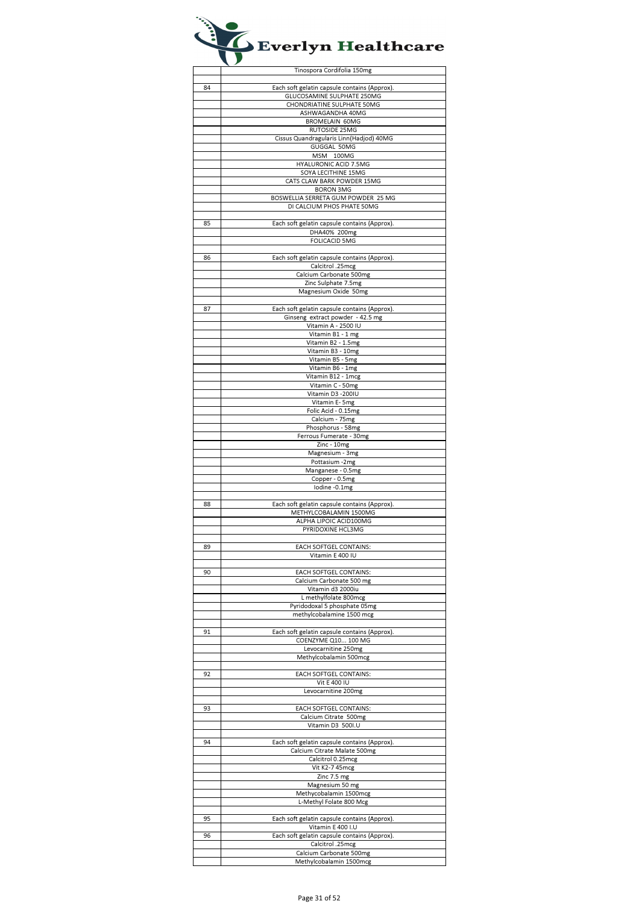|    | Tinospora Cordifolia 150mg                                             |
|----|------------------------------------------------------------------------|
|    |                                                                        |
| 84 | Each soft gelatin capsule contains (Approx).                           |
|    | GLUCOSAMINE SULPHATE 250MG                                             |
|    | CHONDRIATINE SULPHATE 50MG<br>ASHWAGANDHA 40MG                         |
|    | <b>BROMELAIN 60MG</b>                                                  |
|    | RUTOSIDE 25MG                                                          |
|    | Cissus Quandragularis Linn(Hadjod) 40MG                                |
|    | GUGGAL 50MG                                                            |
|    | MSM 100MG                                                              |
|    | HYALURONIC ACID 7.5MG<br>SOYA LECITHINE 15MG                           |
|    | CATS CLAW BARK POWDER 15MG                                             |
|    | <b>BORON 3MG</b>                                                       |
|    | BOSWELLIA SERRETA GUM POWDER 25 MG                                     |
|    | DI CALCIUM PHOS PHATE 50MG                                             |
|    |                                                                        |
| 85 | Each soft gelatin capsule contains (Approx).<br>DHA40% 200mg           |
|    | <b>FOLICACID 5MG</b>                                                   |
|    |                                                                        |
| 86 | Each soft gelatin capsule contains (Approx).                           |
|    | Calcitrol .25mcg                                                       |
|    | Calcium Carbonate 500mg<br>Zinc Sulphate 7.5mg                         |
|    | Magnesium Oxide 50mg                                                   |
|    |                                                                        |
| 87 | Each soft gelatin capsule contains (Approx).                           |
|    | Ginseng extract powder - 42.5 mg                                       |
|    | Vitamin A - 2500 IU                                                    |
|    | Vitamin B1 - 1 mg                                                      |
|    | Vitamin B2 - 1.5mg<br>Vitamin B3 - 10mg                                |
|    | Vitamin B5 - 5mg                                                       |
|    | Vitamin B6 - 1mg                                                       |
|    | Vitamin B12 - 1mcg                                                     |
|    | Vitamin C - 50mg                                                       |
|    | Vitamin D3 - 200IU                                                     |
|    | Vitamin E- 5mg<br>Folic Acid - 0.15mg                                  |
|    | Calcium - 75mg                                                         |
|    | Phosphorus - 58mg                                                      |
|    | Ferrous Fumerate - 30mg                                                |
|    | Zinc - 10mg                                                            |
|    | Magnesium - 3mg<br>Pottasium -2mg                                      |
|    | Manganese - 0.5mg                                                      |
|    | Copper - 0.5mg                                                         |
|    | lodine -0.1mg                                                          |
|    |                                                                        |
| 88 | Each soft gelatin capsule contains (Approx).<br>METHYLCOBALAMIN 1500MG |
|    | ALPHA LIPOIC ACID100MG                                                 |
|    | PYRIDOXINE HCL3MG                                                      |
|    |                                                                        |
| 89 | EACH SOFTGEL CONTAINS:                                                 |
|    | Vitamin E 400 IU                                                       |
| 90 | EACH SOFTGEL CONTAINS:                                                 |
|    | Calcium Carbonate 500 mg                                               |
|    | Vitamin d3 2000iu                                                      |
|    | L methylfolate 800mcg                                                  |
|    | Pyridodoxal 5 phosphate 05mg<br>methylcobalamine 1500 mcg              |
|    |                                                                        |
| 91 | Each soft gelatin capsule contains (Approx).                           |
|    | COENZYME Q10 100 MG                                                    |
|    | Levocarnitine 250mg                                                    |
|    | Methylcobalamin 500mcg                                                 |
| 92 | EACH SOFTGEL CONTAINS:                                                 |
|    | Vit E 400 IU                                                           |
|    | Levocarnitine 200mg                                                    |
|    |                                                                        |
| 93 | EACH SOFTGEL CONTAINS:<br>Calcium Citrate 500mg                        |
|    | Vitamin D3 500I.U                                                      |
|    |                                                                        |
| 94 | Each soft gelatin capsule contains (Approx).                           |
|    | Calcium Citrate Malate 500mg                                           |
|    | Calcitrol 0.25mcg<br>Vit K2-7 45mcg                                    |
|    | Zinc 7.5 mg                                                            |
|    | Magnesium 50 mg                                                        |
|    | Methycobalamin 1500mcg                                                 |
|    | L-Methyl Folate 800 Mcg                                                |
|    |                                                                        |
| 95 | Each soft gelatin capsule contains (Approx).<br>Vitamin E 400 I.U      |
| 96 | Each soft gelatin capsule contains (Approx).                           |
|    | Calcitrol .25mcg                                                       |
|    | Calcium Carbonate 500mg                                                |
|    | Methylcobalamin 1500mcg                                                |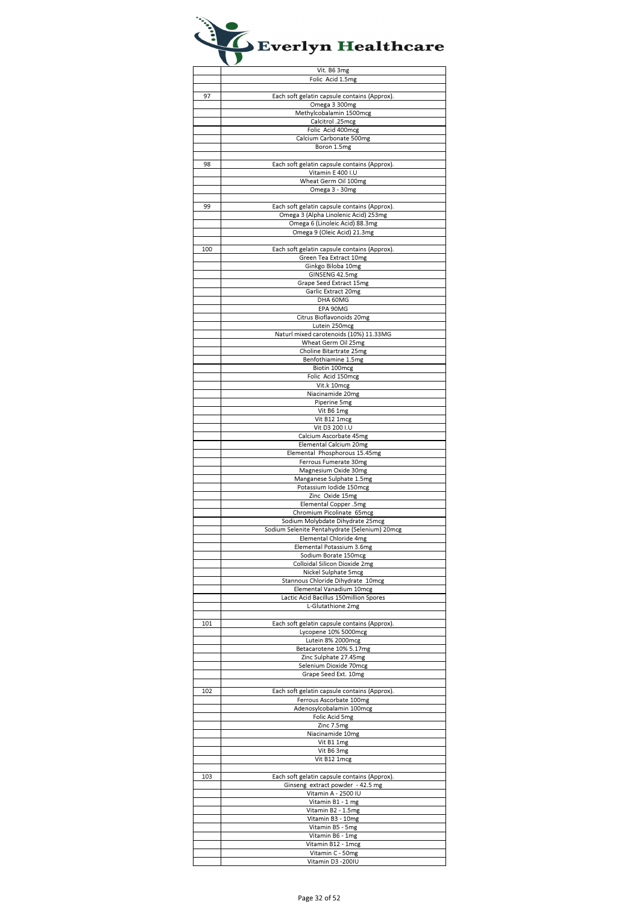|     | Vit. B6 3mg                                   |
|-----|-----------------------------------------------|
|     | Folic Acid 1.5mg                              |
|     |                                               |
| 97  | Each soft gelatin capsule contains (Approx).  |
|     | Omega 3 300mg                                 |
|     | Methylcobalamin 1500mcg                       |
|     | Calcitrol .25mcg                              |
|     | Folic Acid 400mcg                             |
|     | Calcium Carbonate 500mg                       |
|     | Boron 1.5mg                                   |
|     |                                               |
| 98  | Each soft gelatin capsule contains (Approx).  |
|     | Vitamin E 400 I.U                             |
|     | Wheat Germ Oil 100mg                          |
|     | Omega 3 - 30mg                                |
|     |                                               |
| 99  | Each soft gelatin capsule contains (Approx).  |
|     | Omega 3 (Alpha Linolenic Acid) 253mg          |
|     | Omega 6 (Linoleic Acid) 88.3mg                |
|     | Omega 9 (Oleic Acid) 21.3mg                   |
|     |                                               |
| 100 | Each soft gelatin capsule contains (Approx).  |
|     | Green Tea Extract 10mg                        |
|     | Ginkgo Biloba 10mg                            |
|     | GINSENG 42.5mg                                |
|     | Grape Seed Extract 15mg                       |
|     | Garlic Extract 20mg                           |
|     | DHA 60MG                                      |
|     | EPA 90MG                                      |
|     | Citrus Bioflavonoids 20mg                     |
|     | Lutein 250mcg                                 |
|     | Naturl mixed carotenoids (10%) 11.33MG        |
|     | Wheat Germ Oil 25mg                           |
|     | Choline Bitartrate 25mg                       |
|     | Benfothiamine 1.5mg                           |
|     | Biotin 100mcg                                 |
|     | Folic Acid 150mcg                             |
|     | Vit.k 10mcg                                   |
|     | Niacinamide 20mg                              |
|     | Piperine 5mg                                  |
|     | Vit B6 1mg                                    |
|     | Vit B12 1mcg                                  |
|     | Vit D3 200 I.U                                |
|     | Calcium Ascorbate 45mg                        |
|     | Elemental Calcium 20mg                        |
|     | Elemental Phosphorous 15.45mg                 |
|     | Ferrous Fumerate 30mg                         |
|     | Magnesium Oxide 30mg                          |
|     | Manganese Sulphate 1.5mg                      |
|     | Potassium Iodide 150mcg                       |
|     | Zinc Oxide 15mg                               |
|     | Elemental Copper .5mg                         |
|     | Chromium Picolinate 65mcg                     |
|     | Sodium Molybdate Dihydrate 25mcg              |
|     | Sodium Selenite Pentahydrate (Selenium) 20mcg |
|     | Elemental Chloride 4mg                        |
|     | Elemental Potassium 3.6mg                     |
|     | Sodium Borate 150mcg                          |
|     | Colloidal Silicon Dioxide 2mg                 |
|     | Nickel Sulphate 5mcg                          |
|     | Stannous Chloride Dihydrate 10mcg             |
|     | Elemental Vanadium 10mcg                      |
|     | Lactic Acid Bacillus 150million Spores        |
|     | L-Glutathione 2mg                             |
|     |                                               |
| 101 | Each soft gelatin capsule contains (Approx).  |
|     | Lycopene 10% 5000mcg                          |
|     | Lutein 8% 2000mcg                             |
|     | Betacarotene 10% 5.17mg                       |
|     | Zinc Sulphate 27.45mg                         |
|     | Selenium Dioxide 70mcg                        |
|     | Grape Seed Ext. 10mg                          |
|     |                                               |
| 102 | Each soft gelatin capsule contains (Approx).  |
|     | Ferrous Ascorbate 100mg                       |
|     | Adenosylcobalamin 100mcg                      |
|     | Folic Acid 5mg                                |
|     | Zinc 7.5mg                                    |
|     | Niacinamide 10mg                              |
|     | Vit B1 1mg                                    |
|     | Vit B6 3mg                                    |
|     | Vit B12 1mcg                                  |
|     |                                               |
| 103 | Each soft gelatin capsule contains (Approx).  |
|     | Ginseng extract powder - 42.5 mg              |
|     | Vitamin A - 2500 IU                           |
|     |                                               |
|     | Vitamin B1 - 1 mg                             |
|     | Vitamin B2 - 1.5mg                            |
|     | Vitamin B3 - 10mg                             |
|     | Vitamin B5 - 5mg                              |
|     | Vitamin B6 - 1mg                              |
|     | Vitamin B12 - 1mcg                            |
|     | Vitamin C - 50mg                              |
|     | Vitamin D3 - 200IU                            |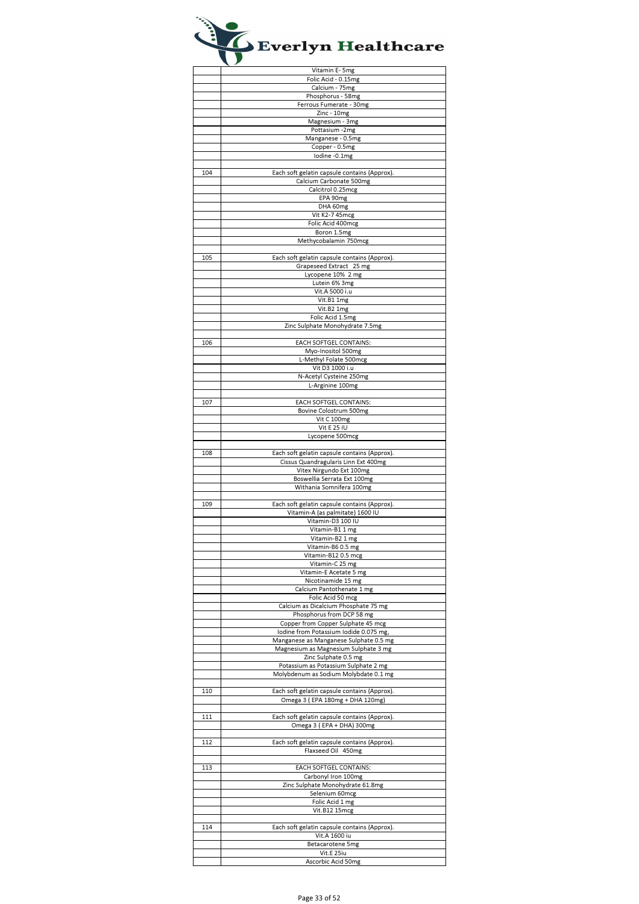|     | Vitamin E- 5mg                               |
|-----|----------------------------------------------|
|     | Folic Acid - 0.15mg                          |
|     | Calcium - 75mg                               |
|     | Phosphorus - 58mg                            |
|     | Ferrous Fumerate - 30mg                      |
|     | Zinc - 10mg                                  |
|     | Magnesium - 3mg                              |
|     | Pottasium -2mg                               |
|     | Manganese - 0.5mg                            |
|     | Copper - 0.5mg                               |
|     | lodine -0.1mg                                |
|     |                                              |
| 104 | Each soft gelatin capsule contains (Approx). |
|     | Calcium Carbonate 500mg                      |
|     | Calcitrol 0.25mcg                            |
|     | EPA 90mg                                     |
|     | DHA 60mg                                     |
|     |                                              |
|     | Vit K2-7 45mcg                               |
|     | Folic Acid 400mcg                            |
|     | Boron 1.5mg                                  |
|     | Methycobalamin 750mcg                        |
|     |                                              |
| 105 | Each soft gelatin capsule contains (Approx). |
|     | Grapeseed Extract 25 mg                      |
|     | Lycopene 10% 2 mg                            |
|     | Lutein 6% 3mg                                |
|     | Vit.A 5000 i.u                               |
|     | Vit.B1 1mg                                   |
|     | Vit.B2 1mg                                   |
|     | Folic Acid 1.5mg                             |
|     | Zinc Sulphate Monohydrate 7.5mg              |
|     |                                              |
| 106 | EACH SOFTGEL CONTAINS:                       |
|     | Myo-Inositol 500mg                           |
|     | L-Methyl Folate 500mcg                       |
|     | Vit D3 1000 i.u                              |
|     | N-Acetyl Cysteine 250mg                      |
|     | L-Arginine 100mg                             |
|     |                                              |
| 107 | EACH SOFTGEL CONTAINS:                       |
|     | Bovine Colostrum 500mg                       |
|     | Vit C 100mg                                  |
|     | Vit E 25 IU                                  |
|     | Lycopene 500mcg                              |
|     |                                              |
| 108 | Each soft gelatin capsule contains (Approx). |
|     | Cissus Quandragularis Linn Ext 400mg         |
|     | Vitex Nirgundo Ext 100mg                     |
|     | Boswellia Serrata Ext 100mg                  |
|     | Withania Somnifera 100mg                     |
|     |                                              |
|     |                                              |
| 109 | Each soft gelatin capsule contains (Approx). |
|     | Vitamin-A (as palmitate) 1600 IU             |
|     | Vitamin-D3 100 IU                            |
|     | Vitamin-B1 1 mg                              |
|     | Vitamin-B2 1 mg                              |
|     | Vitamin-B6 0.5 mg                            |
|     | Vitamin-B12 0.5 mcg                          |
|     | Vitamin-C 25 mg                              |
|     |                                              |
|     | Vitamin-E Acetate 5 mg                       |
|     | Nicotinamide 15 mg                           |
|     | Calcium Pantothenate 1 mg                    |
|     | Folic Acid 50 mcg                            |
|     | Calcium as Dicalcium Phosphate 75 mg         |
|     | Phosphorus from DCP 58 mg                    |
|     | Copper from Copper Sulphate 45 mcg           |
|     | lodine from Potassium lodide 0.075 mg,       |
|     | Manganese as Manganese Sulphate 0.5 mg       |
|     | Magnesium as Magnesium Sulphate 3 mg         |
|     | Zinc Sulphate 0.5 mg                         |
|     | Potassium as Potassium Sulphate 2 mg         |
|     | Molybdenum as Sodium Molybdate 0.1 mg        |
|     |                                              |
| 110 | Each soft gelatin capsule contains (Approx). |
|     | Omega 3 (EPA 180mg + DHA 120mg)              |
|     |                                              |
| 111 | Each soft gelatin capsule contains (Approx). |
|     | Omega 3 (EPA + DHA) 300mg                    |
|     |                                              |
| 112 | Each soft gelatin capsule contains (Approx). |
|     | Flaxseed Oil 450mg                           |
|     |                                              |
| 113 | EACH SOFTGEL CONTAINS:                       |
|     | Carbonyl Iron 100mg                          |
|     | Zinc Sulphate Monohydrate 61.8mg             |
|     | Selenium 60mcg                               |
|     | Folic Acid 1 mg                              |
|     |                                              |
|     | Vit.B12 15mcg                                |
| 114 |                                              |
|     | Each soft gelatin capsule contains (Approx). |
|     | Vit.A 1600 iu                                |
|     | Betacarotene 5mg<br>Vit.E 25iu               |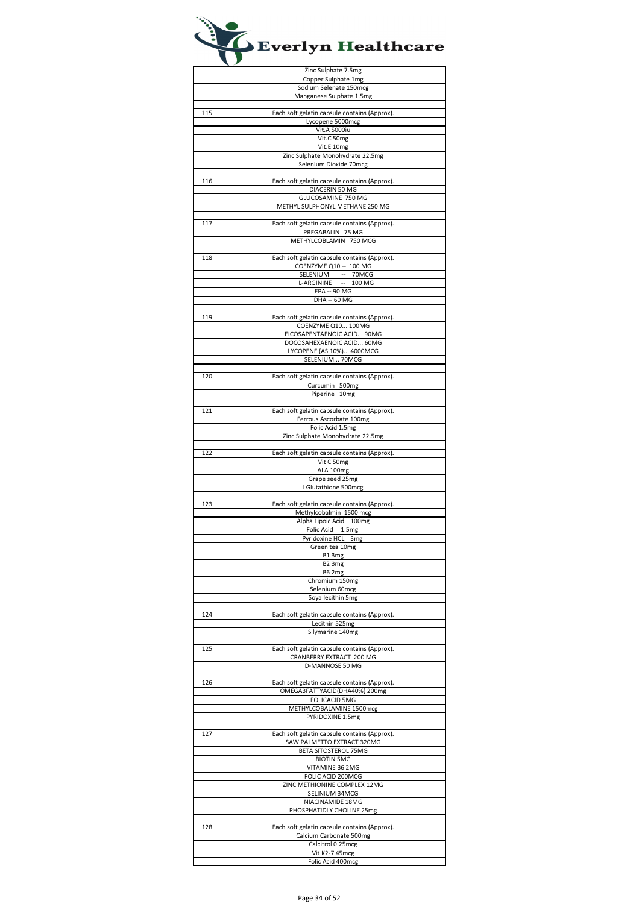|     | Zinc Sulphate 7.5mg                                                     |
|-----|-------------------------------------------------------------------------|
|     | Copper Sulphate 1mg                                                     |
|     | Sodium Selenate 150mcg                                                  |
|     | Manganese Sulphate 1.5mg                                                |
|     |                                                                         |
| 115 | Each soft gelatin capsule contains (Approx).                            |
|     | Lycopene 5000mcg                                                        |
|     | Vit.A 5000iu                                                            |
|     | Vit.C 50mg                                                              |
|     | Vit.E 10mg                                                              |
|     | Zinc Sulphate Monohydrate 22.5mg                                        |
|     | Selenium Dioxide 70mcg                                                  |
|     |                                                                         |
| 116 | Each soft gelatin capsule contains (Approx).                            |
|     | DIACERIN 50 MG                                                          |
|     | GLUCOSAMINE 750 MG                                                      |
|     | METHYL SULPHONYL METHANE 250 MG                                         |
|     |                                                                         |
| 117 | Each soft gelatin capsule contains (Approx).                            |
|     | PREGABALIN 75 MG                                                        |
|     | METHYLCOBLAMIN 750 MCG                                                  |
|     |                                                                         |
| 118 | Each soft gelatin capsule contains (Approx).                            |
|     | COENZYME Q10 -- 100 MG                                                  |
|     | SELENIUM -- 70MCG                                                       |
|     | L-ARGININE -- 100 MG                                                    |
|     | EPA -- 90 MG                                                            |
|     | DHA -- 60 MG                                                            |
|     |                                                                         |
| 119 | Each soft gelatin capsule contains (Approx).                            |
|     | COENZYME Q10 100MG                                                      |
|     | EICOSAPENTAENOIC ACID 90MG                                              |
|     | DOCOSAHEXAENOIC ACID 60MG                                               |
|     | LYCOPENE (AS 10%) 4000MCG                                               |
|     | SELENIUM 70MCG                                                          |
|     |                                                                         |
| 120 | Each soft gelatin capsule contains (Approx).                            |
|     | Curcumin 500mg                                                          |
|     | Piperine 10mg                                                           |
|     |                                                                         |
| 121 | Each soft gelatin capsule contains (Approx).<br>Ferrous Ascorbate 100mg |
|     | Folic Acid 1.5mg                                                        |
|     | Zinc Sulphate Monohydrate 22.5mg                                        |
|     |                                                                         |
| 122 | Each soft gelatin capsule contains (Approx).                            |
|     | Vit C 50mg                                                              |
|     | ALA 100mg                                                               |
|     | Grape seed 25mg                                                         |
|     | I Glutathione 500mcg                                                    |
|     |                                                                         |
| 123 | Each soft gelatin capsule contains (Approx).                            |
|     | Methylcobalmin 1500 mcg                                                 |
|     | Alpha Lipoic Acid 100mg                                                 |
|     | Folic Acid 1.5mg                                                        |
|     |                                                                         |
|     | Pyridoxine HCL 3mg                                                      |
|     | Green tea 10mg                                                          |
|     | B13mg                                                                   |
|     | B2 3mg                                                                  |
|     | <b>B62mg</b>                                                            |
|     | Chromium 150mg                                                          |
|     | Selenium 60mcg                                                          |
|     | Soya lecithin 5mg                                                       |
|     |                                                                         |
| 124 | Each soft gelatin capsule contains (Approx).                            |
|     | Lecithin 525mg                                                          |
|     | Silymarine 140mg                                                        |
| 125 |                                                                         |
|     | Each soft gelatin capsule contains (Approx)                             |
|     | CRANBERRY EXTRACT 200 MG<br>D-MANNOSE 50 MG                             |
|     |                                                                         |
| 126 | Each soft gelatin capsule contains (Approx).                            |
|     | OMEGA3FATTYACID(DHA40%) 200mg                                           |
|     | <b>FOLICACID 5MG</b>                                                    |
|     | METHYLCOBALAMINE 1500mcg                                                |
|     | PYRIDOXINE 1.5mg                                                        |
|     |                                                                         |
| 127 | Each soft gelatin capsule contains (Approx).                            |
|     | SAW PALMETTO EXTRACT 320MG                                              |
|     | BETA SITOSTEROL 75MG                                                    |
|     | <b>BIOTIN 5MG</b>                                                       |
|     | VITAMINE B6 2MG                                                         |
|     | FOLIC ACID 200MCG                                                       |
|     | ZINC METHIONINE COMPLEX 12MG                                            |
|     | SELINIUM 34MCG                                                          |
|     | NIACINAMIDE 18MG                                                        |
|     | PHOSPHATIDLY CHOLINE 25mg                                               |
|     |                                                                         |
| 128 | Each soft gelatin capsule contains (Approx).                            |
|     | Calcium Carbonate 500mg                                                 |
|     | Calcitrol 0.25mcg<br>Vit K2-7 45mcg                                     |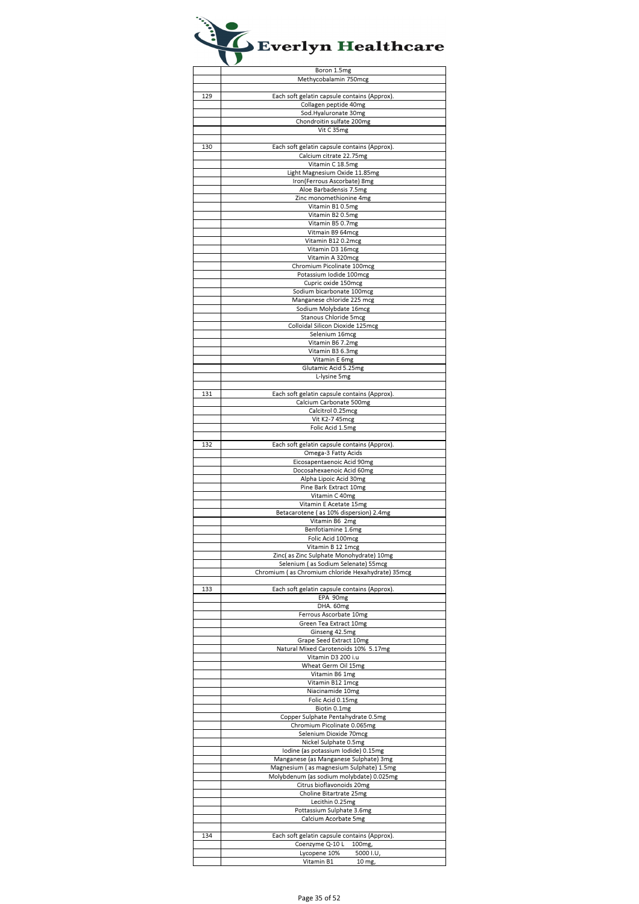|     | Boron 1.5mg                                       |
|-----|---------------------------------------------------|
|     | Methycobalamin 750mcg                             |
|     |                                                   |
| 129 | Each soft gelatin capsule contains (Approx).      |
|     | Collagen peptide 40mg                             |
|     | Sod.Hyaluronate 30mg                              |
|     |                                                   |
|     | Chondroitin sulfate 200mg                         |
|     | Vit C 35mg                                        |
|     |                                                   |
| 130 | Each soft gelatin capsule contains (Approx).      |
|     | Calcium citrate 22.75mg                           |
|     | Vitamin C 18.5mg                                  |
|     | Light Magnesium Oxide 11.85mg                     |
|     | Iron(Ferrous Ascorbate) 8mg                       |
|     | Aloe Barbadensis 7.5mg                            |
|     | Zinc monomethionine 4mg                           |
|     | Vitamin B10.5mg                                   |
|     | Vitamin B2 0.5mg                                  |
|     | Vitamin B5 0.7mg                                  |
|     | Vitmain B9 64mcg                                  |
|     | Vitamin B12 0.2mcg                                |
|     | Vitamin D3 16mcg                                  |
|     | Vitamin A 320mcg                                  |
|     | Chromium Picolinate 100mcg                        |
|     | Potassium Iodide 100mcg                           |
|     |                                                   |
|     | Cupric oxide 150mcg                               |
|     | Sodium bicarbonate 100mcg                         |
|     | Manganese chloride 225 mcg                        |
|     | Sodium Molybdate 16mcg                            |
|     | Stanous Chloride 5mcg                             |
|     | Colloidal Silicon Dioxide 125mcg                  |
|     | Selenium 16mcg                                    |
|     | Vitamin B6 7.2mg                                  |
|     | Vitamin B3 6.3mg                                  |
|     | Vitamin E 6mg                                     |
|     | Glutamic Acid 5.25mg                              |
|     | L-lysine 5mg                                      |
|     |                                                   |
| 131 | Each soft gelatin capsule contains (Approx).      |
|     | Calcium Carbonate 500mg                           |
|     | Calcitrol 0.25mcg                                 |
|     | Vit K2-7 45mcg                                    |
|     |                                                   |
|     | Folic Acid 1.5mg                                  |
|     |                                                   |
| 132 | Each soft gelatin capsule contains (Approx).      |
|     | Omega-3 Fatty Acids                               |
|     | Eicosapentaenoic Acid 90mg                        |
|     | Docosahexaenoic Acid 60mg                         |
|     | Alpha Lipoic Acid 30mg                            |
|     | Pine Bark Extract 10mg                            |
|     | Vitamin C 40mg                                    |
|     | Vitamin E Acetate 15mg                            |
|     | Betacarotene (as 10% dispersion) 2.4mg            |
|     | Vitamin B6 2mg                                    |
|     | Benfotiamine 1.6mg                                |
|     | Folic Acid 100mcg                                 |
|     | Vitamin R 12 1mcg                                 |
|     | Zinc(as Zinc Sulphate Monohydrate) 10mg           |
|     | Selenium (as Sodium Selenate) 55mcg               |
|     | Chromium (as Chromium chloride Hexahydrate) 35mcg |
|     |                                                   |
|     |                                                   |
| 133 | Each soft gelatin capsule contains (Approx).      |
|     | EPA 90mg                                          |
|     | DHA. 60mg                                         |
|     | Ferrous Ascorbate 10mg                            |
|     | Green Tea Extract 10mg                            |
|     | Ginseng 42.5mg                                    |
|     | Grape Seed Extract 10mg                           |
|     | Natural Mixed Carotenoids 10% 5.17mg              |
|     | Vitamin D3 200 i.u                                |
|     | Wheat Germ Oil 15mg                               |
|     | Vitamin B6 1mg                                    |
|     | Vitamin B12 1mcg                                  |
|     | Niacinamide 10mg                                  |
|     | Folic Acid 0.15mg                                 |
|     | Biotin 0.1mg                                      |
|     | Copper Sulphate Pentahydrate 0.5mg                |
|     | Chromium Picolinate 0.065mg                       |
|     | Selenium Dioxide 70mcg                            |
|     | Nickel Sulphate 0.5mg                             |
|     | Iodine (as potassium Iodide) 0.15mg               |
|     | Manganese (as Manganese Sulphate) 3mg             |
|     | Magnesium (as magnesium Sulphate) 1.5mg           |
|     | Molybdenum (as sodium molybdate) 0.025mg          |
|     |                                                   |
|     | Citrus bioflavonoids 20mg                         |
|     | Choline Bitartrate 25mg                           |
|     | Lecithin 0.25mg                                   |
|     | Pottassium Sulphate 3.6mg                         |
|     | Calcium Acorbate 5mg                              |
|     |                                                   |
| 134 | Each soft gelatin capsule contains (Approx).      |
|     |                                                   |
|     | Coenzyme Q-10 L<br>100mg,                         |
|     | Lycopene 10%<br>5000 I.U                          |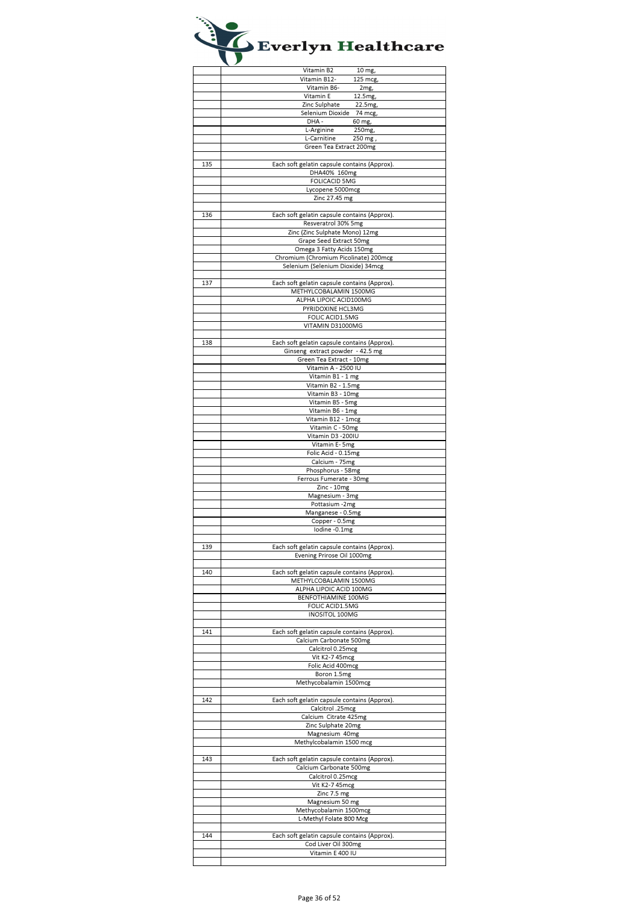|     | Vitamin B2<br>10 mg,                         |
|-----|----------------------------------------------|
|     | Vitamin B12-<br>125 mcg,                     |
|     | Vitamin B6-<br>2mg,                          |
|     |                                              |
|     | Vitamin E<br>12.5mg,                         |
|     | Zinc Sulphate<br>22.5mg,                     |
|     | Selenium Dioxide 74 mcg,                     |
|     | DHA -<br>60 mg,                              |
|     | L-Arginine<br>250mg,                         |
|     |                                              |
|     | L-Carnitine<br>250 mg,                       |
|     | Green Tea Extract 200mg                      |
|     |                                              |
| 135 | Each soft gelatin capsule contains (Approx). |
|     | DHA40% 160mg                                 |
|     |                                              |
|     | <b>FOLICACID 5MG</b>                         |
|     | Lycopene 5000mcg                             |
|     | Zinc 27.45 mg                                |
|     |                                              |
| 136 | Each soft gelatin capsule contains (Approx). |
|     | Resveratrol 30% 5mg                          |
|     | Zinc (Zinc Sulphate Mono) 12mg               |
|     | Grape Seed Extract 50mg                      |
|     |                                              |
|     | Omega 3 Fatty Acids 150mg                    |
|     | Chromium (Chromium Picolinate) 200mcg        |
|     | Selenium (Selenium Dioxide) 34mcg            |
|     |                                              |
| 137 | Each soft gelatin capsule contains (Approx). |
|     | METHYLCOBALAMIN 1500MG                       |
|     | ALPHA LIPOIC ACID100MG                       |
|     |                                              |
|     | PYRIDOXINE HCL3MG                            |
|     | FOLIC ACID1.5MG                              |
|     | VITAMIN D31000MG                             |
|     |                                              |
| 138 | Each soft gelatin capsule contains (Approx). |
|     | Ginseng extract powder - 42.5 mg             |
|     | Green Tea Extract - 10mg                     |
|     |                                              |
|     | Vitamin A - 2500 IU                          |
|     | Vitamin B1 - 1 mg                            |
|     | Vitamin B2 - 1.5mg                           |
|     | Vitamin B3 - 10mg                            |
|     | Vitamin B5 - 5mg                             |
|     | Vitamin B6 - 1mg                             |
|     |                                              |
|     | Vitamin B12 - 1mcg                           |
|     | Vitamin C - 50mg                             |
|     | Vitamin D3 - 200IU                           |
|     | Vitamin E- 5mg                               |
|     | Folic Acid - 0.15mg                          |
|     | Calcium - 75mg                               |
|     | Phosphorus - 58mg                            |
|     | Ferrous Fumerate - 30mg                      |
|     |                                              |
|     | Zinc - 10mg                                  |
|     | Magnesium - 3mg                              |
|     | Pottasium -2mg                               |
|     |                                              |
|     | Manganese - 0.5mg                            |
|     | Copper - 0.5mg                               |
|     |                                              |
|     | lodine -0.1mg                                |
|     |                                              |
| 139 | Each soft gelatin capsule contains (Approx). |
|     | Evening Prirose Oil 1000mg                   |
|     |                                              |
| 140 | Each soft gelatin capsule contains (Approx). |
|     | METHYLCOBALAMIN 1500MG                       |
|     | ALPHA LIPOIC ACID 100MG                      |
|     |                                              |
|     | BENFOTHIAMINE 100MG                          |
|     | FOLIC ACID1.5MG                              |
|     | INOSITOL 100MG                               |
|     |                                              |
| 141 | Each soft gelatin capsule contains (Approx). |
|     | Calcium Carbonate 500mg                      |
|     | Calcitrol 0.25mcg                            |
|     | Vit K2-7 45mcg                               |
|     | Folic Acid 400mcg                            |
|     | Boron 1.5mg                                  |
|     |                                              |
|     | Methycobalamin 1500mcg                       |
|     |                                              |
| 142 | Each soft gelatin capsule contains (Approx). |
|     | Calcitrol .25mcg                             |
|     | Calcium Citrate 425mg                        |
|     | Zinc Sulphate 20mg                           |
|     | Magnesium 40mg                               |
|     | Methylcobalamin 1500 mcg                     |
|     |                                              |
| 143 | Each soft gelatin capsule contains (Approx). |
|     |                                              |
|     | Calcium Carbonate 500mg                      |
|     | Calcitrol 0.25mcg                            |
|     | Vit K2-7 45mcg                               |
|     | Zinc 7.5 mg                                  |
|     | Magnesium 50 mg                              |
|     | Methycobalamin 1500mcg                       |
|     |                                              |
|     | L-Methyl Folate 800 Mcg                      |
|     |                                              |
| 144 | Each soft gelatin capsule contains (Approx). |
|     | Cod Liver Oil 300mg                          |
|     | Vitamin E 400 IU                             |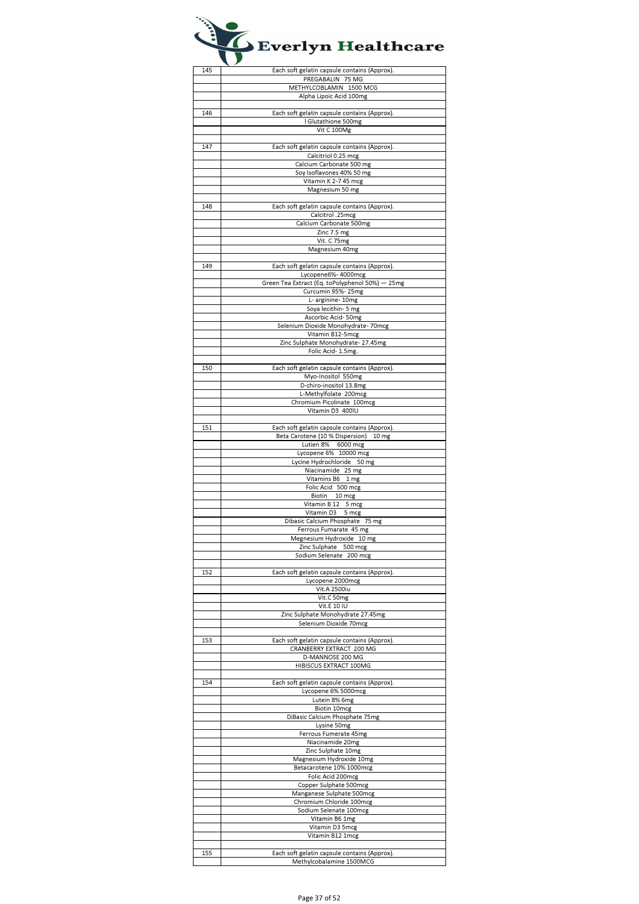| 145 | Each soft gelatin capsule contains (Approx).    |
|-----|-------------------------------------------------|
|     | PREGABALIN 75 MG                                |
|     |                                                 |
|     | METHYLCOBLAMIN 1500 MCG                         |
|     | Alpha Lipoic Acid 100mg                         |
|     |                                                 |
| 146 |                                                 |
|     | Each soft gelatin capsule contains (Approx).    |
|     | I Glutathione 500mg                             |
|     | Vit C 100Mg                                     |
|     |                                                 |
| 147 | Each soft gelatin capsule contains (Approx).    |
|     |                                                 |
|     | Calcitriol 0.25 mcg                             |
|     | Calcium Carbonate 500 mg                        |
|     | Soy Isoflavones 40% 50 mg                       |
|     | Vitamin K 2-7 45 mcg                            |
|     |                                                 |
|     | Magnesium 50 mg                                 |
|     |                                                 |
| 148 | Each soft gelatin capsule contains (Approx).    |
|     | Calcitrol .25mcg                                |
|     |                                                 |
|     | Calcium Carbonate 500mg                         |
|     | Zinc 7.5 mg                                     |
|     | Vit. C 75mg                                     |
|     | Magnesium 40mg                                  |
|     |                                                 |
|     |                                                 |
| 149 | Each soft gelatin capsule contains (Approx).    |
|     | Lycopene6%- 4000mcg                             |
|     | Green Tea Extract (Eq. toPolyphenol 50%) - 25mg |
|     | Curcumin 95%-25mg                               |
|     |                                                 |
|     | L- arginine- 10mg                               |
|     | Soya lecithin- 5 mg                             |
|     | Ascorbic Acid-50mg                              |
|     | Selenium Dioxide Monohydrate- 70mcg             |
|     | Vitamin B12-5mcg                                |
|     |                                                 |
|     | Zinc Sulphate Monohydrate- 27.45mg              |
|     | Folic Acid- 1.5mg.                              |
|     |                                                 |
| 150 | Each soft gelatin capsule contains (Approx).    |
|     | Myo-Inositol 550mg                              |
|     | D-chiro-inositol 13.8mg                         |
|     | L-Methylfolate 200mcg                           |
|     |                                                 |
|     | Chromium Picolinate 100mcg                      |
|     | Vitamin D3 400IU                                |
|     |                                                 |
| 151 | Each soft gelatin capsule contains (Approx).    |
|     | Beta Carotene (10 % Dispersion) 10 mg           |
|     | Lutien 8% 6000 mcg                              |
|     | Lycopene 6% 10000 mcg                           |
|     |                                                 |
|     | Lycine Hydrochloride 50 mg                      |
|     | Niacinamide 25 mg                               |
|     | Vitamins B6 1 mg                                |
|     | Folic Acid 500 mcg                              |
|     | Biotin 10 mcg                                   |
|     | Vitamin B 12 5 mcg                              |
|     | Vitamin D3 5 mcg                                |
|     |                                                 |
|     | Dibasic Calcium Phosphate 75 mg                 |
|     | Ferrous Fumarate 45 mg                          |
|     | Megnesium Hydroxide 10 mg                       |
|     | Zinc Sulphate 500 mcg                           |
|     | Sodium Selenate 200 mcg                         |
|     |                                                 |
| 152 | Each soft gelatin capsule contains (Approx).    |
|     |                                                 |
|     | Lycopene 2000mcg                                |
|     | Vit.A 2500iu                                    |
|     | Vit.C 50mg                                      |
|     | Vit.E 10 IU                                     |
|     | Zinc Sulphate Monohydrate 27.45mg               |
|     | Selenium Dioxide 70mcg                          |
|     |                                                 |
|     |                                                 |
| 153 | Each soft gelatin capsule contains (Approx).    |
|     | CRANBERRY EXTRACT 200 MG                        |
|     | D-MANNOSE 200 MG                                |
|     | HIBISCUS EXTRACT 100MG                          |
|     |                                                 |
| 154 | Each soft gelatin capsule contains (Approx).    |
|     |                                                 |
|     | Lycopene 6% 5000mcg                             |
|     | Lutein 8% 6mg                                   |
|     | Biotin 10mcg                                    |
|     | DiBasic Calcium Phosphate 75mg                  |
|     | Lysine 50mg                                     |
|     | Ferrous Fumerate 45mg                           |
|     | Niacinamide 20mg                                |
|     |                                                 |
|     | Zinc Sulphate 10mg                              |
|     | Magnesium Hydroxide 10mg                        |
|     | Betacarotene 10% 1000mcg                        |
|     | Folic Acid 200mcg                               |
|     | Copper Sulphate 500mcg                          |
|     | Manganese Sulphate 500mcg                       |
|     | Chromium Chloride 100mcg                        |
|     |                                                 |
|     | Sodium Selenate 100mcg                          |
|     | Vitamin B6 1mg                                  |
|     | Vitamin D3 5mcg                                 |
|     | Vitamin B12 1mcg                                |
|     |                                                 |
| 155 | Each soft gelatin capsule contains (Approx).    |

 $\overline{\phantom{a}}$ 

Methylcobalamine 1500MCG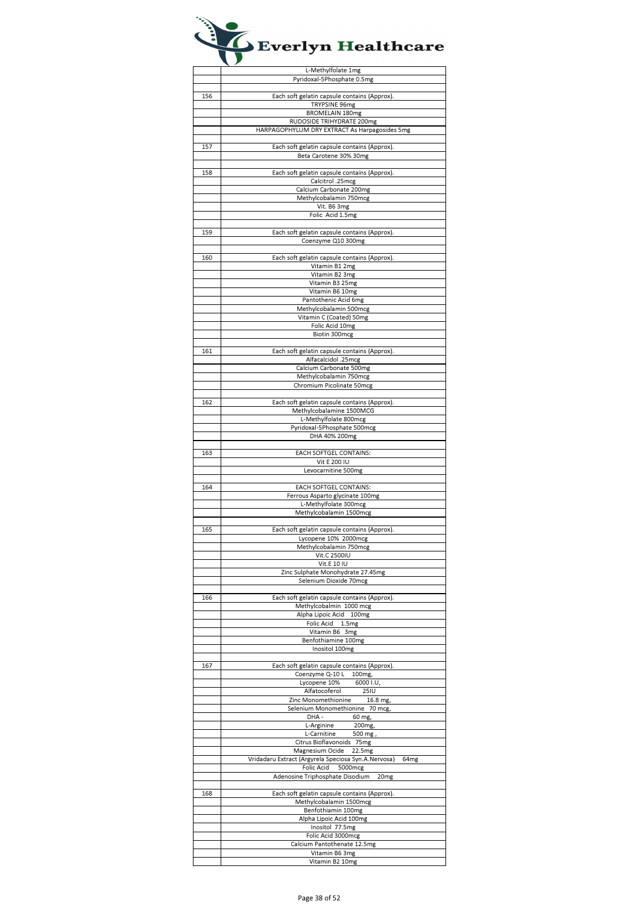|     | L-Methylfolate 1mg                                             |
|-----|----------------------------------------------------------------|
|     | Pyridoxal-5Phosphate 0.5mg                                     |
|     |                                                                |
| 156 | Each soft gelatin capsule contains (Approx).                   |
|     | TRYPSINE 96mg                                                  |
|     | BROMELAIN 180mg                                                |
|     | RUDOSIDE TRIHYDRATE 200mg                                      |
|     | HARPAGOPHYLUM DRY EXTRACT As Harpagosides 5mg                  |
|     |                                                                |
| 157 | Each soft gelatin capsule contains (Approx).                   |
|     | Beta Carotene 30% 30mg                                         |
|     |                                                                |
| 158 | Each soft gelatin capsule contains (Approx).                   |
|     | Calcitrol .25mcg                                               |
|     | Calcium Carbonate 200mg                                        |
|     | Methylcobalamin 750mcg                                         |
|     | Vit. B6 3mg                                                    |
|     | Folic Acid 1.5mg                                               |
|     |                                                                |
| 159 | Each soft gelatin capsule contains (Approx).                   |
|     | Coenzyme Q10 300mg                                             |
|     |                                                                |
| 160 | Each soft gelatin capsule contains (Approx).<br>Vitamin B1 2mg |
|     | Vitamin B2 3mg                                                 |
|     | Vitamin B3 25mg                                                |
|     | Vitamin B6 10mg                                                |
|     | Pantothenic Acid 6mg                                           |
|     | Methylcobalamin 500mcg                                         |
|     | Vitamin C (Coated) 50mg                                        |
|     | Folic Acid 10mg                                                |
|     | Biotin 300mcg                                                  |
|     |                                                                |
| 161 | Each soft gelatin capsule contains (Approx).                   |
|     | Alfacalcidol .25mcg                                            |
|     | Calcium Carbonate 500mg                                        |
|     | Methylcobalamin 750mcg                                         |
|     | Chromium Picolinate 50mcg                                      |
|     |                                                                |
| 162 | Each soft gelatin capsule contains (Approx).                   |
|     | Methylcobalamine 1500MCG                                       |
|     | L-Methylfolate 800mcg                                          |
|     | Pyridoxal-5Phosphate 500mcg                                    |
|     | DHA 40% 200mg                                                  |
| 163 | EACH SOFTGEL CONTAINS:                                         |
|     | Vit E 200 IU                                                   |
|     | Levocarnitine 500mg                                            |
|     |                                                                |
| 164 | EACH SOFTGEL CONTAINS:                                         |
|     | Ferrous Asparto glycinate 100mg                                |
|     | L-Methylfolate 300mcg                                          |
|     | Methylcobalamin 1500mcg                                        |
|     |                                                                |
| 165 | Each soft gelatin capsule contains (Approx).                   |
|     | Lycopene 10% 2000mcg                                           |
|     | iviethylcobalamin 750mcg                                       |
|     | Vit.C 2500IU                                                   |
|     | Vit.E 10 IU                                                    |
|     | Zinc Sulphate Monohydrate 27.45mg<br>Selenium Dioxide 70mcg    |
|     |                                                                |
| 166 | Each soft gelatin capsule contains (Approx).                   |
|     | Methylcobalmin 1000 mcg                                        |
|     | Alpha Lipoic Acid 100mg                                        |
|     | Folic Acid 1.5mg                                               |
|     | Vitamin B6 3mg                                                 |
|     | Benfothiamine 100mg                                            |
|     | Inositol 100mg                                                 |
|     |                                                                |
| 167 | Each soft gelatin capsule contains (Approx).                   |
|     | Coenzyme Q-10 L<br>100mg,                                      |
|     | Lycopene 10%<br>6000 I.U,<br>Alfatocoferol<br><b>25IU</b>      |
|     | Zinc Monomethionine 16.8 mg,                                   |
|     | Selenium Monomethionine 70 mcg,                                |
|     |                                                                |
|     |                                                                |
|     | DHA-<br>60 mg,                                                 |
|     | L-Arginine<br>200mg,<br>L-Carnitine                            |
|     | 500 mg,<br>Citrus Bioflavonoids 75mg                           |
|     | Magnesium Ocide 22.5mg                                         |
|     | Vridadaru Extract (Argyrela Speciosa Syn.A.Nervosa)<br>64mg    |
|     | Folic Acid<br>5000mcg                                          |
|     | Adenosine Triphosphate Disodium<br>20 <sub>mg</sub>            |
|     |                                                                |
| 168 | Each soft gelatin capsule contains (Approx).                   |
|     | Methylcobalamin 1500mcg                                        |
|     | Benfothiamin 100mg                                             |
|     | Alpha Lipoic Acid 100mg                                        |
|     | Inositol 77.5mg                                                |
|     | Folic Acid 3000mcg                                             |
|     | Calcium Pantothenate 12.5mg<br>Vitamin B6 3mg                  |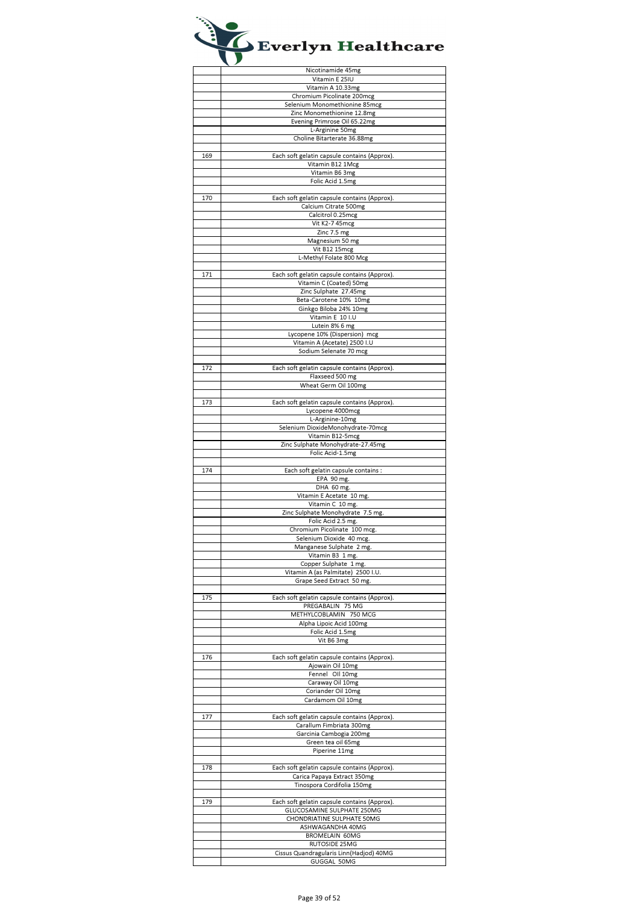|     | Nicotinamide 45mg                                      |
|-----|--------------------------------------------------------|
|     | Vitamin E 25IU                                         |
|     | Vitamin A 10.33mg                                      |
|     | Chromium Picolinate 200mcg                             |
|     | Selenium Monomethionine 85mcg                          |
|     | Zinc Monomethionine 12.8mg                             |
|     |                                                        |
|     | Evening Primrose Oil 65.22mg                           |
|     | L-Arginine 50mg                                        |
|     | Choline Bitarterate 36.88mg                            |
|     |                                                        |
| 169 | Each soft gelatin capsule contains (Approx).           |
|     | Vitamin B12 1Mcg                                       |
|     | Vitamin B6 3mg                                         |
|     |                                                        |
|     | Folic Acid 1.5mg                                       |
|     |                                                        |
| 170 | Each soft gelatin capsule contains (Approx).           |
|     | Calcium Citrate 500mg                                  |
|     | Calcitrol 0.25mcg                                      |
|     | Vit K2-7 45mcg                                         |
|     | Zinc 7.5 mg                                            |
|     | Magnesium 50 mg                                        |
|     |                                                        |
|     | Vit B12 15mcg                                          |
|     | L-Methyl Folate 800 Mcg                                |
|     |                                                        |
| 171 | Each soft gelatin capsule contains (Approx).           |
|     | Vitamin C (Coated) 50mg                                |
|     | Zinc Sulphate 27.45mg                                  |
|     | Beta-Carotene 10% 10mg                                 |
|     |                                                        |
|     | Ginkgo Biloba 24% 10mg                                 |
|     | Vitamin E 10 I.U                                       |
|     | Lutein 8% 6 mg                                         |
|     | Lycopene 10% (Dispersion) mcg                          |
|     | Vitamin A (Acetate) 2500 I.U                           |
|     | Sodium Selenate 70 mcg                                 |
|     |                                                        |
|     |                                                        |
| 172 | Each soft gelatin capsule contains (Approx).           |
|     | Flaxseed 500 mg                                        |
|     | Wheat Germ Oil 100mg                                   |
|     |                                                        |
| 173 | Each soft gelatin capsule contains (Approx).           |
|     | Lycopene 4000mcg                                       |
|     | L-Arginine-10mg                                        |
|     |                                                        |
|     | Selenium DioxideMonohydrate-70mcg                      |
|     | Vitamin B12-5mcg                                       |
|     | Zinc Sulphate Monohydrate-27.45mg                      |
|     | Folic Acid-1.5mg                                       |
|     |                                                        |
| 174 | Each soft gelatin capsule contains :                   |
|     | EPA 90 mg.                                             |
|     |                                                        |
|     |                                                        |
|     | DHA 60 mg.                                             |
|     | Vitamin E Acetate 10 mg.                               |
|     | Vitamin C 10 mg.                                       |
|     | Zinc Sulphate Monohydrate 7.5 mg.                      |
|     | Folic Acid 2.5 mg.                                     |
|     | Chromium Picolinate 100 mcg.                           |
|     | Selenium Dioxide 40 mcg.                               |
|     |                                                        |
|     | Manganese Sulphate 2 mg.                               |
|     | Vitamin B3 1 mg.                                       |
|     | Copper Sulphate 1 mg.                                  |
|     | Vitamin A (as Palmitate) 2500 I.U.                     |
|     | Grape Seed Extract 50 mg.                              |
|     |                                                        |
| 175 | Each soft gelatin capsule contains (Approx).           |
|     | PREGABALIN 75 MG                                       |
|     | METHYLCOBLAMIN 750 MCG                                 |
|     | Alpha Lipoic Acid 100mg                                |
|     |                                                        |
|     | Folic Acid 1.5mg                                       |
|     | Vit B6 3mg                                             |
|     |                                                        |
| 176 | Each soft gelatin capsule contains (Approx).           |
|     | Ajowain Oil 10mg                                       |
|     | Fennel Oll 10mg                                        |
|     | Caraway Oil 10mg                                       |
|     | Coriander Oil 10mg                                     |
|     |                                                        |
|     | Cardamom Oil 10mg                                      |
|     |                                                        |
| 177 | Each soft gelatin capsule contains (Approx).           |
|     | Carallum Fimbriata 300mg                               |
|     | Garcinia Cambogia 200mg                                |
|     | Green tea oil 65mg                                     |
|     | Piperine 11mg                                          |
|     |                                                        |
| 178 |                                                        |
|     | Each soft gelatin capsule contains (Approx).           |
|     | Carica Papaya Extract 350mg                            |
|     | Tinospora Cordifolia 150mg                             |
|     |                                                        |
| 179 | Each soft gelatin capsule contains (Approx).           |
|     | GLUCOSAMINE SULPHATE 250MG                             |
|     | CHONDRIATINE SULPHATE 50MG                             |
|     | ASHWAGANDHA 40MG                                       |
|     | <b>BROMELAIN 60MG</b>                                  |
|     |                                                        |
|     | RUTOSIDE 25MG                                          |
|     | Cissus Quandragularis Linn(Hadjod) 40MG<br>GUGGAL 50MG |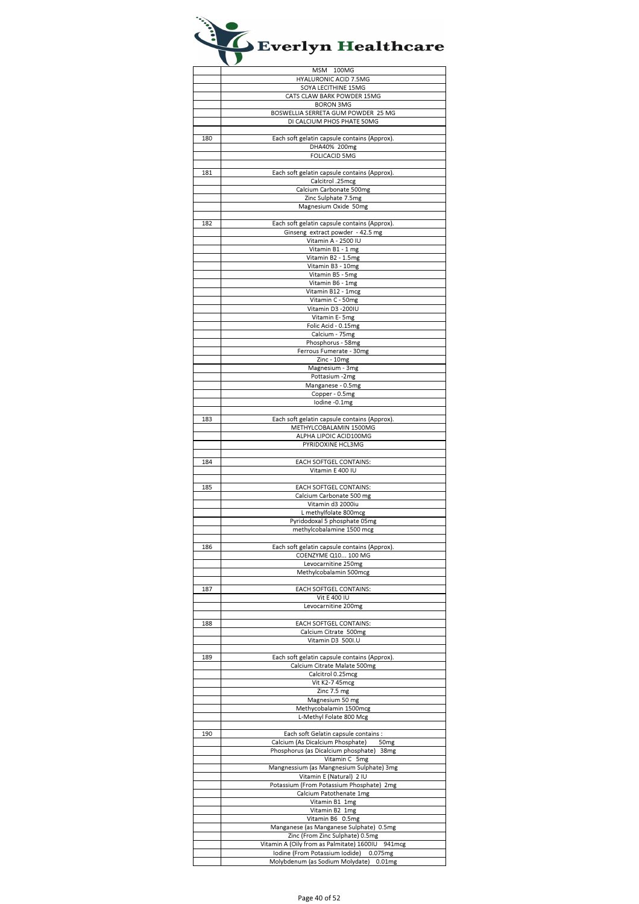|     | MSM 100MG                                                                |
|-----|--------------------------------------------------------------------------|
|     | <b>HYALURONIC ACID 7.5MG</b>                                             |
|     | SOYA LECITHINE 15MG                                                      |
|     | CATS CLAW BARK POWDER 15MG                                               |
|     | <b>BORON 3MG</b>                                                         |
|     | BOSWELLIA SERRETA GUM POWDER 25 MG                                       |
|     | DI CALCIUM PHOS PHATE 50MG                                               |
|     |                                                                          |
| 180 | Each soft gelatin capsule contains (Approx).                             |
|     | DHA40% 200mg                                                             |
|     | <b>FOLICACID 5MG</b>                                                     |
|     |                                                                          |
| 181 |                                                                          |
|     | Each soft gelatin capsule contains (Approx).<br>Calcitrol .25mcg         |
|     | Calcium Carbonate 500mg                                                  |
|     | Zinc Sulphate 7.5mg                                                      |
|     | Magnesium Oxide 50mg                                                     |
|     |                                                                          |
|     |                                                                          |
| 182 | Each soft gelatin capsule contains (Approx).                             |
|     | Ginseng extract powder - 42.5 mg                                         |
|     | Vitamin A - 2500 IU                                                      |
|     | Vitamin B1 - 1 mg                                                        |
|     | Vitamin B2 - 1.5mg                                                       |
|     | Vitamin B3 - 10mg                                                        |
|     | Vitamin B5 - 5mg                                                         |
|     | Vitamin B6 - 1mg                                                         |
|     | Vitamin B12 - 1mcg                                                       |
|     | Vitamin C - 50mg                                                         |
|     | Vitamin D3 -200IU                                                        |
|     | Vitamin E-5mg                                                            |
|     | Folic Acid - 0.15mg                                                      |
|     | Calcium - 75mg                                                           |
|     | Phosphorus - 58mg                                                        |
|     | Ferrous Fumerate - 30mg                                                  |
|     | Zinc - 10mg                                                              |
|     | Magnesium - 3mg                                                          |
|     | Pottasium -2mg                                                           |
|     | Manganese - 0.5mg                                                        |
|     | Copper - 0.5mg                                                           |
|     | lodine -0.1mg                                                            |
|     |                                                                          |
| 183 |                                                                          |
|     | Each soft gelatin capsule contains (Approx).                             |
|     | METHYLCOBALAMIN 1500MG                                                   |
|     | ALPHA LIPOIC ACID100MG                                                   |
|     | PYRIDOXINE HCL3MG                                                        |
|     |                                                                          |
| 184 | EACH SOFTGEL CONTAINS:                                                   |
|     | Vitamin E 400 IU                                                         |
|     |                                                                          |
| 185 | EACH SOFTGEL CONTAINS:                                                   |
|     | Calcium Carbonate 500 mg                                                 |
|     | Vitamin d3 2000iu                                                        |
|     | L methylfolate 800mcg                                                    |
|     | Pyridodoxal 5 phosphate 05mg                                             |
|     | methylcobalamine 1500 mcg                                                |
|     |                                                                          |
| 186 | Each soft gelatin capsule contains (Approx).                             |
|     | COENZYME Q10 100 MG                                                      |
|     | Levocarnitine 250mg                                                      |
|     | Methylcobalamin 500mcg                                                   |
|     |                                                                          |
| 187 | EACH SOFTGEL CONTAINS:                                                   |
|     | Vit E 400 IU                                                             |
|     | Levocarnitine 200mg                                                      |
|     |                                                                          |
| 188 | EACH SOFTGEL CONTAINS:                                                   |
|     | Calcium Citrate 500mg                                                    |
|     | Vitamin D3 500I.U                                                        |
|     |                                                                          |
| 189 | Each soft gelatin capsule contains (Approx).                             |
|     | Calcium Citrate Malate 500mg                                             |
|     | Calcitrol 0.25mcg                                                        |
|     | Vit K2-7 45mcg                                                           |
|     | Zinc 7.5 mg                                                              |
|     | Magnesium 50 mg                                                          |
|     | Methycobalamin 1500mcg                                                   |
|     | L-Methyl Folate 800 Mcg                                                  |
|     |                                                                          |
|     |                                                                          |
| 190 | Each soft Gelatin capsule contains :<br>Calcium (As Dicalcium Phosphate) |
|     | 50 <sub>mg</sub>                                                         |
|     | Phosphorus (as Dicalcium phosphate)<br>38 <sub>mg</sub>                  |
|     | Vitamin C 5mg                                                            |
|     | Mangnessium (as Mangnesium Sulphate) 3mg                                 |
|     | Vitamin E (Natural) 2 IU                                                 |
|     | Potassium (From Potassium Phosphate)<br>2 <sub>mg</sub>                  |
|     | Calcium Patothenate 1mg                                                  |
|     | Vitamin B1 1mg                                                           |
|     | Vitamin B2 1mg                                                           |
|     | Vitamin B6 0.5mg                                                         |
|     | Manganese (as Manganese Sulphate) 0.5mg                                  |
|     | Zinc (From Zinc Sulphate) 0.5mg                                          |
|     | Vitamin A (Oily from as Palmitate) 1600IU 941mcg                         |
|     | Iodine (From Potassium Iodide)<br>0.075mg                                |
|     |                                                                          |
|     | Molybdenum (as Sodium Molydate)<br>0.01 <sub>mg</sub>                    |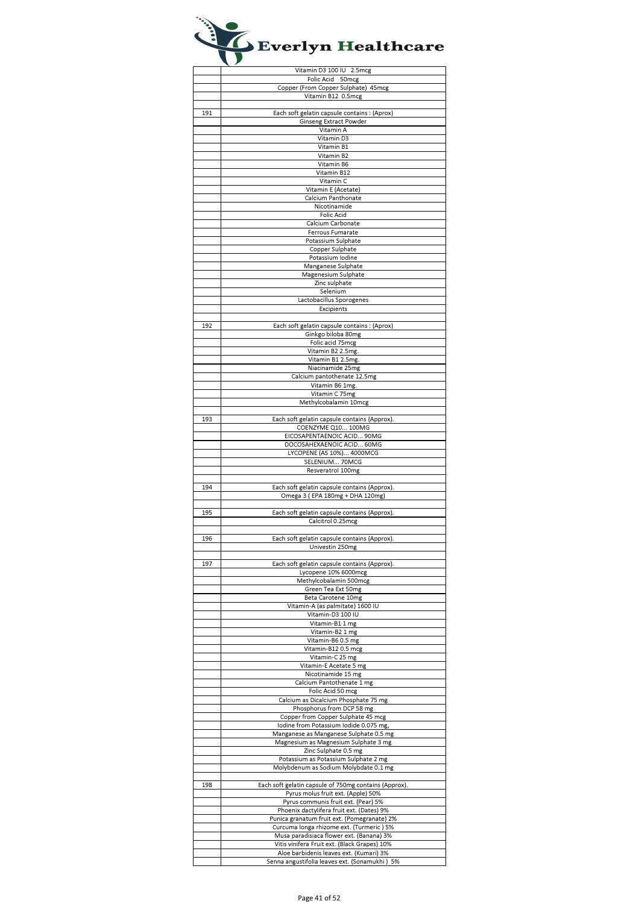|     | Vitamin D3 100 IU 2.5mcg                                                                |
|-----|-----------------------------------------------------------------------------------------|
|     | Folic Acid 50mcg                                                                        |
|     | Copper (From Copper Sulphate) 45mcg                                                     |
|     | Vitamin B12 0.5mcg                                                                      |
| 191 | Each soft gelatin capsule contains : (Aprox)                                            |
|     | Ginseng Extract Powder                                                                  |
|     | Vitamin A                                                                               |
|     | Vitamin D3                                                                              |
|     | Vitamin B1                                                                              |
|     | Vitamin B2                                                                              |
|     | Vitamin B6                                                                              |
|     | Vitamin B12                                                                             |
|     | Vitamin C                                                                               |
|     | Vitamin E (Acetate)                                                                     |
|     | Calcium Panthonate                                                                      |
|     | Nicotinamide                                                                            |
|     | <b>Folic Acid</b>                                                                       |
|     | Calcium Carbonate                                                                       |
|     | Ferrous Fumarate                                                                        |
|     | Potassium Sulphate                                                                      |
|     | Copper Sulphate                                                                         |
|     | Potassium Iodine                                                                        |
|     | Manganese Sulphate                                                                      |
|     | Magenesium Sulphate                                                                     |
|     | Zinc sulphate                                                                           |
|     | Selenium                                                                                |
|     | Lactobacillus Sporogenes                                                                |
|     | Excipients                                                                              |
|     |                                                                                         |
| 192 | Each soft gelatin capsule contains : (Aprox)<br>Ginkgo biloba 80mg                      |
|     | Folic acid 75mcg                                                                        |
|     | Vitamin B2 2.5mg.                                                                       |
|     | Vitamin B1 2.5mg.                                                                       |
|     | Niacinamide 25mg                                                                        |
|     | Calcium pantothenate 12.5mg                                                             |
|     | Vitamin B6 1mg.                                                                         |
|     | Vitamin C 75mg                                                                          |
|     | Methylcobalamin 10mcg                                                                   |
|     |                                                                                         |
| 193 | Each soft gelatin capsule contains (Approx).                                            |
|     | COENZYME Q10 100MG                                                                      |
|     | EICOSAPENTAENOIC ACID 90MG                                                              |
|     | DOCOSAHEXAENOIC ACID 60MG                                                               |
|     | LYCOPENE (AS 10%) 4000MCG                                                               |
|     | SELENIUM 70MCG                                                                          |
|     | Resveratrol 100mg                                                                       |
|     |                                                                                         |
| 194 | Each soft gelatin capsule contains (Approx).                                            |
|     | Omega 3 (EPA 180mg + DHA 120mg)                                                         |
|     |                                                                                         |
|     | Each soft gelatin capsule contains (Approx).<br>Calcitrol 0.25mcg                       |
| 195 |                                                                                         |
|     |                                                                                         |
|     |                                                                                         |
| 196 | Each soft gelatin capsule contains (Approx).                                            |
|     | Univestin 250mg                                                                         |
|     |                                                                                         |
| 197 | Each soft gelatin capsule contains (Approx).                                            |
|     | Lycopene 10% 6000mcg                                                                    |
|     | Methylcobalamin 500mcg<br>Green Tea Ext 50mg                                            |
|     | Beta Carotene 10mg                                                                      |
|     | Vitamin-A (as palmitate) 1600 IU                                                        |
|     | Vitamin-D3 100 IU                                                                       |
|     | Vitamin-B1 1 mg                                                                         |
|     | Vitamin-B2 1 mg                                                                         |
|     | Vitamin-B60.5 mg                                                                        |
|     | Vitamin-B12 0.5 mcg                                                                     |
|     | Vitamin-C 25 mg                                                                         |
|     | Vitamin-E Acetate 5 mg                                                                  |
|     | Nicotinamide 15 mg                                                                      |
|     | Calcium Pantothenate 1 mg                                                               |
|     | Folic Acid 50 mcg                                                                       |
|     | Calcium as Dicalcium Phosphate 75 mg                                                    |
|     | Phosphorus from DCP 58 mg                                                               |
|     | Copper from Copper Sulphate 45 mcg                                                      |
|     | lodine from Potassium lodide 0.075 mg,                                                  |
|     | Manganese as Manganese Sulphate 0.5 mg                                                  |
|     | Magnesium as Magnesium Sulphate 3 mg                                                    |
|     | Zinc Sulphate 0.5 mg                                                                    |
|     | Potassium as Potassium Sulphate 2 mg                                                    |
|     | Molybdenum as Sodium Molybdate 0.1 mg                                                   |
|     |                                                                                         |
| 198 | Each soft gelatin capsule of 750mg contains (Approx).                                   |
|     | Pyrus molus fruit ext. (Apple) 50%                                                      |
|     | Pyrus communis fruit ext. (Pear) 5%                                                     |
|     | Phoenix dactylifera fruit ext. (Dates) 9%                                               |
|     | Punica granatum fruit ext. (Pomegranate) 2%                                             |
|     | Curcuma longa rhizome ext. (Turmeric) 5%                                                |
|     | Musa paradisiaca flower ext. (Banana) 3%                                                |
|     | Vitis vinifera Fruit ext. (Black Grapes) 10%<br>Aloe barbidenis leaves ext. (Kumari) 3% |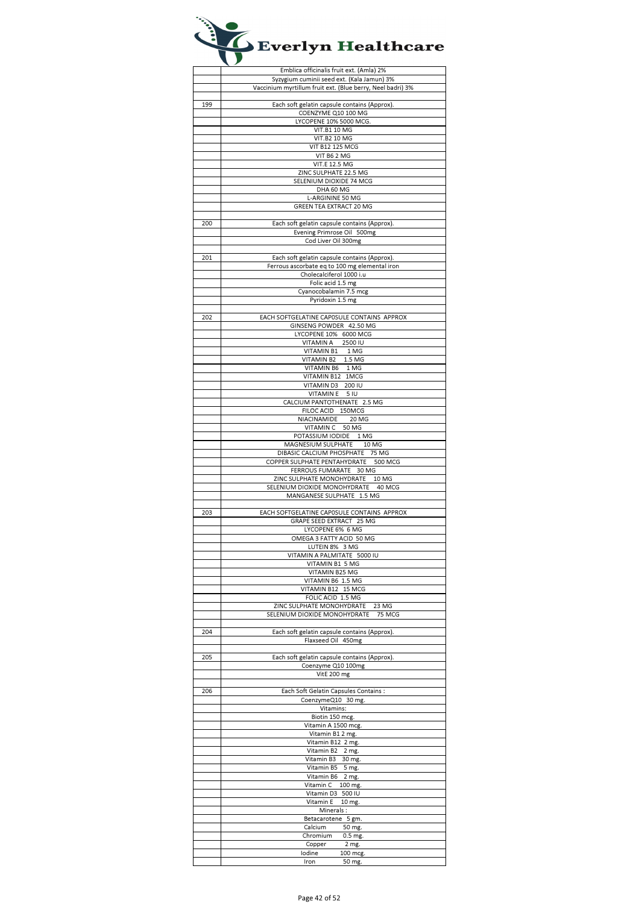|     | Emblica officinalis fruit ext. (Amla) 2%                                  |
|-----|---------------------------------------------------------------------------|
|     | Syzygium cuminii seed ext. (Kala Jamun) 3%                                |
|     | Vaccinium myrtillum fruit ext. (Blue berry, Neel badri) 3%                |
|     |                                                                           |
| 199 | Each soft gelatin capsule contains (Approx).                              |
|     | COENZYME Q10 100 MG                                                       |
|     | LYCOPENE 10% 5000 MCG.                                                    |
|     | <b>VIT.B1 10 MG</b>                                                       |
|     | <b>VIT.B2 10 MG</b>                                                       |
|     | <b>VIT B12 125 MCG</b>                                                    |
|     | VIT B6 2 MG<br><b>VIT.E 12.5 MG</b>                                       |
|     | ZINC SULPHATE 22.5 MG                                                     |
|     | SELENIUM DIOXIDE 74 MCG                                                   |
|     | DHA 60 MG                                                                 |
|     | L-ARGININE 50 MG                                                          |
|     | GREEN TEA EXTRACT 20 MG                                                   |
|     |                                                                           |
| 200 | Each soft gelatin capsule contains (Approx).                              |
|     | Evening Primrose Oil 500mg                                                |
|     | Cod Liver Oil 300mg                                                       |
|     |                                                                           |
| 201 | Each soft gelatin capsule contains (Approx).                              |
|     | Ferrous ascorbate eq to 100 mg elemental iron<br>Cholecalciferol 1000 i.u |
|     | Folic acid 1.5 mg                                                         |
|     | Cyanocobalamin 7.5 mcg                                                    |
|     | Pyridoxin 1.5 mg                                                          |
|     |                                                                           |
| 202 | EACH SOFTGELATINE CAPOSULE CONTAINS APPROX                                |
|     | GINSENG POWDER 42.50 MG                                                   |
|     | LYCOPENE 10% 6000 MCG                                                     |
|     | VITAMIN A 2500 IU                                                         |
|     | VITAMIN B1 1 MG                                                           |
|     | VITAMIN B2 1.5 MG                                                         |
|     | VITAMIN B6 1 MG                                                           |
|     | VITAMIN B12 1MCG                                                          |
|     | VITAMIN D3 200 IU                                                         |
|     | VITAMINE 5 IU                                                             |
|     | CALCIUM PANTOTHENATE 2.5 MG                                               |
|     | FILOC ACID 150MCG<br>NIACINAMIDE 20 MG                                    |
|     | VITAMIN C 50 MG                                                           |
|     | POTASSIUM IODIDE 1 MG                                                     |
|     | MAGNESIUM SULPHATE 10 MG                                                  |
|     | DIBASIC CALCIUM PHOSPHATE 75 MG                                           |
|     | COPPER SULPHATE PENTAHYDRATE 500 MCG                                      |
|     | FERROUS FUMARATE 30 MG                                                    |
|     | ZINC SULPHATE MONOHYDRATE 10 MG                                           |
|     | SELENIUM DIOXIDE MONOHYDRATE 40 MCG                                       |
|     | MANGANESE SULPHATE 1.5 MG                                                 |
|     |                                                                           |
| 203 | EACH SOFTGELATINE CAPOSULE CONTAINS APPROX                                |
|     | GRAPE SEED EXTRACT 25 MG<br>LYCOPENE 6% 6 MG                              |
|     | OMEGA 3 FATTY ACID 50 MG                                                  |
|     | LUTEIN 8% 3 MG                                                            |
|     | VITAMIN A PALMITATE 5000 IU                                               |
|     | VITAMIN B1 5 MG                                                           |
|     | VITAMIN B25 MG                                                            |
|     | VITAMIN B6 1.5 MG                                                         |
|     | VITAMIN B12 15 MCG                                                        |
|     | FOLIC ACID 1.5 MG                                                         |
|     | ZINC SULPHATE MONOHYDRATE<br>23 MG                                        |
|     | SELENIUM DIOXIDE MONOHYDRATE<br>75 MCG                                    |
|     |                                                                           |
| 204 | Each soft gelatin capsule contains (Approx).                              |
|     | Flaxseed Oil 450mg                                                        |
| 205 | Each soft gelatin capsule contains (Approx).                              |
|     | Coenzyme Q10 100mg                                                        |
|     | VitE 200 mg                                                               |
|     |                                                                           |
| 206 | Each Soft Gelatin Capsules Contains :                                     |
|     | CoenzymeQ10 30 mg.                                                        |
|     | Vitamins:                                                                 |
|     | Biotin 150 mcg.                                                           |
|     | Vitamin A 1500 mcg.                                                       |
|     | Vitamin B1 2 mg.                                                          |
|     | Vitamin B12 2 mg.                                                         |
|     | Vitamin B2 2 mg.<br>Vitamin B3 30 mg.                                     |
|     | Vitamin B5 5 mg.                                                          |
|     | Vitamin B6 2 mg.                                                          |
|     | Vitamin C 100 mg.                                                         |
|     | Vitamin D3 500 IU                                                         |
|     | Vitamin E<br>10 mg.                                                       |
|     | Minerals:                                                                 |
|     | Betacarotene 5 gm.                                                        |
|     | Calcium<br>50 mg.                                                         |
|     | Chromium<br>0.5 mg.                                                       |
|     | Copper<br>2 mg.                                                           |
|     | lodine<br>100 mcg.                                                        |
|     | Iron<br>50 mg.                                                            |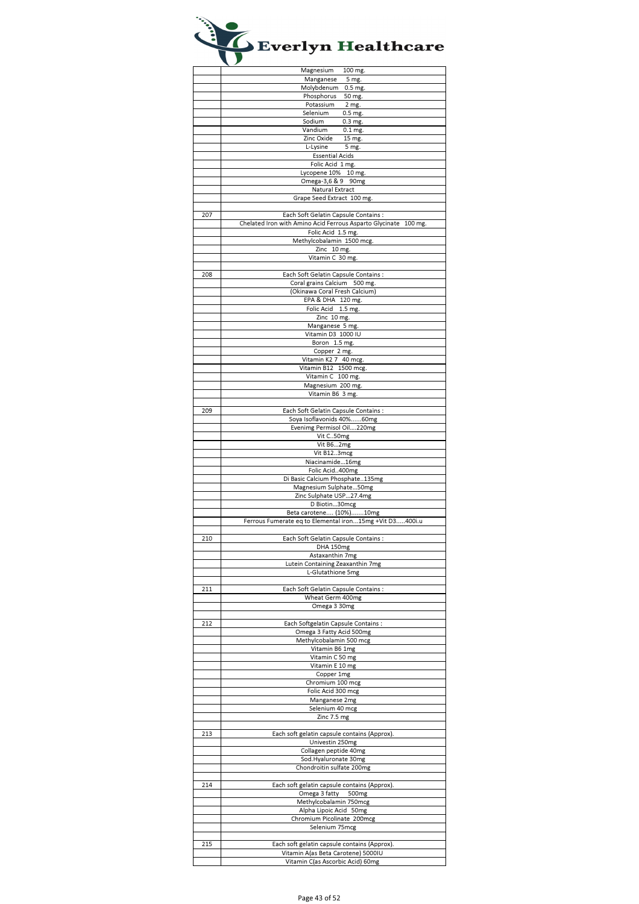|     | Magnesium<br>100 mg.                                                   |
|-----|------------------------------------------------------------------------|
|     | Manganese<br>5 mg.                                                     |
|     | Molybdenum<br>0.5 mg.                                                  |
|     | Phosphorus<br>50 mg.                                                   |
|     | Potassium<br>2 mg.                                                     |
|     |                                                                        |
|     | $0.5$ mg.<br>Selenium                                                  |
|     | Sodium<br>$0.3$ mg.                                                    |
|     | Vandium<br>$0.1$ mg.                                                   |
|     | Zinc Oxide<br>15 mg.                                                   |
|     | L-Lysine<br>5 mg.                                                      |
|     | <b>Essential Acids</b>                                                 |
|     |                                                                        |
|     | Folic Acid 1 mg.                                                       |
|     | Lycopene 10% 10 mg.                                                    |
|     | Omega-3,6 & 9 90mg                                                     |
|     | Natural Extract                                                        |
|     | Grape Seed Extract 100 mg.                                             |
|     |                                                                        |
| 207 | Each Soft Gelatin Capsule Contains :                                   |
|     | Chelated Iron with Amino Acid Ferrous Asparto Glycinate 100 mg.        |
|     |                                                                        |
|     | Folic Acid 1.5 mg.                                                     |
|     | Methylcobalamin 1500 mcg.                                              |
|     | Zinc 10 mg.                                                            |
|     | Vitamin C 30 mg.                                                       |
|     |                                                                        |
| 208 | Each Soft Gelatin Capsule Contains :                                   |
|     | Coral grains Calcium 500 mg.                                           |
|     |                                                                        |
|     | (Okinawa Coral Fresh Calcium)                                          |
|     | EPA & DHA 120 mg.                                                      |
|     | Folic Acid 1.5 mg.                                                     |
|     | Zinc 10 mg.                                                            |
|     | Manganese 5 mg.                                                        |
|     | Vitamin D3 1000 IU                                                     |
|     |                                                                        |
|     | Boron 1.5 mg.                                                          |
|     | Copper 2 mg.                                                           |
|     | Vitamin K2 7 40 mcg.                                                   |
|     | Vitamin B12 1500 mcg.                                                  |
|     | Vitamin C 100 mg.                                                      |
|     | Magnesium 200 mg.                                                      |
|     |                                                                        |
|     | Vitamin B6 3 mg.                                                       |
|     |                                                                        |
| 209 | Each Soft Gelatin Capsule Contains :                                   |
|     | Soya Isoflavonids 40%60mg                                              |
|     | Evenimg Permisol Oil220mg                                              |
|     | Vit C50mg                                                              |
|     |                                                                        |
|     | Vit B62mg                                                              |
|     | Vit B123mcg                                                            |
|     | Niacinamide16mg                                                        |
|     | Folic Acid400mg                                                        |
|     |                                                                        |
|     |                                                                        |
|     | Di Basic Calcium Phosphate135mg                                        |
|     | Magnesium Sulphate50mg                                                 |
|     | Zinc Sulphate USP27.4mg                                                |
|     | D Biotin30mcg                                                          |
|     | Beta carotene (10%)10mg                                                |
|     | Ferrous Fumerate eq to Elemental iron15mg +Vit D3400i.u                |
|     |                                                                        |
|     |                                                                        |
| 210 | Each Soft Gelatin Capsule Contains:                                    |
|     | DHA 150mg                                                              |
|     | Astaxanthin 7mg                                                        |
|     | Lutein Containing Zeaxanthin 7mg                                       |
|     | L-Glutathione 5mg                                                      |
|     |                                                                        |
| 211 | Each Soft Gelatin Capsule Contains :                                   |
|     |                                                                        |
|     | Wheat Germ 400mg                                                       |
|     | Omega 3 30mg                                                           |
|     |                                                                        |
| 212 | Each Softgelatin Capsule Contains :                                    |
|     | Omega 3 Fatty Acid 500mg                                               |
|     | Methylcobalamin 500 mcg                                                |
|     | Vitamin B6 1mg                                                         |
|     | Vitamin C 50 mg                                                        |
|     | Vitamin E 10 mg                                                        |
|     |                                                                        |
|     | Copper 1mg                                                             |
|     | Chromium 100 mcg                                                       |
|     | Folic Acid 300 mcg                                                     |
|     | Manganese 2mg                                                          |
|     | Selenium 40 mcg                                                        |
|     | Zinc 7.5 mg                                                            |
|     |                                                                        |
| 213 | Each soft gelatin capsule contains (Approx).                           |
|     |                                                                        |
|     | Univestin 250mg                                                        |
|     | Collagen peptide 40mg                                                  |
|     | Sod.Hyaluronate 30mg                                                   |
|     | Chondroitin sulfate 200mg                                              |
|     |                                                                        |
| 214 | Each soft gelatin capsule contains (Approx).                           |
|     |                                                                        |
|     | Omega 3 fatty 500mg                                                    |
|     | Methylcobalamin 750mcg                                                 |
|     | Alpha Lipoic Acid 50mg                                                 |
|     | Chromium Picolinate 200mcg                                             |
|     | Selenium 75mcg                                                         |
|     |                                                                        |
|     |                                                                        |
| 215 | Each soft gelatin capsule contains (Approx).                           |
|     | Vitamin A(as Beta Carotene) 5000IU<br>Vitamin C(as Ascorbic Acid) 60mg |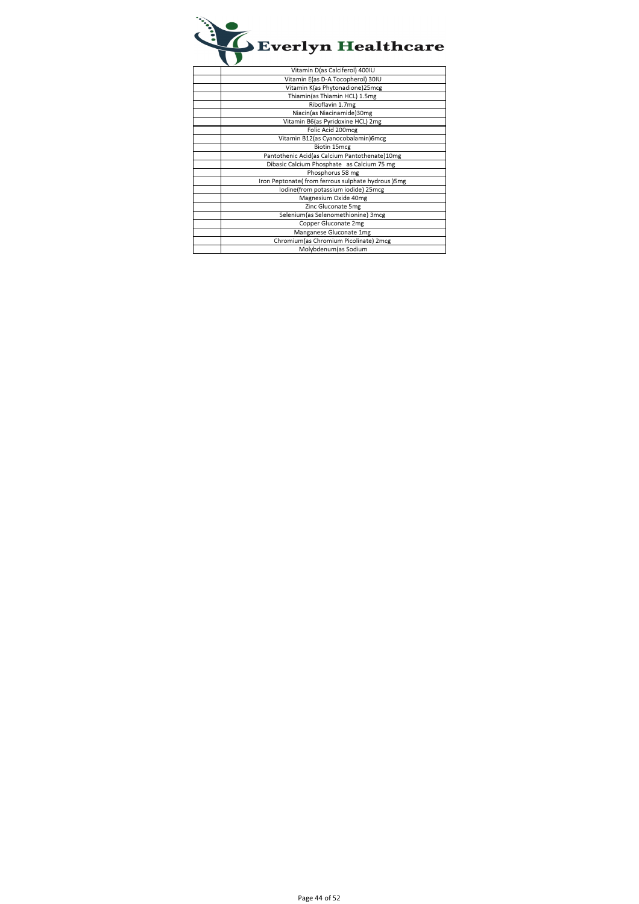

| Vitamin D(as Calciferol) 400IU                    |
|---------------------------------------------------|
| Vitamin E(as D-A Tocopherol) 30IU                 |
| Vitamin K(as Phytonadione)25mcg                   |
| Thiamin(as Thiamin HCL) 1.5mg                     |
| Riboflavin 1.7mg                                  |
| Niacin(as Niacinamide)30mg                        |
| Vitamin B6(as Pyridoxine HCL) 2mg                 |
| Folic Acid 200mcg                                 |
| Vitamin B12(as Cyanocobalamin)6mcg                |
| Biotin 15mcg                                      |
| Pantothenic Acid(as Calcium Pantothenate)10mg     |
| Dibasic Calcium Phosphate as Calcium 75 mg        |
| Phosphorus 58 mg                                  |
| Iron Peptonate(from ferrous sulphate hydrous) 5mg |
| Iodine(from potassium iodide) 25mcg               |
| Magnesium Oxide 40mg                              |
| Zinc Gluconate 5mg                                |
| Selenium(as Selenomethionine) 3mcg                |
| Copper Gluconate 2mg                              |
| Manganese Gluconate 1mg                           |
| Chromium (as Chromium Picolinate) 2mcg            |
| Molybdenum (as Sodium                             |
|                                                   |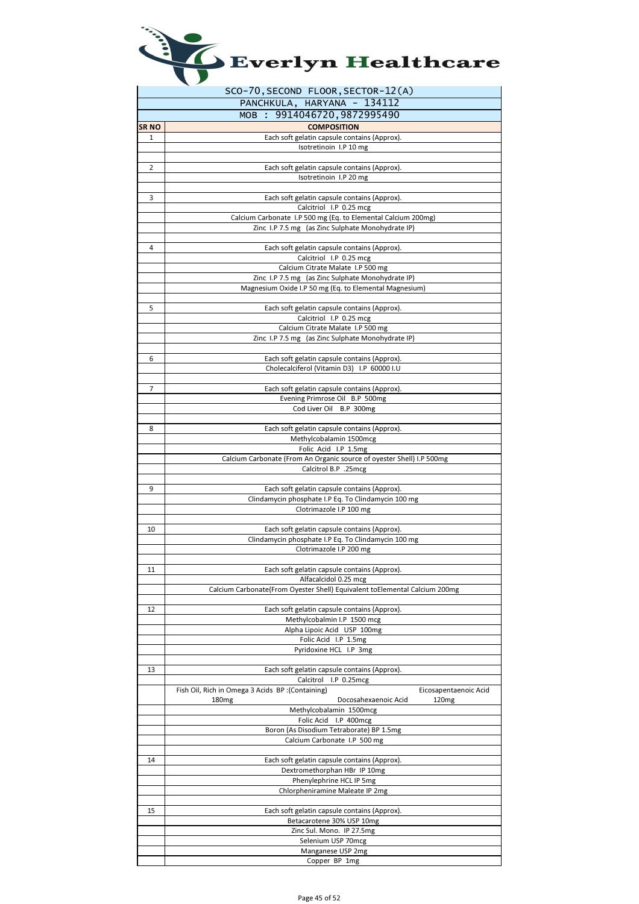| Everlyn Healthcare |  |
|--------------------|--|
|--------------------|--|

l,

|       | SCO-70, SECOND FLOOR, SECTOR-12(A)                                                                  |
|-------|-----------------------------------------------------------------------------------------------------|
|       | PANCHKULA, HARYANA - 134112                                                                         |
|       | MOB : 9914046720, 9872995490                                                                        |
| SR NO | <b>COMPOSITION</b>                                                                                  |
| 1     | Each soft gelatin capsule contains (Approx).                                                        |
|       | Isotretinoin I.P 10 mg                                                                              |
|       |                                                                                                     |
| 2     | Each soft gelatin capsule contains (Approx).<br>Isotretinoin I.P 20 mg                              |
|       |                                                                                                     |
| 3     | Each soft gelatin capsule contains (Approx).                                                        |
|       | Calcitriol I.P 0.25 mcg                                                                             |
|       | Calcium Carbonate I.P 500 mg (Eq. to Elemental Calcium 200mg)                                       |
|       | Zinc I.P 7.5 mg (as Zinc Sulphate Monohydrate IP)                                                   |
|       |                                                                                                     |
| 4     | Each soft gelatin capsule contains (Approx).                                                        |
|       | Calcitriol I.P 0.25 mcg<br>Calcium Citrate Malate I.P 500 mg                                        |
|       | Zinc I.P 7.5 mg (as Zinc Sulphate Monohydrate IP)                                                   |
|       | Magnesium Oxide I.P 50 mg (Eq. to Elemental Magnesium)                                              |
|       |                                                                                                     |
| 5     | Each soft gelatin capsule contains (Approx).                                                        |
|       | Calcitriol I.P 0.25 mcg                                                                             |
|       | Calcium Citrate Malate I.P 500 mg                                                                   |
|       | Zinc I.P 7.5 mg (as Zinc Sulphate Monohydrate IP)                                                   |
| 6     | Each soft gelatin capsule contains (Approx).                                                        |
|       | Cholecalciferol (Vitamin D3) I.P 60000 I.U                                                          |
|       |                                                                                                     |
| 7     | Each soft gelatin capsule contains (Approx).                                                        |
|       | Evening Primrose Oil B.P 500mg                                                                      |
|       | Cod Liver Oil B.P 300mg                                                                             |
|       |                                                                                                     |
| 8     | Each soft gelatin capsule contains (Approx).                                                        |
|       | Methylcobalamin 1500mcg<br>Folic Acid I.P 1.5mg                                                     |
|       | Calcium Carbonate (From An Organic source of oyester Shell) I.P 500mg                               |
|       | Calcitrol B.P .25mcg                                                                                |
|       |                                                                                                     |
| 9     | Each soft gelatin capsule contains (Approx).                                                        |
|       | Clindamycin phosphate I.P Eq. To Clindamycin 100 mg                                                 |
|       | Clotrimazole I.P 100 mg                                                                             |
| 10    | Each soft gelatin capsule contains (Approx).                                                        |
|       | Clindamycin phosphate I.P Eq. To Clindamycin 100 mg                                                 |
|       | Clotrimazole I.P 200 mg                                                                             |
|       |                                                                                                     |
| 11    | Each soft gelatin capsule contains (Approx).                                                        |
|       | Alfacalcidol 0.25 mcg<br>Calcium Carbonate(From Oyester Shell) Equivalent toElemental Calcium 200mg |
|       |                                                                                                     |
| 12    | Each soft gelatin capsule contains (Approx).                                                        |
|       | Methylcobalmin I.P 1500 mcg                                                                         |
|       | Alpha Lipoic Acid USP 100mg                                                                         |
|       | Folic Acid I.P 1.5mg                                                                                |
|       | Pyridoxine HCL I.P 3mg                                                                              |
|       |                                                                                                     |
| 13    | Each soft gelatin capsule contains (Approx).<br>Calcitrol I.P 0.25mcg                               |
|       | (Containing): Fish Oil, Rich in Omega 3 Acids BP<br>Eicosapentaenoic Acid                           |
|       | 180 <sub>mg</sub><br>Docosahexaenoic Acid<br>120 <sub>mg</sub>                                      |
|       | Methylcobalamin 1500mcg                                                                             |
|       | Folic Acid I.P 400mcg                                                                               |
|       | Boron (As Disodium Tetraborate) BP 1.5mg                                                            |
|       | Calcium Carbonate I.P 500 mg                                                                        |
| 14    | Each soft gelatin capsule contains (Approx).                                                        |
|       | Dextromethorphan HBr IP 10mg                                                                        |
|       | Phenylephrine HCL IP 5mg                                                                            |
|       | Chlorpheniramine Maleate IP 2mg                                                                     |
|       |                                                                                                     |
| 15    | Each soft gelatin capsule contains (Approx).                                                        |
|       | Betacarotene 30% USP 10mg                                                                           |
|       | Zinc Sul. Mono. IP 27.5mg<br>Selenium USP 70mcg                                                     |
|       | Manganese USP 2mg                                                                                   |
|       | Copper BP 1mg                                                                                       |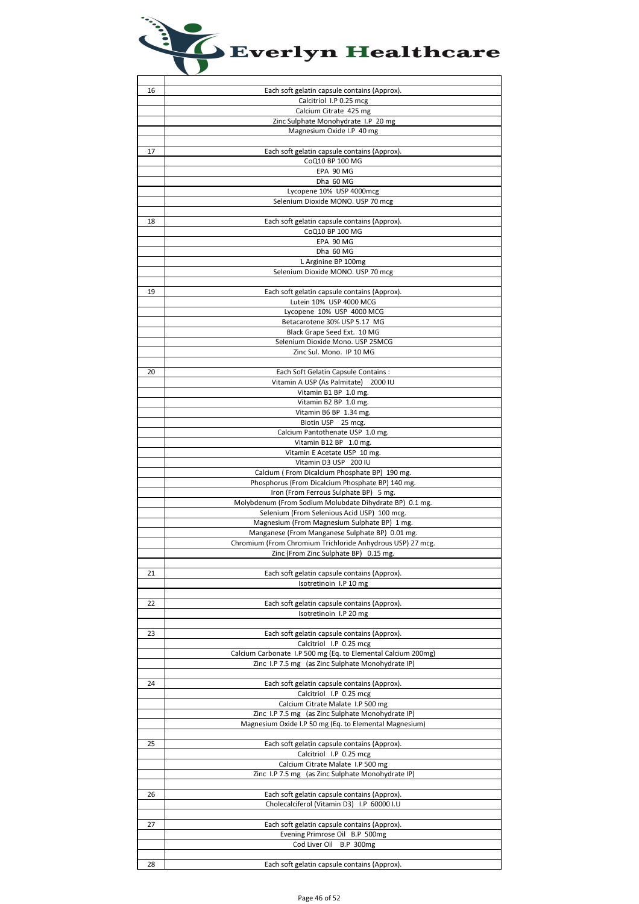

| 16 | Each soft gelatin capsule contains (Approx).                                   |
|----|--------------------------------------------------------------------------------|
|    | Calcitriol I.P 0.25 mcg                                                        |
|    | Calcium Citrate 425 mg                                                         |
|    | Zinc Sulphate Monohydrate I.P 20 mg                                            |
|    | Magnesium Oxide I.P 40 mg                                                      |
|    |                                                                                |
| 17 | Each soft gelatin capsule contains (Approx).                                   |
|    | CoQ10 BP 100 MG                                                                |
|    | EPA 90 MG                                                                      |
|    | Dha 60 MG                                                                      |
|    | Lycopene 10% USP 4000mcg                                                       |
|    | Selenium Dioxide MONO. USP 70 mcg                                              |
|    |                                                                                |
| 18 | Each soft gelatin capsule contains (Approx).                                   |
|    | CoQ10 BP 100 MG                                                                |
|    | EPA 90 MG                                                                      |
|    | Dha 60 MG                                                                      |
|    | L Arginine BP 100mg                                                            |
|    | Selenium Dioxide MONO. USP 70 mcg                                              |
|    |                                                                                |
| 19 | Each soft gelatin capsule contains (Approx).                                   |
|    | Lutein 10% USP 4000 MCG                                                        |
|    | Lycopene 10% USP 4000 MCG                                                      |
|    | Betacarotene 30% USP 5.17 MG                                                   |
|    | Black Grape Seed Ext. 10 MG                                                    |
|    | Selenium Dioxide Mono. USP 25MCG                                               |
|    | Zinc Sul. Mono. IP 10 MG                                                       |
|    |                                                                                |
| 20 | Each Soft Gelatin Capsule Contains:<br>Vitamin A USP (As Palmitate) 2000 IU    |
|    |                                                                                |
|    | Vitamin B1 BP 1.0 mg.                                                          |
|    | Vitamin B2 BP 1.0 mg.<br>Vitamin B6 BP 1.34 mg.                                |
|    | Biotin USP 25 mcg.                                                             |
|    | Calcium Pantothenate USP 1.0 mg.                                               |
|    | Vitamin B12 BP 1.0 mg.                                                         |
|    | Vitamin E Acetate USP 10 mg.                                                   |
|    | Vitamin D3 USP 200 IU                                                          |
|    | Calcium (From Dicalcium Phosphate BP) 190 mg.                                  |
|    | Phosphorus (From Dicalcium Phosphate BP) 140 mg.                               |
|    | Iron (From Ferrous Sulphate BP) 5 mg.                                          |
|    | Molybdenum (From Sodium Molubdate Dihydrate BP) 0.1 mg.                        |
|    | Selenium (From Selenious Acid USP) 100 mcg.                                    |
|    | Magnesium (From Magnesium Sulphate BP) 1 mg.                                   |
|    | Manganese (From Manganese Sulphate BP) 0.01 mg.                                |
|    | Chromium (From Chromium Trichloride Anhydrous USP) 27 mcg.                     |
|    | Zinc (From Zinc Sulphate BP) 0.15 mg.                                          |
|    |                                                                                |
| 21 | Each soft gelatin capsule contains (Approx).                                   |
|    | Isotretinoin I.P 10 mg                                                         |
|    |                                                                                |
| 22 | Each soft gelatin capsule contains (Approx).                                   |
|    | Isotretinoin I.P 20 mg                                                         |
|    |                                                                                |
| 23 | Each soft gelatin capsule contains (Approx).                                   |
|    | Calcitriol I.P 0.25 mcg                                                        |
|    | Calcium Carbonate I.P 500 mg (Eq. to Elemental Calcium 200mg)                  |
|    | Zinc I.P 7.5 mg (as Zinc Sulphate Monohydrate IP)                              |
|    |                                                                                |
| 24 | Each soft gelatin capsule contains (Approx).                                   |
|    | Calcitriol I.P 0.25 mcg                                                        |
|    | Calcium Citrate Malate I.P 500 mg                                              |
|    | Zinc I.P 7.5 mg (as Zinc Sulphate Monohydrate IP)                              |
|    | Magnesium Oxide I.P 50 mg (Eq. to Elemental Magnesium)                         |
|    |                                                                                |
| 25 | Each soft gelatin capsule contains (Approx).                                   |
|    | Calcitriol I.P 0.25 mcg                                                        |
|    | Calcium Citrate Malate I.P 500 mg                                              |
|    | Zinc I.P 7.5 mg (as Zinc Sulphate Monohydrate IP)                              |
|    |                                                                                |
| 26 | Each soft gelatin capsule contains (Approx).                                   |
|    | Cholecalciferol (Vitamin D3) I.P 60000 I.U                                     |
| 27 |                                                                                |
|    | Each soft gelatin capsule contains (Approx).<br>Evening Primrose Oil B.P 500mg |
|    | Cod Liver Oil B.P 300mg                                                        |
|    |                                                                                |
| 28 | Each soft gelatin capsule contains (Approx).                                   |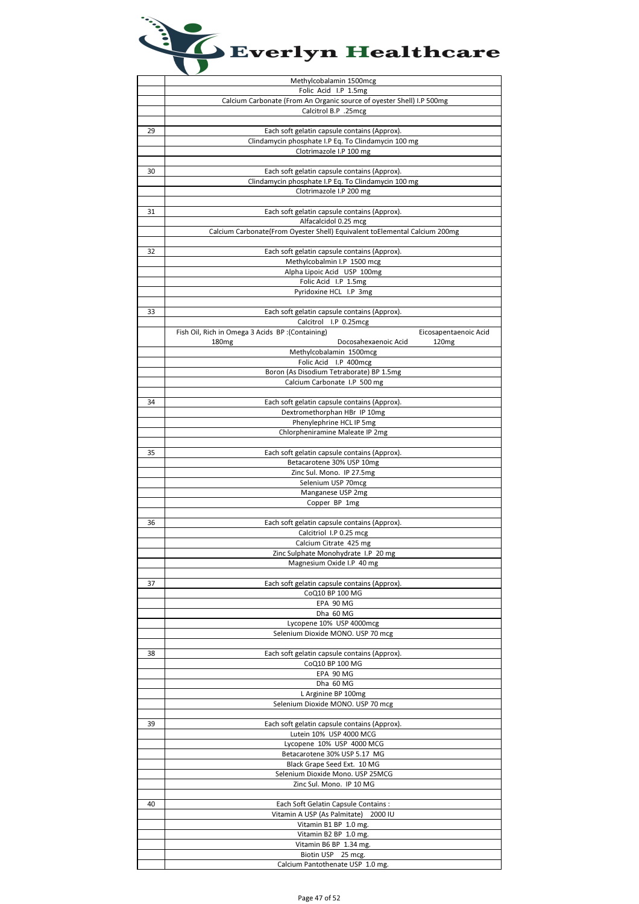| Everlyn Healthcare |
|--------------------|
|                    |

|    | Methylcobalamin 1500mcg                                                                       |
|----|-----------------------------------------------------------------------------------------------|
|    | Folic Acid I.P 1.5mg                                                                          |
|    | Calcium Carbonate (From An Organic source of oyester Shell) I.P 500mg<br>Calcitrol B.P .25mcg |
|    |                                                                                               |
| 29 | Each soft gelatin capsule contains (Approx).                                                  |
|    | Clindamycin phosphate I.P Eq. To Clindamycin 100 mg                                           |
|    | Clotrimazole I.P 100 mg                                                                       |
|    |                                                                                               |
| 30 | Each soft gelatin capsule contains (Approx).                                                  |
|    | Clindamycin phosphate I.P Eq. To Clindamycin 100 mg                                           |
|    | Clotrimazole I.P 200 mg                                                                       |
| 31 | Each soft gelatin capsule contains (Approx).                                                  |
|    | Alfacalcidol 0.25 mcg                                                                         |
|    | Calcium Carbonate(From Oyester Shell) Equivalent toElemental Calcium 200mg                    |
|    |                                                                                               |
| 32 | Each soft gelatin capsule contains (Approx).                                                  |
|    | Methylcobalmin I.P 1500 mcg                                                                   |
|    | Alpha Lipoic Acid USP 100mg                                                                   |
|    | Folic Acid I.P 1.5mg                                                                          |
|    | Pyridoxine HCL I.P 3mg                                                                        |
| 33 | Each soft gelatin capsule contains (Approx).                                                  |
|    | Calcitrol I.P 0.25mcg                                                                         |
|    | Fish Oil, Rich in Omega 3 Acids BP : (Containing)<br>Eicosapentaenoic Acid                    |
|    | Docosahexaenoic Acid<br>120 <sub>mg</sub><br>180 <sub>mg</sub>                                |
|    | Methylcobalamin 1500mcg                                                                       |
|    | Folic Acid I.P 400mcg                                                                         |
|    | Boron (As Disodium Tetraborate) BP 1.5mg                                                      |
|    | Calcium Carbonate I.P 500 mg                                                                  |
|    |                                                                                               |
| 34 | Each soft gelatin capsule contains (Approx).<br>Dextromethorphan HBr IP 10mg                  |
|    | Phenylephrine HCL IP 5mg                                                                      |
|    | Chlorpheniramine Maleate IP 2mg                                                               |
|    |                                                                                               |
| 35 | Each soft gelatin capsule contains (Approx).                                                  |
|    | Betacarotene 30% USP 10mg                                                                     |
|    | Zinc Sul. Mono. IP 27.5mg                                                                     |
|    | Selenium USP 70mcg                                                                            |
|    | Manganese USP 2mg<br>Copper BP 1mg                                                            |
|    |                                                                                               |
| 36 | Each soft gelatin capsule contains (Approx).                                                  |
|    | Calcitriol I.P 0.25 mcg                                                                       |
|    | Calcium Citrate 425 mg                                                                        |
|    | Zinc Sulphate Monohydrate I.P 20 mg                                                           |
|    | Magnesium Oxide I.P 40 mg                                                                     |
| 37 | Each soft gelatin capsule contains (Approx).                                                  |
|    | CoQ10 BP 100 MG                                                                               |
|    | EPA 90 MG                                                                                     |
|    | Dha 60 MG                                                                                     |
|    | Lycopene 10% USP 4000mcg                                                                      |
|    | Selenium Dioxide MONO. USP 70 mcg                                                             |
|    |                                                                                               |
| 38 | Each soft gelatin capsule contains (Approx).                                                  |
|    | CoQ10 BP 100 MG<br>EPA 90 MG                                                                  |
|    | Dha 60 MG                                                                                     |
|    | L Arginine BP 100mg                                                                           |
|    | Selenium Dioxide MONO. USP 70 mcg                                                             |
|    |                                                                                               |
| 39 | Each soft gelatin capsule contains (Approx).                                                  |
|    | Lutein 10% USP 4000 MCG                                                                       |
|    | Lycopene 10% USP 4000 MCG                                                                     |
|    | Betacarotene 30% USP 5.17 MG                                                                  |
|    | Black Grape Seed Ext. 10 MG                                                                   |
|    | Selenium Dioxide Mono. USP 25MCG<br>Zinc Sul. Mono. IP 10 MG                                  |
|    |                                                                                               |
| 40 | Each Soft Gelatin Capsule Contains:                                                           |
|    | Vitamin A USP (As Palmitate)<br>2000 IU                                                       |
|    | Vitamin B1 BP 1.0 mg.                                                                         |
|    | Vitamin B2 BP 1.0 mg.                                                                         |
|    | Vitamin B6 BP 1.34 mg.                                                                        |
|    | Biotin USP 25 mcg.                                                                            |
|    | Calcium Pantothenate USP 1.0 mg.                                                              |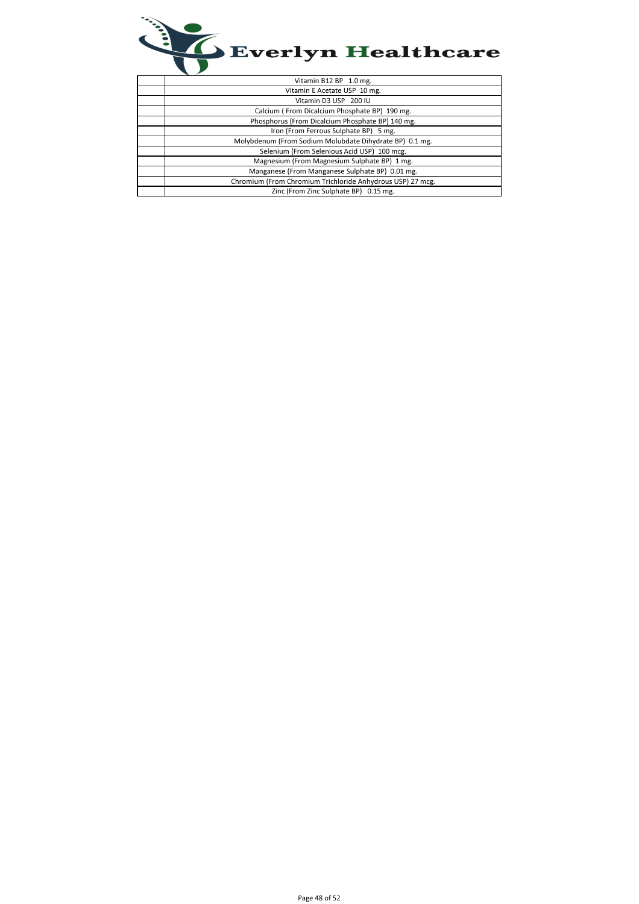

| Vitamin B12 BP 1.0 mg.                                     |
|------------------------------------------------------------|
| Vitamin E Acetate USP 10 mg.                               |
| Vitamin D3 USP 200 IU                                      |
| Calcium (From Dicalcium Phosphate BP) 190 mg.              |
| Phosphorus (From Dicalcium Phosphate BP) 140 mg.           |
| Iron (From Ferrous Sulphate BP) 5 mg.                      |
| Molybdenum (From Sodium Molubdate Dihydrate BP) 0.1 mg.    |
| Selenium (From Selenious Acid USP) 100 mcg.                |
| Magnesium (From Magnesium Sulphate BP) 1 mg.               |
| Manganese (From Manganese Sulphate BP) 0.01 mg.            |
| Chromium (From Chromium Trichloride Anhydrous USP) 27 mcg. |
| Zinc (From Zinc Sulphate BP) 0.15 mg.                      |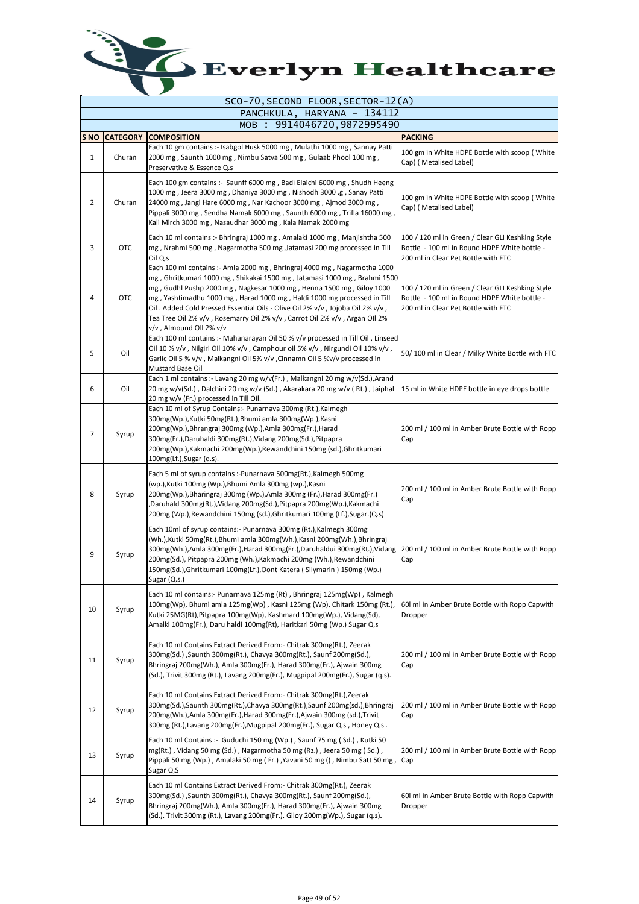

|                                 | SCO-70, SECOND FLOOR, SECTOR-12(A) |                                                                                                                                                                                                                                                                                                                                                                                                                                                                                                              |                                                                                                                                         |  |  |
|---------------------------------|------------------------------------|--------------------------------------------------------------------------------------------------------------------------------------------------------------------------------------------------------------------------------------------------------------------------------------------------------------------------------------------------------------------------------------------------------------------------------------------------------------------------------------------------------------|-----------------------------------------------------------------------------------------------------------------------------------------|--|--|
| PANCHKULA, HARYANA - 134112     |                                    |                                                                                                                                                                                                                                                                                                                                                                                                                                                                                                              |                                                                                                                                         |  |  |
|                                 |                                    | MOB : 9914046720, 9872995490                                                                                                                                                                                                                                                                                                                                                                                                                                                                                 |                                                                                                                                         |  |  |
| S <sub>NO</sub><br>$\mathbf{1}$ | <b>CATEGORY</b><br>Churan          | <b>COMPOSITION</b><br>Each 10 gm contains :- Isabgol Husk 5000 mg, Mulathi 1000 mg, Sannay Patti<br>2000 mg, Saunth 1000 mg, Nimbu Satva 500 mg, Gulaab Phool 100 mg,<br>Preservative & Essence Q.s                                                                                                                                                                                                                                                                                                          | <b>PACKING</b><br>100 gm in White HDPE Bottle with scoop (White<br>Cap) (Metalised Label)                                               |  |  |
| 2                               | Churan                             | Each 100 gm contains :- Saunff 6000 mg, Badi Elaichi 6000 mg, Shudh Heeng<br>1000 mg, Jeera 3000 mg, Dhaniya 3000 mg, Nishodh 3000 ,g, Sanay Patti<br>24000 mg, Jangi Hare 6000 mg, Nar Kachoor 3000 mg, Ajmod 3000 mg,<br>Pippali 3000 mg, Sendha Namak 6000 mg, Saunth 6000 mg, Trifla 16000 mg,<br>Kali Mirch 3000 mg, Nasaudhar 3000 mg, Kala Namak 2000 mg                                                                                                                                              | 100 gm in White HDPE Bottle with scoop (White<br>Cap) (Metalised Label)                                                                 |  |  |
| 3                               | <b>OTC</b>                         | Each 10 ml contains :- Bhringraj 1000 mg, Amalaki 1000 mg, Manjishtha 500<br>mg, Nrahmi 500 mg, Nagarmotha 500 mg, Jatamasi 200 mg processed in Till<br>Oil Q.s                                                                                                                                                                                                                                                                                                                                              | 100 / 120 ml in Green / Clear GLI Keshking Style<br>Bottle - 100 ml in Round HDPE White bottle -<br>200 ml in Clear Pet Bottle with FTC |  |  |
| 4                               | <b>OTC</b>                         | Each 100 ml contains :- Amla 2000 mg, Bhringraj 4000 mg, Nagarmotha 1000<br>mg , Ghritkumari 1000 mg , Shikakai 1500 mg , Jatamasi 1000 mg , Brahmi 1500<br>mg, Gudhl Pushp 2000 mg, Nagkesar 1000 mg, Henna 1500 mg, Giloy 1000<br>mg, Yashtimadhu 1000 mg, Harad 1000 mg, Haldi 1000 mg processed in Till<br>Oil . Added Cold Pressed Essential Oils - Olive Oil 2% v/v , Jojoba Oil 2% v/v ,<br>Tea Tree Oil 2% v/v , Rosemarry Oil 2% v/v , Carrot Oil 2% v/v , Argan OIl 2%<br>v/v , Almound OII 2% v/v | 100 / 120 ml in Green / Clear GLI Keshking Style<br>Bottle - 100 ml in Round HDPE White bottle -<br>200 ml in Clear Pet Bottle with FTC |  |  |
| 5                               | Oil                                | Each 100 ml contains :- Mahanarayan Oil 50 % v/v processed in Till Oil, Linseed<br>Oil 10 % v/v, Nilgiri Oil 10% v/v, Camphour oil 5% v/v, Nirgundi Oil 10% v/v,<br>Garlic Oil 5 % v/v, Malkangni Oil 5% v/v, Cinnamn Oil 5 %v/v processed in<br>Mustard Base Oil                                                                                                                                                                                                                                            | 50/100 ml in Clear / Milky White Bottle with FTC                                                                                        |  |  |
| 6                               | Oil                                | Each 1 ml contains :- Lavang 20 mg w/v(Fr.), Malkangni 20 mg w/v(Sd.), Arand<br>20 mg w/v(Sd.), Dalchini 20 mg w/v (Sd.), Akarakara 20 mg w/v (Rt.), Jaiphal<br>20 mg w/v (Fr.) processed in Till Oil.                                                                                                                                                                                                                                                                                                       | 15 ml in White HDPE bottle in eye drops bottle                                                                                          |  |  |
| 7                               | Syrup                              | Each 10 ml of Syrup Contains:- Punarnava 300mg (Rt.), Kalmegh<br>300mg(Wp.),Kutki 50mg(Rt.),Bhumi amla 300mg(Wp.),Kasni<br>200mg(Wp.),Bhrangraj 300mg (Wp.),Amla 300mg(Fr.),Harad<br>300mg(Fr.),Daruhaldi 300mg(Rt.),Vidang 200mg(Sd.),Pitpapra<br>200mg(Wp.),Kakmachi 200mg(Wp.),Rewandchini 150mg (sd.),Ghritkumari<br>100mg(Lf.), Sugar (q.s).                                                                                                                                                            | 200 ml / 100 ml in Amber Brute Bottle with Ropp<br>Cap                                                                                  |  |  |
| 8                               | Syrup                              | Each 5 ml of syrup contains :- Punarnava 500mg(Rt.), Kalmegh 500mg<br>(wp.),Kutki 100mg (Wp.),Bhumi Amla 300mg (wp.),Kasni<br>200mg(Wp.),Bharingraj 300mg (Wp.),Amla 300mg (Fr.),Harad 300mg(Fr.)<br>,Daruhald 300mg(Rt.),Vidang 200mg(Sd.),Pitpapra 200mg(Wp.),Kakmachi<br>200mg (Wp.),Rewandchini 150mg (sd.),Ghritkumari 100mg (Lf.),Sugar (Q.s)                                                                                                                                                          | 200 ml / 100 ml in Amber Brute Bottle with Ropp<br>Cap                                                                                  |  |  |
| 9                               | Syrup                              | Each 10ml of syrup contains:- Punarnava 300mg (Rt.), Kalmegh 300mg<br>(Wh.),Kutki 50mg(Rt.),Bhumi amla 300mg(Wh.),Kasni 200mg(Wh.),Bhringraj<br>300mg(Wh.),Amla 300mg(Fr.),Harad 300mg(Fr.),Daruhaldui 300mg(Rt.),Vidang<br>200mg(Sd.), Pitpapra 200mg (Wh.),Kakmachi 200mg (Wh.),Rewandchini<br>150mg(Sd.), Ghritkumari 100mg(Lf.), Oont Katera (Silymarin) 150mg (Wp.)<br>Sugar (Q.s.)                                                                                                                     | 200 ml / 100 ml in Amber Brute Bottle with Ropp<br>Cap                                                                                  |  |  |
| 10                              | Syrup                              | Each 10 ml contains:- Punarnava 125mg (Rt), Bhringraj 125mg(Wp), Kalmegh<br>100mg(Wp), Bhumi amla 125mg(Wp), Kasni 125mg (Wp), Chitark 150mg (Rt.),<br>Kutki 25MG(Rt), Pitpapra 100mg(Wp), Kashmard 100mg(Wp.), Vidang(Sd),<br>Amalki 100mg(Fr.), Daru haldi 100mg(Rt), Haritkari 50mg (Wp.) Sugar Q.s                                                                                                                                                                                                       | 60 ml in Amber Brute Bottle with Ropp Capwith<br>Dropper                                                                                |  |  |
| 11                              | Syrup                              | Each 10 ml Contains Extract Derived From:- Chitrak 300mg(Rt.), Zeerak<br>300mg(Sd.) ,Saunth 300mg(Rt.), Chavya 300mg(Rt.), Saunf 200mg(Sd.),<br>Bhringraj 200mg(Wh.), Amla 300mg(Fr.), Harad 300mg(Fr.), Ajwain 300mg<br>(Sd.), Trivit 300mg (Rt.), Lavang 200mg(Fr.), Mugpipal 200mg(Fr.), Sugar (q.s).                                                                                                                                                                                                     | 200 ml / 100 ml in Amber Brute Bottle with Ropp<br>Cap                                                                                  |  |  |
| 12                              | Syrup                              | Each 10 ml Contains Extract Derived From:- Chitrak 300mg(Rt.), Zeerak<br>300mg(Sd.),Saunth 300mg(Rt.),Chavya 300mg(Rt.),Saunf 200mg(sd.),Bhringraj<br>200mg(Wh.),Amla 300mg(Fr.),Harad 300mg(Fr.),Ajwain 300mg (sd.),Trivit<br>300mg (Rt.), Lavang 200mg (Fr.), Mugpipal 200mg (Fr.), Sugar Q.s, Honey Q.s.                                                                                                                                                                                                  | 200 ml / 100 ml in Amber Brute Bottle with Ropp<br>Cap                                                                                  |  |  |
| 13                              | Syrup                              | Each 10 ml Contains :- Guduchi 150 mg (Wp.), Saunf 75 mg (Sd.), Kutki 50<br>mg(Rt.), Vidang 50 mg (Sd.), Nagarmotha 50 mg (Rz.), Jeera 50 mg (Sd.),<br>Pippali 50 mg (Wp.), Amalaki 50 mg (Fr.), Yavani 50 mg (), Nimbu Satt 50 mg,<br>Sugar Q.S                                                                                                                                                                                                                                                             | 200 ml / 100 ml in Amber Brute Bottle with Ropp<br>Cap                                                                                  |  |  |
| 14                              | Syrup                              | Each 10 ml Contains Extract Derived From:- Chitrak 300mg(Rt.), Zeerak<br>300mg(Sd.) ,Saunth 300mg(Rt.), Chavya 300mg(Rt.), Saunf 200mg(Sd.),<br>Bhringraj 200mg(Wh.), Amla 300mg(Fr.), Harad 300mg(Fr.), Ajwain 300mg<br>(Sd.), Trivit 300mg (Rt.), Lavang 200mg(Fr.), Giloy 200mg(Wp.), Sugar (q.s).                                                                                                                                                                                                        | 60 ml in Amber Brute Bottle with Ropp Capwith<br>Dropper                                                                                |  |  |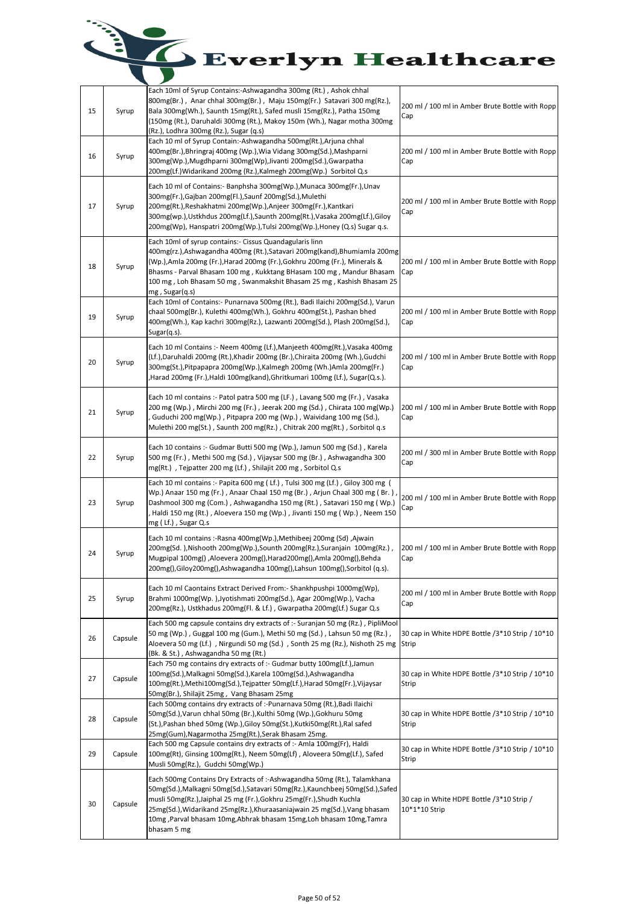| 15 | Syrup   | Each 10ml of Syrup Contains:-Ashwagandha 300mg (Rt.), Ashok chhal<br>800mg(Br.), Anar chhal 300mg(Br.), Maju 150mg(Fr.) Satavari 300 mg(Rz.),<br>Bala 300mg(Wh.), Saunth 15mg(Rt.), Safed musli 15mg(Rz.), Patha 150mg<br>(150mg (Rt.), Daruhaldi 300mg (Rt.), Makoy 150m (Wh.), Nagar motha 300mg<br>(Rz.), Lodhra 300mg (Rz.), Sugar (q.s)                                                             | 200 ml / 100 ml in Amber Brute Bottle with Ropp<br>Cap     |
|----|---------|----------------------------------------------------------------------------------------------------------------------------------------------------------------------------------------------------------------------------------------------------------------------------------------------------------------------------------------------------------------------------------------------------------|------------------------------------------------------------|
| 16 | Syrup   | Each 10 ml of Syrup Contain:-Ashwagandha 500mg(Rt.), Arjuna chhal<br>400mg(Br.),Bhringraj 400mg (Wp.),Wia Vidang 300mg(Sd.),Mashparni<br>300mg(Wp.), Mugdhparni 300mg(Wp), Jivanti 200mg(Sd.), Gwarpatha<br>200mg(Lf.)Widarikand 200mg (Rz.),Kalmegh 200mg(Wp.) Sorbitol Q.s                                                                                                                             | 200 ml / 100 ml in Amber Brute Bottle with Ropp<br>Cap     |
| 17 | Syrup   | Each 10 ml of Contains:- Banphsha 300mg(Wp.), Munaca 300mg(Fr.), Unav<br>300mg(Fr.), Gajban 200mg(Fl.), Saunf 200mg(Sd.), Mulethi<br>200mg(Rt.), Reshakhatmi 200mg(Wp.), Anjeer 300mg(Fr.), Kantkari<br>300mg(wp.),Ustkhdus 200mg(Lf.),Saunth 200mg(Rt.),Vasaka 200mg(Lf.),Giloy<br>200mg(Wp), Hanspatri 200mg(Wp.), Tulsi 200mg(Wp.), Honey (Q.s) Sugar q.s.                                            | 200 ml / 100 ml in Amber Brute Bottle with Ropp<br>Cap     |
| 18 | Syrup   | Each 10ml of syrup contains:- Cissus Quandagularis linn<br>400mg(rz.),Ashwagandha 400mg (Rt.),Satavari 200mg(kand),Bhumiamla 200mg<br>(Wp.),Amla 200mg (Fr.),Harad 200mg (Fr.),Gokhru 200mg (Fr.), Minerals &<br>Bhasms - Parval Bhasam 100 mg, Kukktang BHasam 100 mg, Mandur Bhasam<br>100 mg, Loh Bhasam 50 mg, Swanmakshit Bhasam 25 mg, Kashish Bhasam 25<br>$mg$ , Sugar $(q.s)$                   | 200 ml / 100 ml in Amber Brute Bottle with Ropp<br>Cap     |
| 19 | Syrup   | Each 10ml of Contains:- Punarnava 500mg (Rt.), Badi Ilaichi 200mg(Sd.), Varun<br>chaal 500mg(Br.), Kulethi 400mg(Wh.), Gokhru 400mg(St.), Pashan bhed<br>400mg(Wh.), Kap kachri 300mg(Rz.), Lazwanti 200mg(Sd.), Plash 200mg(Sd.),<br>Sugar(q.s).                                                                                                                                                        | 200 ml / 100 ml in Amber Brute Bottle with Ropp<br>Cap     |
| 20 | Syrup   | Each 10 ml Contains :- Neem 400mg (Lf.), Manjeeth 400mg (Rt.), Vasaka 400mg<br>(Lf.),Daruhaldi 200mg (Rt.),Khadir 200mg (Br.),Chiraita 200mg (Wh.),Gudchi<br>300mg(St.),Pitpapapra 200mg(Wp.),Kalmegh 200mg (Wh.)Amla 200mg(Fr.)<br>Harad 200mg (Fr.),Haldi 100mg(kand),Ghritkumari 100mg (Lf.), Sugar(Q.s.).                                                                                            | 200 ml / 100 ml in Amber Brute Bottle with Ropp<br>Cap     |
| 21 | Syrup   | Each 10 ml contains :- Patol patra 500 mg (LF.), Lavang 500 mg (Fr.), Vasaka<br>200 mg (Wp.), Mirchi 200 mg (Fr.), Jeerak 200 mg (Sd.), Chirata 100 mg (Wp.)<br>Guduchi 200 mg(Wp.), Pitpapra 200 mg (Wp.), Waividang 100 mg (Sd.),<br>Mulethi 200 mg(St.), Saunth 200 mg(Rz.), Chitrak 200 mg(Rt.), Sorbitol q.s                                                                                        | 200 ml / 100 ml in Amber Brute Bottle with Ropp<br>Cap     |
| 22 | Syrup   | Each 10 contains :- Gudmar Butti 500 mg (Wp.), Jamun 500 mg (Sd.), Karela<br>500 mg (Fr.), Methi 500 mg (Sd.), Vijaysar 500 mg (Br.), Ashwagandha 300<br>mg(Rt.), Tejpatter 200 mg (Lf.), Shilajit 200 mg, Sorbitol Q.s                                                                                                                                                                                  | 200 ml / 300 ml in Amber Brute Bottle with Ropp<br>Cap     |
| 23 | Syrup   | Each 10 ml contains :- Papita 600 mg (Lf.), Tulsi 300 mg (Lf.), Giloy 300 mg (<br>Wp.) Anaar 150 mg (Fr.), Anaar Chaal 150 mg (Br.), Arjun Chaal 300 mg (Br.)<br>Dashmool 300 mg (Com.), Ashwagandha 150 mg (Rt.), Satavari 150 mg (Wp.)<br>Haldi 150 mg (Rt.), Aloevera 150 mg (Wp.), Jivanti 150 mg (Wp.), Neem 150<br>mg $(Lf.)$ , Sugar Q.s                                                          | 200 ml / 100 ml in Amber Brute Bottle with Ropp<br>Cap     |
| 24 | Syrup   | Each 10 ml contains :-Rasna 400mg(Wp.), Methibeej 200mg (Sd), Ajwain<br>200mg(Sd.), Nishooth 200mg(Wp.), Sounth 200mg(Rz.), Suranjain 100mg(Rz.),<br>Mugpipal 100mg(), Aloevera 200mg(), Harad200mg(), Amla 200mg(), Behda<br>200mg(), Giloy 200mg(), Ashwagandha 100mg(), Lahsun 100mg(), Sorbitol (q.s).                                                                                               | 200 ml / 100 ml in Amber Brute Bottle with Ropp<br>Cap     |
| 25 | Syrup   | Each 10 ml Caontains Extract Derived From:- Shankhpushpi 1000mg(Wp),<br>Brahmi 1000mg(Wp.),Jyotishmati 200mg(Sd.), Agar 200mg(Wp.), Vacha<br>200mg(Rz.), Ustkhadus 200mg(Fl. & Lf.), Gwarpatha 200mg(Lf.) Sugar Q.s                                                                                                                                                                                      | 200 ml / 100 ml in Amber Brute Bottle with Ropp<br>Cap     |
| 26 | Capsule | Each 500 mg capsule contains dry extracts of :- Suranjan 50 mg (Rz.), PipliMool<br>50 mg (Wp.), Guggal 100 mg (Gum.), Methi 50 mg (Sd.), Lahsun 50 mg (Rz.),<br>Aloevera 50 mg (Lf.), Nirgundi 50 mg (Sd.), Sonth 25 mg (Rz.), Nishoth 25 mg<br>(Bk. & St.), Ashwagandha 50 mg (Rt.)                                                                                                                     | 30 cap in White HDPE Bottle /3*10 Strip / 10*10<br>Strip   |
| 27 | Capsule | Each 750 mg contains dry extracts of :- Gudmar butty 100mg(Lf.), Jamun<br>100mg(Sd.), Malkagni 50mg(Sd.), Karela 100mg(Sd.), Ashwagandha<br>100mg(Rt.), Methi100mg(Sd.), Tejpatter 50mg(Lf.), Harad 50mg(Fr.), Vijaysar<br>50mg(Br.), Shilajit 25mg, Vang Bhasam 25mg                                                                                                                                    | 30 cap in White HDPE Bottle /3*10 Strip / 10*10<br>Strip   |
| 28 | Capsule | Each 500mg contains dry extracts of :- Punarnava 50mg (Rt.), Badi Ilaichi<br>50mg(Sd.), Varun chhal 50mg (Br.), Kulthi 50mg (Wp.), Gokhuru 50mg<br>(St.), Pashan bhed 50mg (Wp.), Giloy 50mg(St.), Kutki50mg(Rt.), Ral safed<br>25mg(Gum), Nagarmotha 25mg(Rt.), Serak Bhasam 25mg.                                                                                                                      | 30 cap in White HDPE Bottle /3*10 Strip / 10*10<br>Strip   |
| 29 | Capsule | Each 500 mg Capsule contains dry extracts of :- Amla 100mg(Fr), Haldi<br>100mg(Rt), Ginsing 100mg(Rt.), Neem 50mg(Lf), Aloveera 50mg(Lf.), Safed<br>Musli 50mg(Rz.), Gudchi 50mg(Wp.)                                                                                                                                                                                                                    | 30 cap in White HDPE Bottle /3*10 Strip / 10*10<br>Strip   |
| 30 | Capsule | Each 500mg Contains Dry Extracts of :- Ashwagandha 50mg (Rt.), Talamkhana<br>50mg(Sd.), Malkagni 50mg(Sd.), Satavari 50mg(Rz.), Kaunchbeej 50mg(Sd.), Safed<br>musli 50mg(Rz.), Jaiphal 25 mg (Fr.), Gokhru 25mg(Fr.), Shudh Kuchla<br>25mg(Sd.), Widarikand 25mg(Rz.), Khuraasaniajwain 25 mg(Sd.), Vang bhasam<br>10mg , Parval bhasam 10mg, Abhrak bhasam 15mg, Loh bhasam 10mg, Tamra<br>bhasam 5 mg | 30 cap in White HDPE Bottle /3*10 Strip /<br>10*1*10 Strip |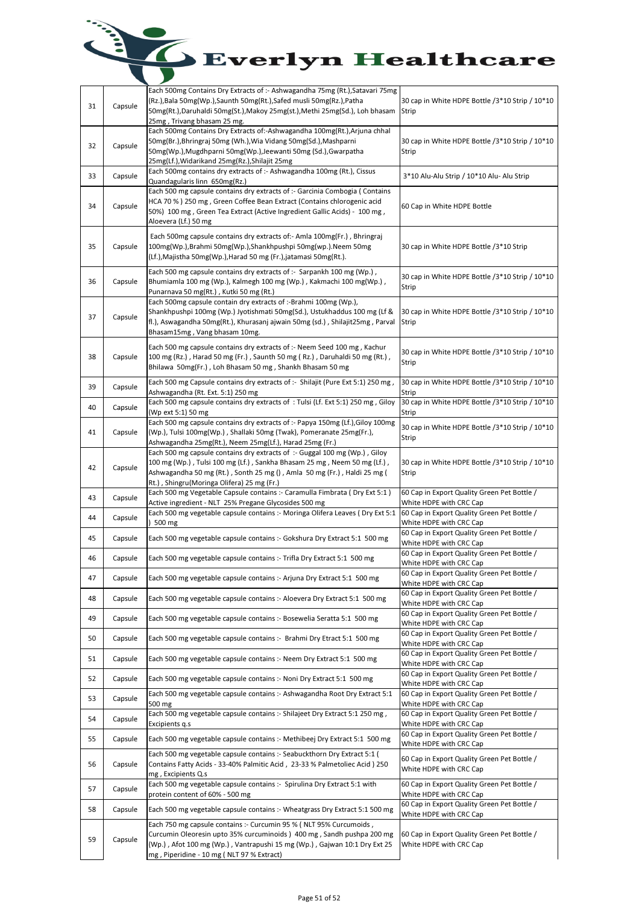| 31 | Capsule | Each 500mg Contains Dry Extracts of :- Ashwagandha 75mg (Rt.), Satavari 75mg<br>(Rz.),Bala 50mg(Wp.),Saunth 50mg(Rt.),Safed musli 50mg(Rz.),Patha<br>50mg(Rt.),Daruhaldi 50mg(St.),Makoy 25mg(st.),Methi 25mg(Sd.), Loh bhasam<br>25mg, Trivang bhasam 25 mg.                     | 30 cap in White HDPE Bottle /3*10 Strip / 10*10<br>Strip               |
|----|---------|-----------------------------------------------------------------------------------------------------------------------------------------------------------------------------------------------------------------------------------------------------------------------------------|------------------------------------------------------------------------|
| 32 | Capsule | Each 500mg Contains Dry Extracts of:-Ashwagandha 100mg(Rt.),Arjuna chhal<br>50mg(Br.), Bhringraj 50mg (Wh.), Wia Vidang 50mg(Sd.), Mashparni<br>50mg(Wp.), Mugdhparni 50mg(Wp.), Jeewanti 50mg (Sd.), Gwarpatha<br>25mg(Lf.), Widarikand 25mg(Rz.), Shilajit 25mg                 | 30 cap in White HDPE Bottle /3*10 Strip / 10*10<br>Strip               |
| 33 | Capsule | Each 500mg contains dry extracts of :- Ashwagandha 100mg (Rt.), Cissus<br>Quandagularis linn 650mg(Rz.)                                                                                                                                                                           | 3*10 Alu-Alu Strip / 10*10 Alu- Alu Strip                              |
| 34 | Capsule | Each 500 mg capsule contains dry extracts of :- Garcinia Combogia (Contains<br>HCA 70 % ) 250 mg , Green Coffee Bean Extract (Contains chlorogenic acid<br>50%) 100 mg, Green Tea Extract (Active Ingredient Gallic Acids) - 100 mg,<br>Aloevera (Lf.) 50 mg                      | 60 Cap in White HDPE Bottle                                            |
| 35 | Capsule | Each 500mg capsule contains dry extracts of:- Amla 100mg(Fr.), Bhringraj<br>100mg(Wp.),Brahmi 50mg(Wp.),Shankhpushpi 50mg(wp.).Neem 50mg<br>(Lf.), Majistha 50mg(Wp.), Harad 50 mg (Fr.), jatamasi 50mg(Rt.).                                                                     | 30 cap in White HDPE Bottle /3*10 Strip                                |
| 36 | Capsule | Each 500 mg capsule contains dry extracts of :- Sarpankh 100 mg (Wp.),<br>Bhumiamla 100 mg (Wp.), Kalmegh 100 mg (Wp.), Kakmachi 100 mg (Wp.),<br>Punarnava 50 mg(Rt.), Kutki 50 mg (Rt.)                                                                                         | 30 cap in White HDPE Bottle /3*10 Strip / 10*10<br>Strip               |
| 37 | Capsule | Each 500mg capsule contain dry extracts of :-Brahmi 100mg (Wp.),<br>Shankhpushpi 100mg (Wp.) Jyotishmati 50mg(Sd.), Ustukhaddus 100 mg (Lf &<br>fl.), Aswagandha 50mg(Rt.), Khurasanj ajwain 50mg (sd.), Shilajit25mg, Parval<br>Bhasam15mg, Vang bhasam 10mg.                    | 30 cap in White HDPE Bottle /3*10 Strip / 10*10<br>Strip               |
| 38 | Capsule | Each 500 mg capsule contains dry extracts of :- Neem Seed 100 mg, Kachur<br>100 mg (Rz.), Harad 50 mg (Fr.), Saunth 50 mg (Rz.), Daruhaldi 50 mg (Rt.),<br>Bhilawa 50mg(Fr.), Loh Bhasam 50 mg, Shankh Bhasam 50 mg                                                               | 30 cap in White HDPE Bottle /3*10 Strip / 10*10<br>Strip               |
| 39 | Capsule | Each 500 mg Capsule contains dry extracts of :- Shilajit (Pure Ext 5:1) 250 mg,<br>Ashwagandha (Rt. Ext. 5:1) 250 mg                                                                                                                                                              | 30 cap in White HDPE Bottle /3*10 Strip / 10*10<br>Strip               |
| 40 | Capsule | Each 500 mg capsule contains dry extracts of: Tulsi (Lf. Ext 5:1) 250 mg, Giloy<br>(Wp ext 5:1) 50 mg                                                                                                                                                                             | 30 cap in White HDPE Bottle /3*10 Strip / 10*10<br>Strip               |
| 41 | Capsule | Each 500 mg capsule contains dry extracts of :- Papya 150mg (Lf.), Giloy 100mg<br>(Wp.), Tulsi 100mg(Wp.), Shallaki 50mg (Twak), Pomeranate 25mg(Fr.),<br>Ashwagandha 25mg(Rt.), Neem 25mg(Lf.), Harad 25mg (Fr.)                                                                 | 30 cap in White HDPE Bottle /3*10 Strip / 10*10<br>Strip               |
| 42 | Capsule | Each 500 mg capsule contains dry extracts of :- Guggal 100 mg (Wp.), Giloy<br>100 mg (Wp.), Tulsi 100 mg (Lf.), Sankha Bhasam 25 mg, Neem 50 mg (Lf.),<br>Ashwagandha 50 mg (Rt.), Sonth 25 mg (), Amla 50 mg (Fr.), Haldi 25 mg (<br>Rt.), Shingru (Moringa Olifera) 25 mg (Fr.) | 30 cap in White HDPE Bottle /3*10 Strip / 10*10<br>Strip               |
| 43 | Capsule | Each 500 mg Vegetable Capsule contains :- Caramulla Fimbrata (Dry Ext 5:1)<br>Active ingredient - NLT 25% Pregane Glycosides 500 mg                                                                                                                                               | 60 Cap in Export Quality Green Pet Bottle /<br>White HDPE with CRC Cap |
| 44 | Capsule | Each 500 mg vegetable capsule contains :- Moringa Olifera Leaves (Dry Ext 5:1<br>500 mg                                                                                                                                                                                           | 60 Cap in Export Quality Green Pet Bottle /<br>White HDPE with CRC Cap |
| 45 | Capsule | Each 500 mg vegetable capsule contains :- Gokshura Dry Extract 5:1 500 mg                                                                                                                                                                                                         | 60 Cap in Export Quality Green Pet Bottle /<br>White HDPE with CRC Cap |
| 46 | Capsule | Each 500 mg vegetable capsule contains :- Trifla Dry Extract 5:1 500 mg                                                                                                                                                                                                           | 60 Cap in Export Quality Green Pet Bottle /<br>White HDPE with CRC Cap |
| 47 | Capsule | Each 500 mg vegetable capsule contains :- Arjuna Dry Extract 5:1 500 mg                                                                                                                                                                                                           | 60 Cap in Export Quality Green Pet Bottle /<br>White HDPE with CRC Cap |
| 48 | Capsule | Each 500 mg vegetable capsule contains :- Aloevera Dry Extract 5:1 500 mg                                                                                                                                                                                                         | 60 Cap in Export Quality Green Pet Bottle /<br>White HDPE with CRC Cap |
| 49 | Capsule | Each 500 mg vegetable capsule contains :- Bosewelia Seratta 5:1 500 mg                                                                                                                                                                                                            | 60 Cap in Export Quality Green Pet Bottle /<br>White HDPE with CRC Cap |
| 50 | Capsule | Each 500 mg vegetable capsule contains :- Brahmi Dry Etract 5:1 500 mg                                                                                                                                                                                                            | 60 Cap in Export Quality Green Pet Bottle /<br>White HDPE with CRC Cap |
| 51 | Capsule | Each 500 mg vegetable capsule contains :- Neem Dry Extract 5:1 500 mg                                                                                                                                                                                                             | 60 Cap in Export Quality Green Pet Bottle /<br>White HDPE with CRC Cap |
| 52 | Capsule | Each 500 mg vegetable capsule contains :- Noni Dry Extract 5:1 500 mg                                                                                                                                                                                                             | 60 Cap in Export Quality Green Pet Bottle /<br>White HDPE with CRC Cap |
| 53 | Capsule | Each 500 mg vegetable capsule contains :- Ashwagandha Root Dry Extract 5:1<br>500 mg                                                                                                                                                                                              | 60 Cap in Export Quality Green Pet Bottle /<br>White HDPE with CRC Cap |
| 54 | Capsule | Each 500 mg vegetable capsule contains :- Shilajeet Dry Extract 5:1 250 mg,<br>Excipients q.s                                                                                                                                                                                     | 60 Cap in Export Quality Green Pet Bottle /<br>White HDPE with CRC Cap |
| 55 | Capsule | Each 500 mg vegetable capsule contains :- Methibeej Dry Extract 5:1 500 mg                                                                                                                                                                                                        | 60 Cap in Export Quality Green Pet Bottle /<br>White HDPE with CRC Cap |
| 56 | Capsule | Each 500 mg vegetable capsule contains :- Seabuckthorn Dry Extract 5:1 (<br>Contains Fatty Acids - 33-40% Palmitic Acid, 23-33 % Palmetoliec Acid) 250<br>mg, Excipients Q.s                                                                                                      | 60 Cap in Export Quality Green Pet Bottle /<br>White HDPE with CRC Cap |
| 57 | Capsule | Each 500 mg vegetable capsule contains :- Spirulina Dry Extract 5:1 with<br>protein content of 60% - 500 mg                                                                                                                                                                       | 60 Cap in Export Quality Green Pet Bottle /<br>White HDPE with CRC Cap |
| 58 | Capsule | Each 500 mg vegetable capsule contains :- Wheatgrass Dry Extract 5:1 500 mg                                                                                                                                                                                                       | 60 Cap in Export Quality Green Pet Bottle /<br>White HDPE with CRC Cap |
| 59 | Capsule | Each 750 mg capsule contains :- Curcumin 95 % ( NLT 95% Curcumoids,<br>Curcumin Oleoresin upto 35% curcuminoids ) 400 mg, Sandh pushpa 200 mg<br>(Wp.), Afot 100 mg (Wp.), Vantrapushi 15 mg (Wp.), Gajwan 10:1 Dry Ext 25<br>mg, Piperidine - 10 mg (NLT 97 % Extract)           | 60 Cap in Export Quality Green Pet Bottle /<br>White HDPE with CRC Cap |